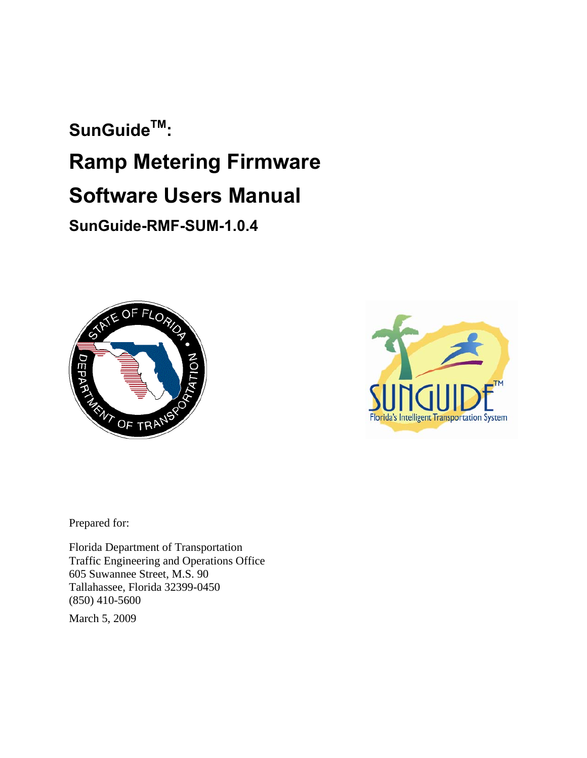# SunGuide<sup>™</sup>: **Ramp Metering Firmware Software Users Manual SunGuide-RMF-SUM-1.0.4**





Prepared for:

Florida Department of Transportation Traffic Engineering and Operations Office 605 Suwannee Street, M.S. 90 Tallahassee, Florida 32399-0450 (850) 410-5600

March 5, 2009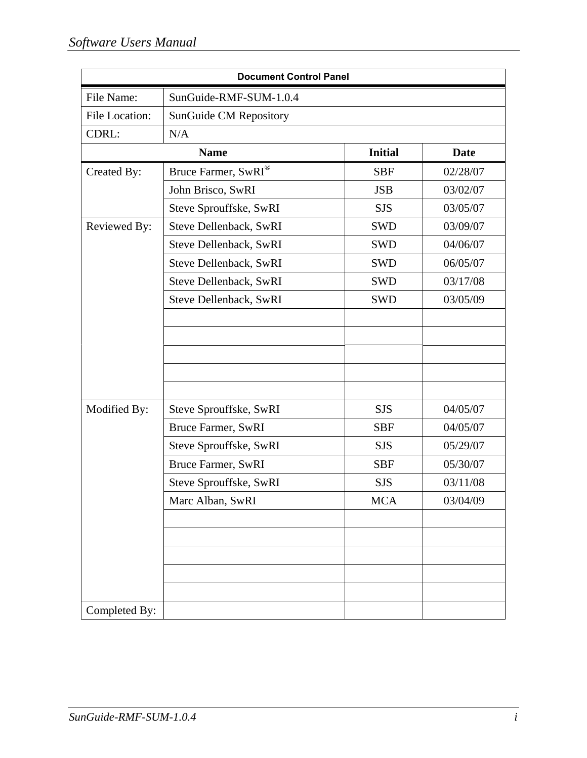|                | <b>Document Control Panel</b>   |                |             |
|----------------|---------------------------------|----------------|-------------|
| File Name:     | SunGuide-RMF-SUM-1.0.4          |                |             |
| File Location: | <b>SunGuide CM Repository</b>   |                |             |
| CDRL:          | N/A                             |                |             |
|                | <b>Name</b>                     | <b>Initial</b> | <b>Date</b> |
| Created By:    | Bruce Farmer, SwRI <sup>®</sup> | <b>SBF</b>     | 02/28/07    |
|                | John Brisco, SwRI               | <b>JSB</b>     | 03/02/07    |
|                | Steve Sprouffske, SwRI          | <b>SJS</b>     | 03/05/07    |
| Reviewed By:   | Steve Dellenback, SwRI          | <b>SWD</b>     | 03/09/07    |
|                | Steve Dellenback, SwRI          | <b>SWD</b>     | 04/06/07    |
|                | Steve Dellenback, SwRI          | <b>SWD</b>     | 06/05/07    |
|                | Steve Dellenback, SwRI          | <b>SWD</b>     | 03/17/08    |
|                | Steve Dellenback, SwRI          | <b>SWD</b>     | 03/05/09    |
|                |                                 |                |             |
|                |                                 |                |             |
|                |                                 |                |             |
|                |                                 |                |             |
|                |                                 |                |             |
| Modified By:   | Steve Sprouffske, SwRI          | <b>SJS</b>     | 04/05/07    |
|                | Bruce Farmer, SwRI              | <b>SBF</b>     | 04/05/07    |
|                | Steve Sprouffske, SwRI          | <b>SJS</b>     | 05/29/07    |
|                | <b>Bruce Farmer, SwRI</b>       | <b>SBF</b>     | 05/30/07    |
|                | Steve Sprouffske, SwRI          | <b>SJS</b>     | 03/11/08    |
|                | Marc Alban, SwRI                | MCA            | 03/04/09    |
|                |                                 |                |             |
|                |                                 |                |             |
|                |                                 |                |             |
|                |                                 |                |             |
|                |                                 |                |             |
| Completed By:  |                                 |                |             |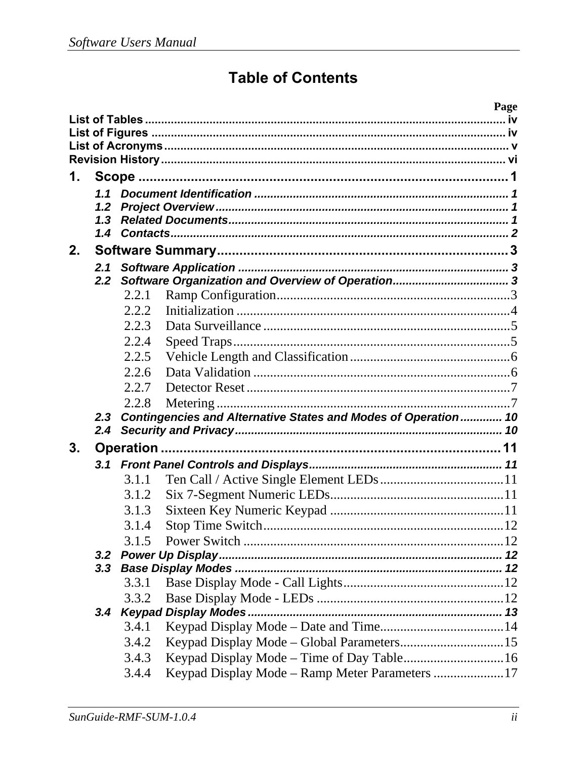# **Table of Contents**

|                |               |       | Page                                                           |
|----------------|---------------|-------|----------------------------------------------------------------|
|                |               |       |                                                                |
|                |               |       |                                                                |
|                |               |       |                                                                |
|                |               |       |                                                                |
| 1.             |               |       |                                                                |
|                | 1.1           |       |                                                                |
|                | 1.2<br>1.3    |       |                                                                |
|                |               |       |                                                                |
| 2.             |               |       |                                                                |
|                |               |       |                                                                |
|                | 2.1<br>2.2    |       |                                                                |
|                |               | 2.2.1 |                                                                |
|                |               | 2.2.2 |                                                                |
|                |               | 2.2.3 |                                                                |
|                |               |       |                                                                |
|                |               | 2.2.4 |                                                                |
|                |               | 2.2.5 |                                                                |
|                |               | 2.2.6 |                                                                |
|                |               | 2.2.7 |                                                                |
|                |               | 2.2.8 |                                                                |
|                | 2.3           |       | Contingencies and Alternative States and Modes of Operation 10 |
|                | $2.4^{\circ}$ |       |                                                                |
| 3 <sub>1</sub> |               |       |                                                                |
|                |               |       |                                                                |
|                |               | 3.1.1 |                                                                |
|                |               | 3.1.2 |                                                                |
|                |               | 3.1.3 |                                                                |
|                |               | 3.1.4 |                                                                |
|                |               | 3.1.5 |                                                                |
|                |               |       |                                                                |
|                | 3.3           |       |                                                                |
|                |               | 3.3.1 |                                                                |
|                |               | 3.3.2 |                                                                |
|                |               |       |                                                                |
|                |               | 3.4.1 |                                                                |
|                |               | 3.4.2 |                                                                |
|                |               | 3.4.3 | Keypad Display Mode - Time of Day Table 16                     |
|                |               | 3.4.4 | Keypad Display Mode – Ramp Meter Parameters 17                 |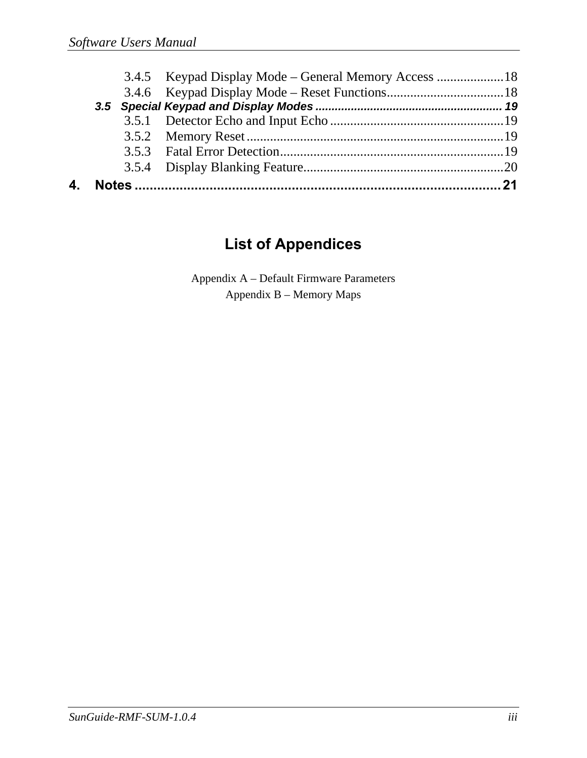| 4. |  |  |
|----|--|--|
|    |  |  |

## **List of Appendices**

Appendix A – Default Firmware Parameters Appendix B – Memory Maps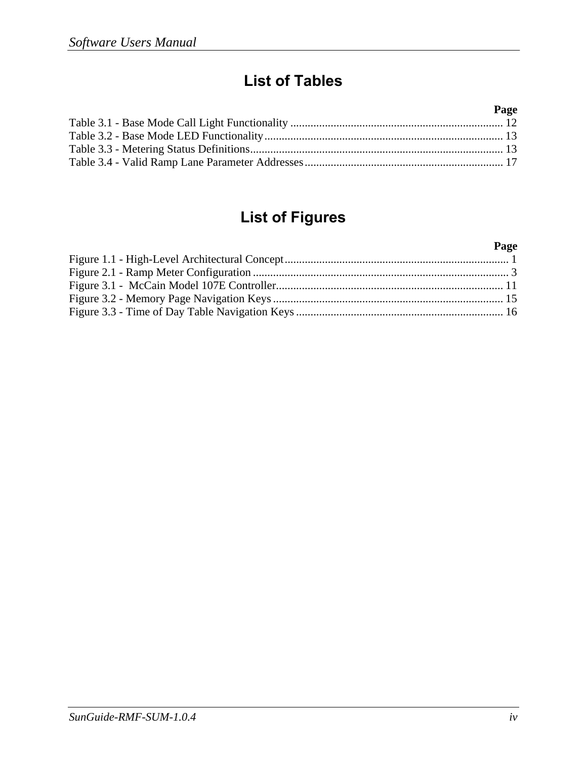# **List of Tables**

#### **Page**  Table 3.1 - Base Mode Call Light Functionality .......................................................................... 12 Table 3.2 - Base Mode LED Functionality ................................................................................... 13 Table 3.3 - Metering Status Definitions ........................................................................................ 13 Table 3.4 - Valid Ramp Lane Parameter Addresses ..................................................................... 17

## **List of Figures**

#### **Page**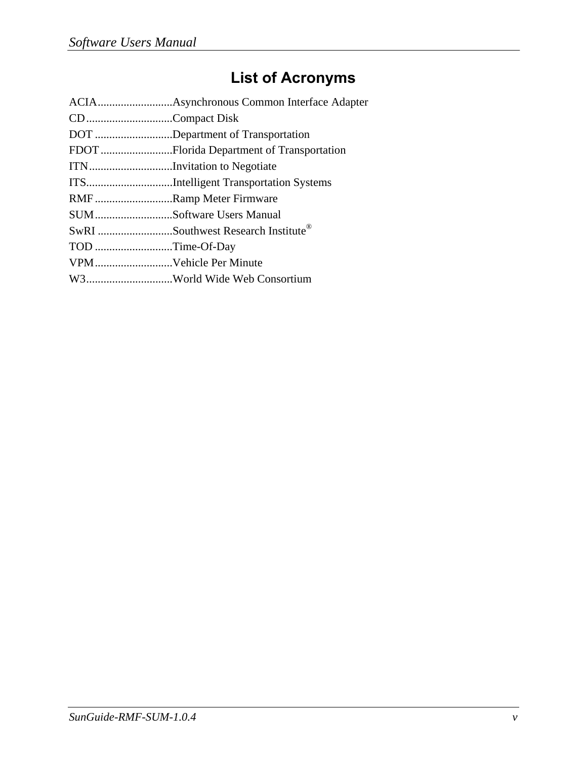# **List of Acronyms**

| CDCompact Disk        |                                    |
|-----------------------|------------------------------------|
|                       | DOT Department of Transportation   |
|                       |                                    |
|                       | ITNInvitation to Negotiate         |
|                       |                                    |
|                       | RMFRamp Meter Firmware             |
|                       | SUMSoftware Users Manual           |
|                       | SwRI Southwest Research Institute® |
| TOD Time-Of-Day       |                                    |
| VPMVehicle Per Minute |                                    |
|                       | W3World Wide Web Consortium        |
|                       |                                    |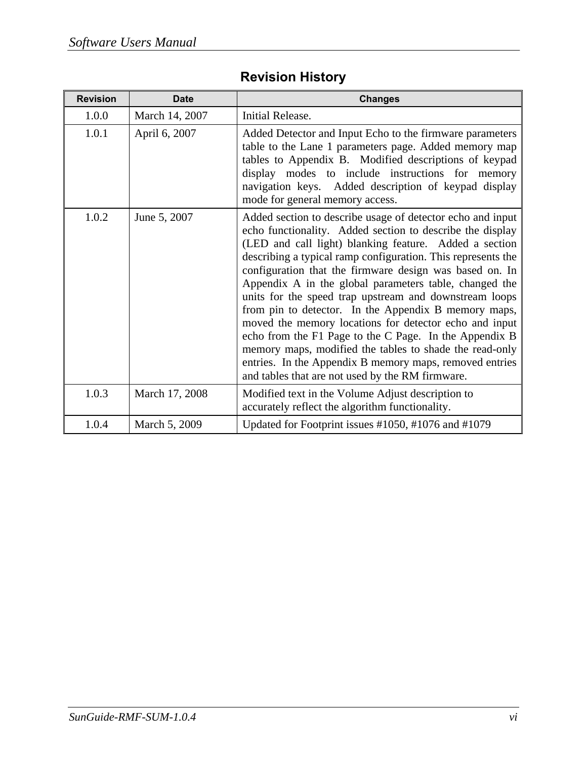|  | <b>Revision History</b> |
|--|-------------------------|
|  |                         |

| <b>Revision</b> | <b>Date</b>    | <b>Changes</b>                                                                                                                                                                                                                                                                                                                                                                                                                                                                                                                                                                                                                                                                                                                                                                         |
|-----------------|----------------|----------------------------------------------------------------------------------------------------------------------------------------------------------------------------------------------------------------------------------------------------------------------------------------------------------------------------------------------------------------------------------------------------------------------------------------------------------------------------------------------------------------------------------------------------------------------------------------------------------------------------------------------------------------------------------------------------------------------------------------------------------------------------------------|
| 1.0.0           | March 14, 2007 | Initial Release.                                                                                                                                                                                                                                                                                                                                                                                                                                                                                                                                                                                                                                                                                                                                                                       |
| 1.0.1           | April 6, 2007  | Added Detector and Input Echo to the firmware parameters<br>table to the Lane 1 parameters page. Added memory map<br>tables to Appendix B. Modified descriptions of keypad<br>display modes to include instructions for memory<br>navigation keys. Added description of keypad display<br>mode for general memory access.                                                                                                                                                                                                                                                                                                                                                                                                                                                              |
| 1.0.2           | June 5, 2007   | Added section to describe usage of detector echo and input<br>echo functionality. Added section to describe the display<br>(LED and call light) blanking feature. Added a section<br>describing a typical ramp configuration. This represents the<br>configuration that the firmware design was based on. In<br>Appendix A in the global parameters table, changed the<br>units for the speed trap upstream and downstream loops<br>from pin to detector. In the Appendix B memory maps,<br>moved the memory locations for detector echo and input<br>echo from the F1 Page to the C Page. In the Appendix B<br>memory maps, modified the tables to shade the read-only<br>entries. In the Appendix B memory maps, removed entries<br>and tables that are not used by the RM firmware. |
| 1.0.3           | March 17, 2008 | Modified text in the Volume Adjust description to<br>accurately reflect the algorithm functionality.                                                                                                                                                                                                                                                                                                                                                                                                                                                                                                                                                                                                                                                                                   |
| 1.0.4           | March 5, 2009  | Updated for Footprint issues #1050, #1076 and #1079                                                                                                                                                                                                                                                                                                                                                                                                                                                                                                                                                                                                                                                                                                                                    |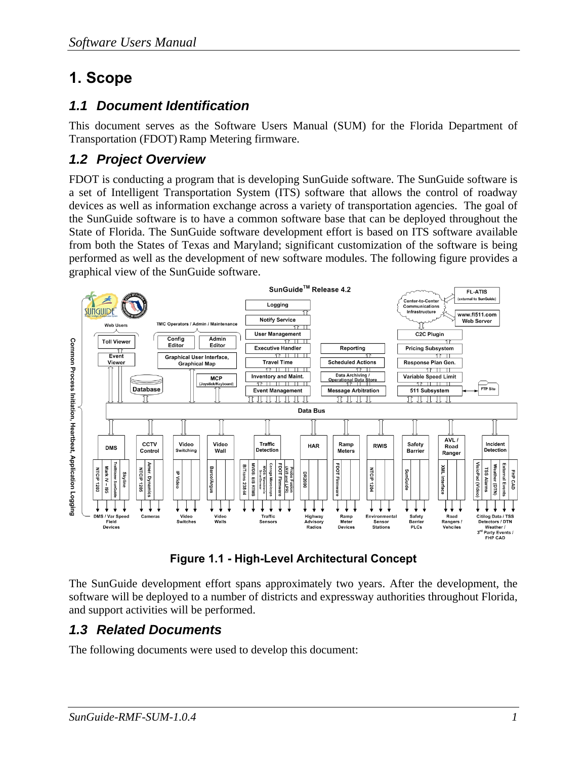# **1. Scope**

### *1.1 Document Identification*

This document serves as the Software Users Manual (SUM) for the Florida Department of Transportation (FDOT) Ramp Metering firmware.

### *1.2 Project Overview*

FDOT is conducting a program that is developing SunGuide software. The SunGuide software is a set of Intelligent Transportation System (ITS) software that allows the control of roadway devices as well as information exchange across a variety of transportation agencies. The goal of the SunGuide software is to have a common software base that can be deployed throughout the State of Florida. The SunGuide software development effort is based on ITS software available from both the States of Texas and Maryland; significant customization of the software is being performed as well as the development of new software modules. The following figure provides a graphical view of the SunGuide software.



**Figure 1.1 - High-Level Architectural Concept** 

The SunGuide development effort spans approximately two years. After the development, the software will be deployed to a number of districts and expressway authorities throughout Florida, and support activities will be performed.

### *1.3 Related Documents*

The following documents were used to develop this document: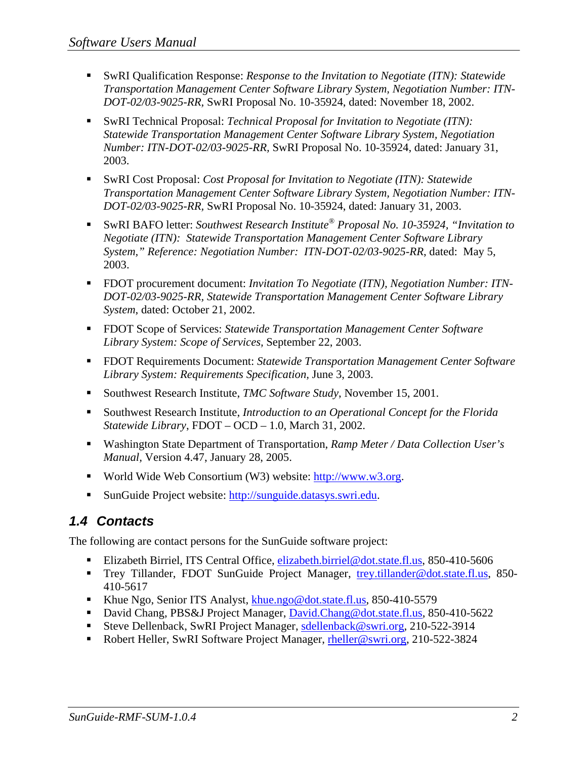- SwRI Qualification Response: *Response to the Invitation to Negotiate (ITN): Statewide Transportation Management Center Software Library System, Negotiation Number: ITN-DOT-02/03-9025-RR,* SwRI Proposal No. 10-35924, dated: November 18, 2002.
- SwRI Technical Proposal: *Technical Proposal for Invitation to Negotiate (ITN)*: *Statewide Transportation Management Center Software Library System, Negotiation Number: ITN-DOT-02/03-9025-RR,* SwRI Proposal No. 10-35924, dated: January 31, 2003.
- SwRI Cost Proposal: *Cost Proposal for Invitation to Negotiate (ITN): Statewide Transportation Management Center Software Library System, Negotiation Number: ITN-DOT-02/03-9025-RR,* SwRI Proposal No. 10-35924, dated: January 31, 2003.
- SwRI BAFO letter: *Southwest Research Institute® Proposal No. 10-35924, "Invitation to Negotiate (ITN): Statewide Transportation Management Center Software Library System," Reference: Negotiation Number: ITN-DOT-02/03-9025-RR*, dated: May 5, 2003.
- FDOT procurement document: *Invitation To Negotiate (ITN), Negotiation Number: ITN DOT-02/03-9025-RR, Statewide Transportation Management Center Software Library System*, dated: October 21, 2002.
- FDOT Scope of Services: *Statewide Transportation Management Center Software Library System: Scope of Services,* September 22, 2003.
- FDOT Requirements Document: *Statewide Transportation Management Center Software Library System: Requirements Specification,* June 3, 2003.
- Southwest Research Institute, *TMC Software Study*, November 15, 2001.
- Southwest Research Institute, *Introduction to an Operational Concept for the Florida Statewide Library*, FDOT – OCD – 1.0, March 31, 2002.
- Washington State Department of Transportation, *Ramp Meter / Data Collection User's Manual,* Version 4.47, January 28, 2005.
- World Wide Web Consortium (W3) website: http://www.w3.org.
- SunGuide Project website: http://sunguide.datasys.swri.edu.

### *1.4 Contacts*

The following are contact persons for the SunGuide software project:

- Elizabeth Birriel, ITS Central Office, elizabeth.birriel@dot.state.fl.us, 850-410-5606
- Trey Tillander, FDOT SunGuide Project Manager, trey.tillander@dot.state.fl.us, 850- 410-5617
- Khue Ngo, Senior ITS Analyst, khue.ngo@dot.state.fl.us, 850-410-5579
- David Chang, PBS&J Project Manager, David.Chang@dot.state.fl.us, 850-410-5622
- Steve Dellenback, SwRI Project Manager, sdellenback@swri.org, 210-522-3914
- Robert Heller, SwRI Software Project Manager, rheller@swri.org, 210-522-3824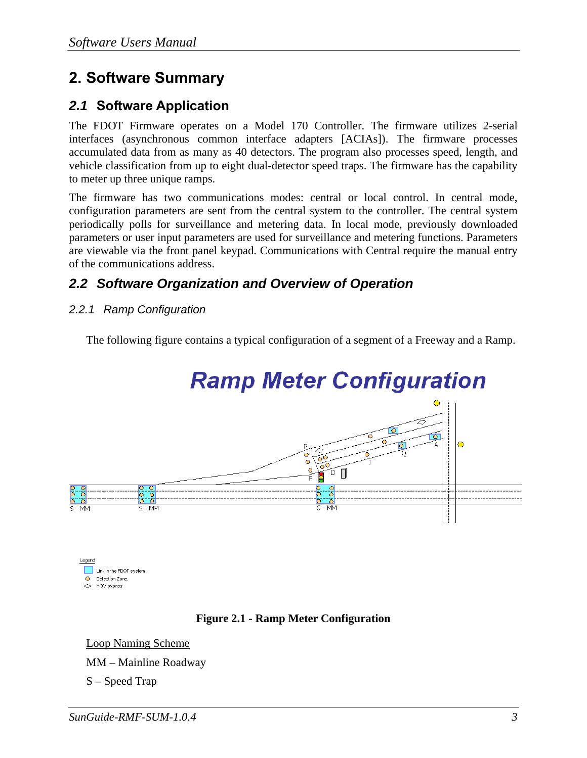## **2. Software Summary**

### *2.1* **Software Application**

The FDOT Firmware operates on a Model 170 Controller. The firmware utilizes 2-serial interfaces (asynchronous common interface adapters [ACIAs]). The firmware processes accumulated data from as many as 40 detectors. The program also processes speed, length, and vehicle classification from up to eight dual-detector speed traps. The firmware has the capability to meter up three unique ramps.

The firmware has two communications modes: central or local control. In central mode, configuration parameters are sent from the central system to the controller. The central system periodically polls for surveillance and metering data. In local mode, previously downloaded parameters or user input parameters are used for surveillance and metering functions. Parameters are viewable via the front panel keypad. Communications with Central require the manual entry of the communications address.

### *2.2 Software Organization and Overview of Operation*

*2.2.1 Ramp Configuration* 

The following figure contains a typical configuration of a segment of a Freeway and a Ramp.



Link in the FDOT system **Q** Detection Zone ← HOV bypass

### **Figure 2.1 - Ramp Meter Configuration**

Loop Naming Scheme MM – Mainline Roadway S – Speed Trap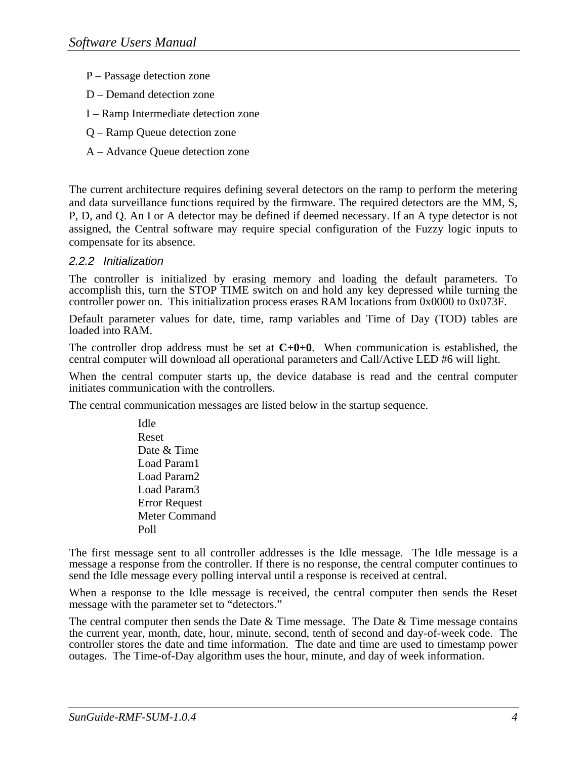- P Passage detection zone
- D Demand detection zone
- I Ramp Intermediate detection zone
- Q Ramp Queue detection zone
- A Advance Queue detection zone

The current architecture requires defining several detectors on the ramp to perform the metering and data surveillance functions required by the firmware. The required detectors are the MM, S, P, D, and Q. An I or A detector may be defined if deemed necessary. If an A type detector is not assigned, the Central software may require special configuration of the Fuzzy logic inputs to compensate for its absence.

#### *2.2.2 Initialization*

The controller is initialized by erasing memory and loading the default parameters. To accomplish this, turn the STOP TIME switch on and hold any key depressed while turning the controller power on. This initialization process erases RAM locations from 0x0000 to 0x073F.

Default parameter values for date, time, ramp variables and Time of Day (TOD) tables are loaded into RAM.

The controller drop address must be set at **C+0+0**. When communication is established, the central computer will download all operational parameters and Call/Active LED #6 will light.

When the central computer starts up, the device database is read and the central computer initiates communication with the controllers.

The central communication messages are listed below in the startup sequence.

Idle Reset Date & Time Load Param1 Load Param2 Load Param3 Error Request Meter Command Poll

The first message sent to all controller addresses is the Idle message. The Idle message is a message a response from the controller. If there is no response, the central computer continues to send the Idle message every polling interval until a response is received at central.

When a response to the Idle message is received, the central computer then sends the Reset message with the parameter set to "detectors."

The central computer then sends the Date  $&$  Time message. The Date  $&$  Time message contains the current year, month, date, hour, minute, second, tenth of second and day-of-week code. The controller stores the date and time information. The date and time are used to timestamp power outages. The Time-of-Day algorithm uses the hour, minute, and day of week information.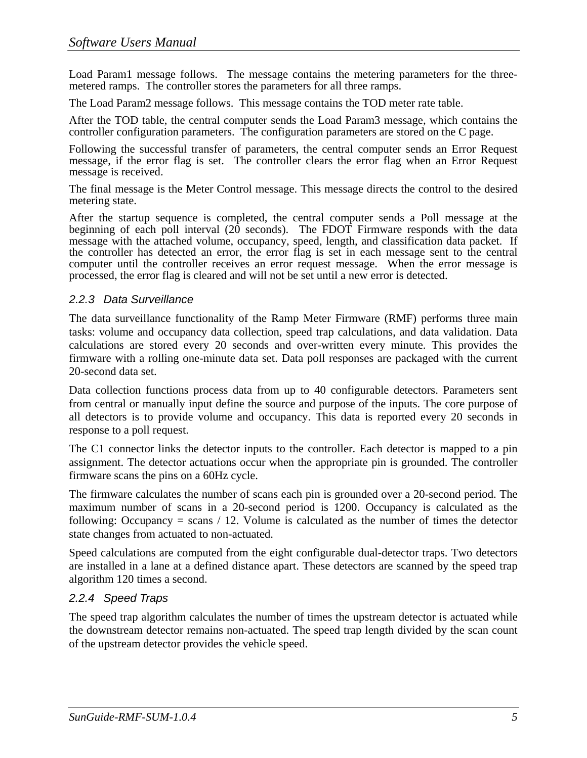Load Param1 message follows. The message contains the metering parameters for the threemetered ramps. The controller stores the parameters for all three ramps.

The Load Param2 message follows. This message contains the TOD meter rate table.

After the TOD table, the central computer sends the Load Param3 message, which contains the controller configuration parameters. The configuration parameters are stored on the C page.

Following the successful transfer of parameters, the central computer sends an Error Request message, if the error flag is set. The controller clears the error flag when an Error Request message is received.

The final message is the Meter Control message. This message directs the control to the desired metering state.

After the startup sequence is completed, the central computer sends a Poll message at the beginning of each poll interval (20 seconds). The FDOT Firmware responds with the data message with the attached volume, occupancy, speed, length, and classification data packet. If the controller has detected an error, the error flag is set in each message sent to the central computer until the controller receives an error request message. When the error message is processed, the error flag is cleared and will not be set until a new error is detected.

#### *2.2.3 Data Surveillance*

The data surveillance functionality of the Ramp Meter Firmware (RMF) performs three main tasks: volume and occupancy data collection, speed trap calculations, and data validation. Data calculations are stored every 20 seconds and over-written every minute. This provides the firmware with a rolling one-minute data set. Data poll responses are packaged with the current 20-second data set.

Data collection functions process data from up to 40 configurable detectors. Parameters sent from central or manually input define the source and purpose of the inputs. The core purpose of all detectors is to provide volume and occupancy. This data is reported every 20 seconds in response to a poll request.

The C1 connector links the detector inputs to the controller. Each detector is mapped to a pin assignment. The detector actuations occur when the appropriate pin is grounded. The controller firmware scans the pins on a 60Hz cycle.

The firmware calculates the number of scans each pin is grounded over a 20-second period. The maximum number of scans in a 20-second period is 1200. Occupancy is calculated as the following: Occupancy  $=$  scans  $/$  12. Volume is calculated as the number of times the detector state changes from actuated to non-actuated.

Speed calculations are computed from the eight configurable dual-detector traps. Two detectors are installed in a lane at a defined distance apart. These detectors are scanned by the speed trap algorithm 120 times a second.

### *2.2.4 Speed Traps*

The speed trap algorithm calculates the number of times the upstream detector is actuated while the downstream detector remains non-actuated. The speed trap length divided by the scan count of the upstream detector provides the vehicle speed.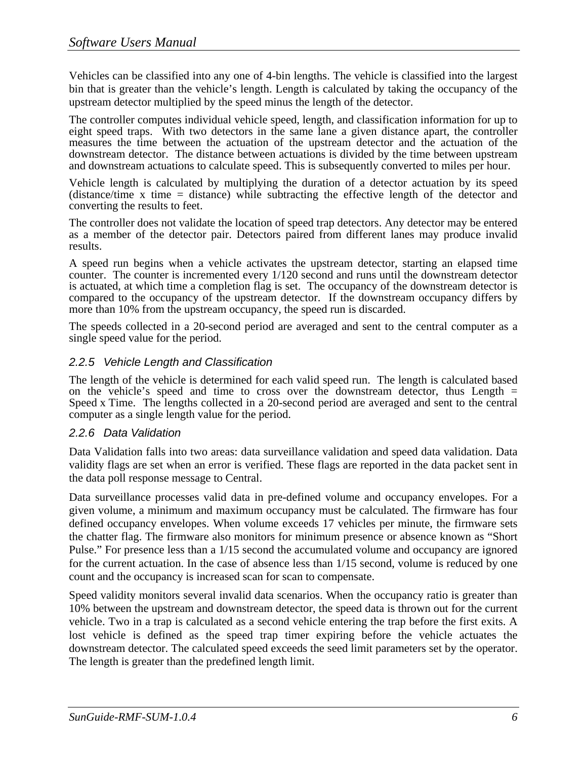Vehicles can be classified into any one of 4-bin lengths. The vehicle is classified into the largest bin that is greater than the vehicle's length. Length is calculated by taking the occupancy of the upstream detector multiplied by the speed minus the length of the detector.

The controller computes individual vehicle speed, length, and classification information for up to eight speed traps. With two detectors in the same lane a given distance apart, the controller measures the time between the actuation of the upstream detector and the actuation of the downstream detector. The distance between actuations is divided by the time between upstream and downstream actuations to calculate speed. This is subsequently converted to miles per hour.

Vehicle length is calculated by multiplying the duration of a detector actuation by its speed (distance/time x time = distance) while subtracting the effective length of the detector and converting the results to feet.

The controller does not validate the location of speed trap detectors. Any detector may be entered as a member of the detector pair. Detectors paired from different lanes may produce invalid results.

A speed run begins when a vehicle activates the upstream detector, starting an elapsed time counter. The counter is incremented every 1/120 second and runs until the downstream detector is actuated, at which time a completion flag is set. The occupancy of the downstream detector is compared to the occupancy of the upstream detector. If the downstream occupancy differs by more than 10% from the upstream occupancy, the speed run is discarded.

The speeds collected in a 20-second period are averaged and sent to the central computer as a single speed value for the period.

### *2.2.5 Vehicle Length and Classification*

The length of the vehicle is determined for each valid speed run. The length is calculated based on the vehicle's speed and time to cross over the downstream detector, thus Length  $=$ Speed x Time. The lengths collected in a 20-second period are averaged and sent to the central computer as a single length value for the period.

#### *2.2.6 Data Validation*

Data Validation falls into two areas: data surveillance validation and speed data validation. Data validity flags are set when an error is verified. These flags are reported in the data packet sent in the data poll response message to Central.

Data surveillance processes valid data in pre-defined volume and occupancy envelopes. For a given volume, a minimum and maximum occupancy must be calculated. The firmware has four defined occupancy envelopes. When volume exceeds 17 vehicles per minute, the firmware sets the chatter flag. The firmware also monitors for minimum presence or absence known as "Short Pulse." For presence less than a 1/15 second the accumulated volume and occupancy are ignored for the current actuation. In the case of absence less than 1/15 second, volume is reduced by one count and the occupancy is increased scan for scan to compensate.

Speed validity monitors several invalid data scenarios. When the occupancy ratio is greater than 10% between the upstream and downstream detector, the speed data is thrown out for the current vehicle. Two in a trap is calculated as a second vehicle entering the trap before the first exits. A lost vehicle is defined as the speed trap timer expiring before the vehicle actuates the downstream detector. The calculated speed exceeds the seed limit parameters set by the operator. The length is greater than the predefined length limit.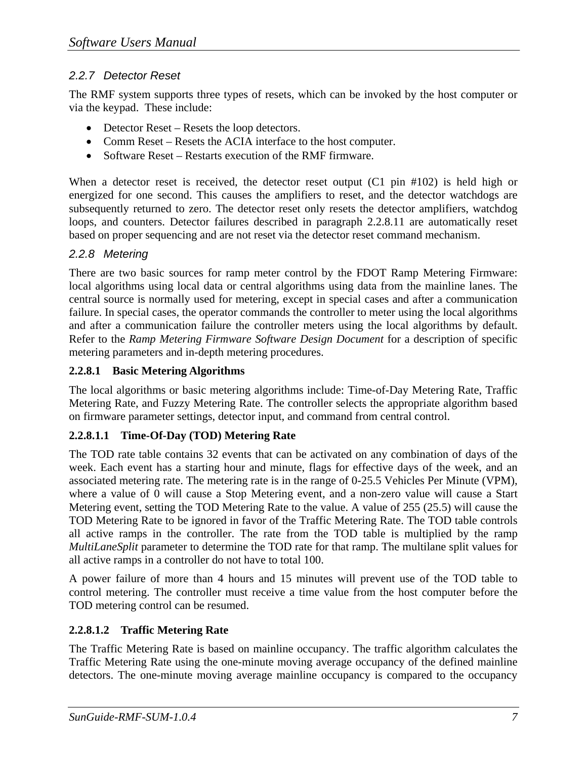### *2.2.7 Detector Reset*

The RMF system supports three types of resets, which can be invoked by the host computer or via the keypad. These include:

- Detector Reset Resets the loop detectors.
- Comm Reset Resets the ACIA interface to the host computer.
- Software Reset Restarts execution of the RMF firmware.

When a detector reset is received, the detector reset output (C1 pin #102) is held high or energized for one second. This causes the amplifiers to reset, and the detector watchdogs are subsequently returned to zero. The detector reset only resets the detector amplifiers, watchdog loops, and counters. Detector failures described in paragraph 2.2.8.11 are automatically reset based on proper sequencing and are not reset via the detector reset command mechanism.

### *2.2.8 Metering*

There are two basic sources for ramp meter control by the FDOT Ramp Metering Firmware: local algorithms using local data or central algorithms using data from the mainline lanes. The central source is normally used for metering, except in special cases and after a communication failure. In special cases, the operator commands the controller to meter using the local algorithms and after a communication failure the controller meters using the local algorithms by default. Refer to the *Ramp Metering Firmware Software Design Document* for a description of specific metering parameters and in-depth metering procedures.

### **2.2.8.1 Basic Metering Algorithms**

The local algorithms or basic metering algorithms include: Time-of-Day Metering Rate, Traffic Metering Rate, and Fuzzy Metering Rate. The controller selects the appropriate algorithm based on firmware parameter settings, detector input, and command from central control.

### **2.2.8.1.1 Time-Of-Day (TOD) Metering Rate**

The TOD rate table contains 32 events that can be activated on any combination of days of the week. Each event has a starting hour and minute, flags for effective days of the week, and an associated metering rate. The metering rate is in the range of 0-25.5 Vehicles Per Minute (VPM), where a value of 0 will cause a Stop Metering event, and a non-zero value will cause a Start Metering event, setting the TOD Metering Rate to the value. A value of 255 (25.5) will cause the TOD Metering Rate to be ignored in favor of the Traffic Metering Rate. The TOD table controls all active ramps in the controller. The rate from the TOD table is multiplied by the ramp *MultiLaneSplit* parameter to determine the TOD rate for that ramp. The multilane split values for all active ramps in a controller do not have to total 100.

A power failure of more than 4 hours and 15 minutes will prevent use of the TOD table to control metering. The controller must receive a time value from the host computer before the TOD metering control can be resumed.

### **2.2.8.1.2 Traffic Metering Rate**

The Traffic Metering Rate is based on mainline occupancy. The traffic algorithm calculates the Traffic Metering Rate using the one-minute moving average occupancy of the defined mainline detectors. The one-minute moving average mainline occupancy is compared to the occupancy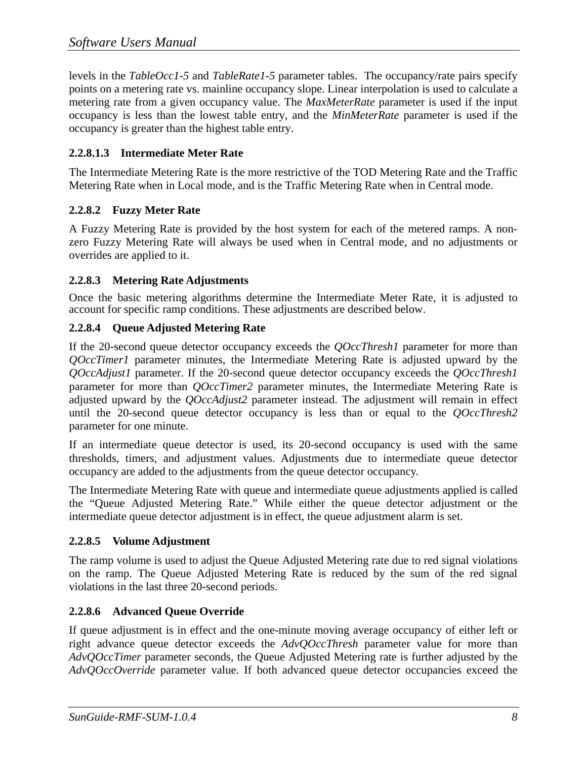levels in the *TableOcc1-5* and *TableRate1-5* parameter tables. The occupancy/rate pairs specify points on a metering rate vs. mainline occupancy slope. Linear interpolation is used to calculate a metering rate from a given occupancy value. The *MaxMeterRate* parameter is used if the input occupancy is less than the lowest table entry, and the *MinMeterRate* parameter is used if the occupancy is greater than the highest table entry.

### **2.2.8.1.3 Intermediate Meter Rate**

The Intermediate Metering Rate is the more restrictive of the TOD Metering Rate and the Traffic Metering Rate when in Local mode, and is the Traffic Metering Rate when in Central mode.

### **2.2.8.2 Fuzzy Meter Rate**

A Fuzzy Metering Rate is provided by the host system for each of the metered ramps. A nonzero Fuzzy Metering Rate will always be used when in Central mode, and no adjustments or overrides are applied to it.

### **2.2.8.3 Metering Rate Adjustments**

Once the basic metering algorithms determine the Intermediate Meter Rate, it is adjusted to account for specific ramp conditions. These adjustments are described below.

### **2.2.8.4 Queue Adjusted Metering Rate**

If the 20-second queue detector occupancy exceeds the *QOccThresh1* parameter for more than *QOccTimer1* parameter minutes, the Intermediate Metering Rate is adjusted upward by the *QOccAdjust1* parameter. If the 20-second queue detector occupancy exceeds the *QOccThresh1* parameter for more than *QOccTimer2* parameter minutes, the Intermediate Metering Rate is adjusted upward by the *QOccAdjust2* parameter instead. The adjustment will remain in effect until the 20-second queue detector occupancy is less than or equal to the *QOccThresh2* parameter for one minute.

If an intermediate queue detector is used, its 20-second occupancy is used with the same thresholds, timers, and adjustment values. Adjustments due to intermediate queue detector occupancy are added to the adjustments from the queue detector occupancy.

The Intermediate Metering Rate with queue and intermediate queue adjustments applied is called the "Queue Adjusted Metering Rate." While either the queue detector adjustment or the intermediate queue detector adjustment is in effect, the queue adjustment alarm is set.

### **2.2.8.5 Volume Adjustment**

The ramp volume is used to adjust the Queue Adjusted Metering rate due to red signal violations on the ramp. The Queue Adjusted Metering Rate is reduced by the sum of the red signal violations in the last three 20-second periods.

### **2.2.8.6 Advanced Queue Override**

If queue adjustment is in effect and the one-minute moving average occupancy of either left or right advance queue detector exceeds the *AdvQOccThresh* parameter value for more than *AdvQOccTimer* parameter seconds, the Queue Adjusted Metering rate is further adjusted by the *AdvQOccOverride* parameter value. If both advanced queue detector occupancies exceed the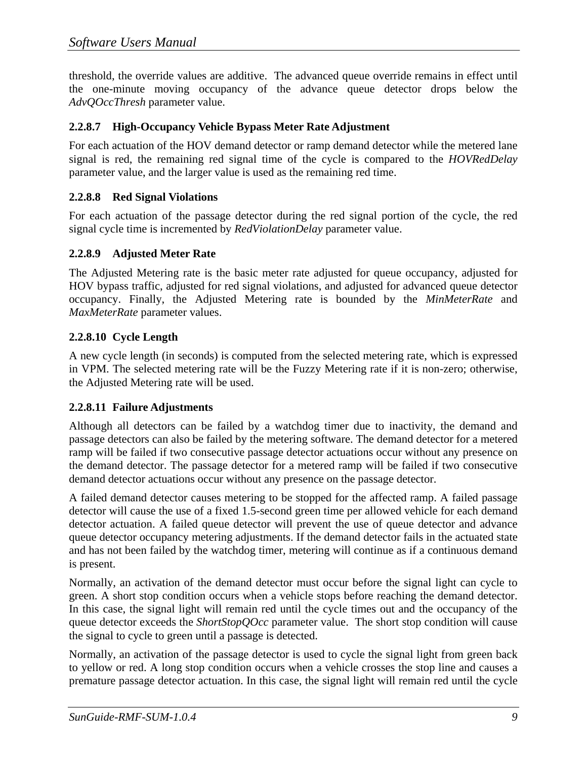threshold, the override values are additive. The advanced queue override remains in effect until the one-minute moving occupancy of the advance queue detector drops below the *AdvQOccThresh* parameter value.

### **2.2.8.7 High-Occupancy Vehicle Bypass Meter Rate Adjustment**

For each actuation of the HOV demand detector or ramp demand detector while the metered lane signal is red, the remaining red signal time of the cycle is compared to the *HOVRedDelay* parameter value, and the larger value is used as the remaining red time.

### **2.2.8.8 Red Signal Violations**

For each actuation of the passage detector during the red signal portion of the cycle, the red signal cycle time is incremented by *RedViolationDelay* parameter value.

#### **2.2.8.9 Adjusted Meter Rate**

The Adjusted Metering rate is the basic meter rate adjusted for queue occupancy, adjusted for HOV bypass traffic, adjusted for red signal violations, and adjusted for advanced queue detector occupancy. Finally, the Adjusted Metering rate is bounded by the *MinMeterRate* and *MaxMeterRate* parameter values.

### **2.2.8.10 Cycle Length**

A new cycle length (in seconds) is computed from the selected metering rate, which is expressed in VPM. The selected metering rate will be the Fuzzy Metering rate if it is non-zero; otherwise, the Adjusted Metering rate will be used.

#### **2.2.8.11 Failure Adjustments**

Although all detectors can be failed by a watchdog timer due to inactivity, the demand and passage detectors can also be failed by the metering software. The demand detector for a metered ramp will be failed if two consecutive passage detector actuations occur without any presence on the demand detector. The passage detector for a metered ramp will be failed if two consecutive demand detector actuations occur without any presence on the passage detector.

A failed demand detector causes metering to be stopped for the affected ramp. A failed passage detector will cause the use of a fixed 1.5-second green time per allowed vehicle for each demand detector actuation. A failed queue detector will prevent the use of queue detector and advance queue detector occupancy metering adjustments. If the demand detector fails in the actuated state and has not been failed by the watchdog timer, metering will continue as if a continuous demand is present.

Normally, an activation of the demand detector must occur before the signal light can cycle to green. A short stop condition occurs when a vehicle stops before reaching the demand detector. In this case, the signal light will remain red until the cycle times out and the occupancy of the queue detector exceeds the *ShortStopQOcc* parameter value. The short stop condition will cause the signal to cycle to green until a passage is detected.

Normally, an activation of the passage detector is used to cycle the signal light from green back to yellow or red. A long stop condition occurs when a vehicle crosses the stop line and causes a premature passage detector actuation. In this case, the signal light will remain red until the cycle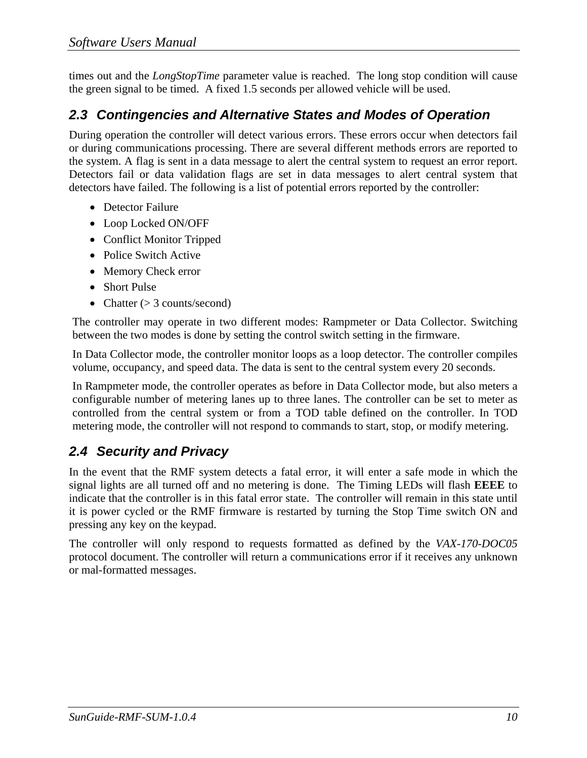times out and the *LongStopTime* parameter value is reached. The long stop condition will cause the green signal to be timed. A fixed 1.5 seconds per allowed vehicle will be used.

### *2.3 Contingencies and Alternative States and Modes of Operation*

 During operation the controller will detect various errors. These errors occur when detectors fail or during communications processing. There are several different methods errors are reported to the system. A flag is sent in a data message to alert the central system to request an error report. Detectors fail or data validation flags are set in data messages to alert central system that detectors have failed. The following is a list of potential errors reported by the controller:

- Detector Failure
- Loop Locked ON/OFF
- Conflict Monitor Tripped
- Police Switch Active
- Memory Check error
- Short Pulse
- Chatter  $(> 3$  counts/second)

The controller may operate in two different modes: Rampmeter or Data Collector. Switching between the two modes is done by setting the control switch setting in the firmware.

In Data Collector mode, the controller monitor loops as a loop detector. The controller compiles volume, occupancy, and speed data. The data is sent to the central system every 20 seconds.

In Rampmeter mode, the controller operates as before in Data Collector mode, but also meters a configurable number of metering lanes up to three lanes. The controller can be set to meter as controlled from the central system or from a TOD table defined on the controller. In TOD metering mode, the controller will not respond to commands to start, stop, or modify metering.

### *2.4 Security and Privacy*

In the event that the RMF system detects a fatal error, it will enter a safe mode in which the signal lights are all turned off and no metering is done. The Timing LEDs will flash **EEEE** to indicate that the controller is in this fatal error state. The controller will remain in this state until it is power cycled or the RMF firmware is restarted by turning the Stop Time switch ON and pressing any key on the keypad.

The controller will only respond to requests formatted as defined by the *VAX-170-DOC05*  protocol document. The controller will return a communications error if it receives any unknown or mal-formatted messages.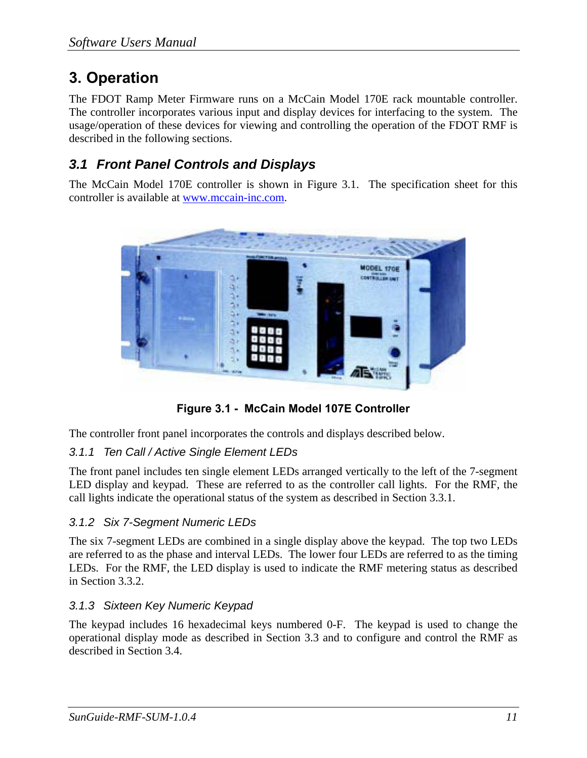# **3. Operation**

The FDOT Ramp Meter Firmware runs on a McCain Model 170E rack mountable controller. The controller incorporates various input and display devices for interfacing to the system. The usage/operation of these devices for viewing and controlling the operation of the FDOT RMF is described in the following sections.

### *3.1 Front Panel Controls and Displays*

The McCain Model 170E controller is shown in Figure 3.1. The specification sheet for this controller is available at www.mccain-inc.com.



**Figure 3.1 - McCain Model 107E Controller** 

The controller front panel incorporates the controls and displays described below.

### *3.1.1 Ten Call / Active Single Element LEDs*

The front panel includes ten single element LEDs arranged vertically to the left of the 7-segment LED display and keypad. These are referred to as the controller call lights. For the RMF, the call lights indicate the operational status of the system as described in Section 3.3.1.

### *3.1.2 Six 7-Segment Numeric LEDs*

The six 7-segment LEDs are combined in a single display above the keypad. The top two LEDs are referred to as the phase and interval LEDs. The lower four LEDs are referred to as the timing LEDs. For the RMF, the LED display is used to indicate the RMF metering status as described in Section 3.3.2.

### *3.1.3 Sixteen Key Numeric Keypad*

The keypad includes 16 hexadecimal keys numbered 0-F. The keypad is used to change the operational display mode as described in Section 3.3 and to configure and control the RMF as described in Section 3.4.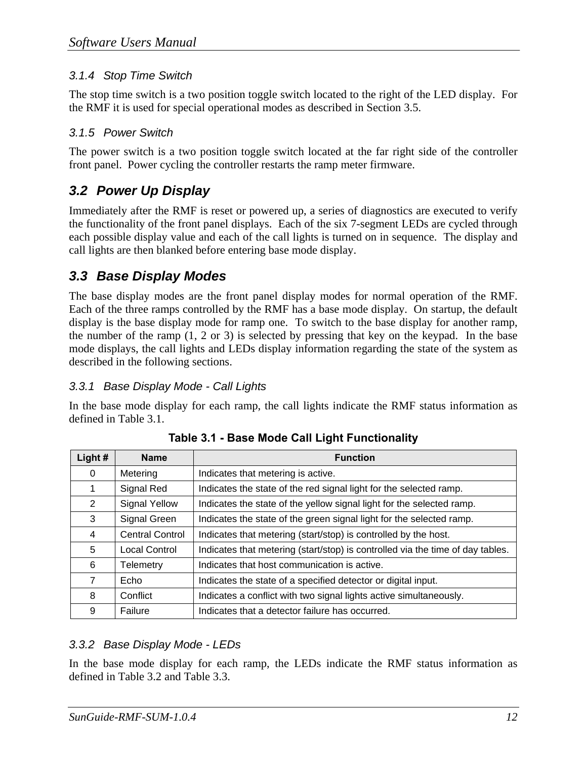### *3.1.4 Stop Time Switch*

The stop time switch is a two position toggle switch located to the right of the LED display. For the RMF it is used for special operational modes as described in Section 3.5.

### *3.1.5 Power Switch*

The power switch is a two position toggle switch located at the far right side of the controller front panel. Power cycling the controller restarts the ramp meter firmware.

### *3.2 Power Up Display*

Immediately after the RMF is reset or powered up, a series of diagnostics are executed to verify the functionality of the front panel displays. Each of the six 7-segment LEDs are cycled through each possible display value and each of the call lights is turned on in sequence. The display and call lights are then blanked before entering base mode display.

### *3.3 Base Display Modes*

The base display modes are the front panel display modes for normal operation of the RMF. Each of the three ramps controlled by the RMF has a base mode display. On startup, the default display is the base display mode for ramp one. To switch to the base display for another ramp, the number of the ramp  $(1, 2 \text{ or } 3)$  is selected by pressing that key on the keypad. In the base mode displays, the call lights and LEDs display information regarding the state of the system as described in the following sections.

### *3.3.1 Base Display Mode - Call Lights*

In the base mode display for each ramp, the call lights indicate the RMF status information as defined in Table 3.1.

| Light#                | <b>Name</b><br><b>Function</b> |                                                                                |
|-----------------------|--------------------------------|--------------------------------------------------------------------------------|
| 0                     | Metering                       | Indicates that metering is active.                                             |
| 1                     | Signal Red                     | Indicates the state of the red signal light for the selected ramp.             |
| $\mathbf{2}^{\prime}$ | <b>Signal Yellow</b>           | Indicates the state of the yellow signal light for the selected ramp.          |
| 3                     | Signal Green                   | Indicates the state of the green signal light for the selected ramp.           |
| 4                     | <b>Central Control</b>         | Indicates that metering (start/stop) is controlled by the host.                |
| 5                     | <b>Local Control</b>           | Indicates that metering (start/stop) is controlled via the time of day tables. |
| 6                     | <b>Telemetry</b>               | Indicates that host communication is active.                                   |
| 7                     | Echo                           | Indicates the state of a specified detector or digital input.                  |
| 8                     | Conflict                       | Indicates a conflict with two signal lights active simultaneously.             |
| 9                     | Failure                        | Indicates that a detector failure has occurred.                                |

**Table 3.1 - Base Mode Call Light Functionality** 

### *3.3.2 Base Display Mode - LEDs*

In the base mode display for each ramp, the LEDs indicate the RMF status information as defined in Table 3.2 and Table 3.3.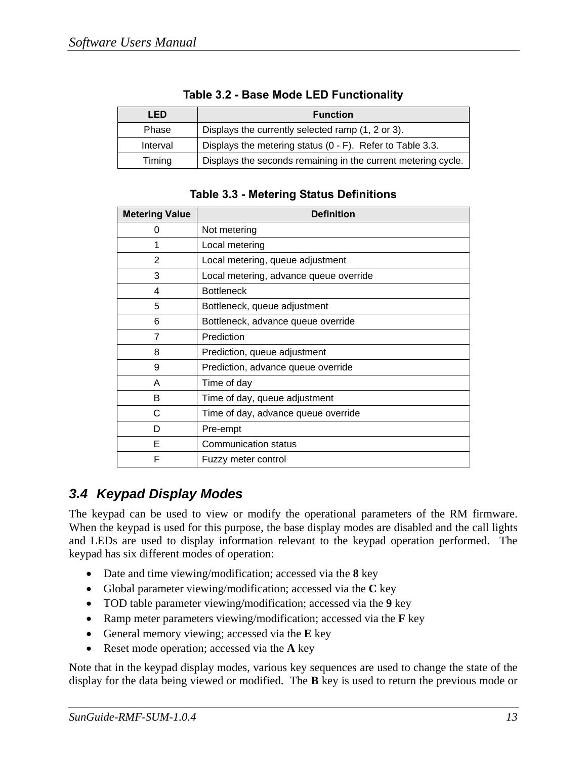| LED      | <b>Function</b>                                               |
|----------|---------------------------------------------------------------|
| Phase    | Displays the currently selected ramp (1, 2 or 3).             |
| Interval | Displays the metering status (0 - F). Refer to Table 3.3.     |
| Timing   | Displays the seconds remaining in the current metering cycle. |

|  |  | Table 3.2 - Base Mode LED Functionality |
|--|--|-----------------------------------------|
|  |  |                                         |

| <b>Table 3.3 - Metering Status Definitions</b> |
|------------------------------------------------|
|------------------------------------------------|

| <b>Metering Value</b> | <b>Definition</b>                      |  |
|-----------------------|----------------------------------------|--|
| 0                     | Not metering                           |  |
| 1                     | Local metering                         |  |
| $\overline{2}$        | Local metering, queue adjustment       |  |
| 3                     | Local metering, advance queue override |  |
| 4                     | <b>Bottleneck</b>                      |  |
| 5                     | Bottleneck, queue adjustment           |  |
| 6                     | Bottleneck, advance queue override     |  |
| 7                     | Prediction                             |  |
| 8                     | Prediction, queue adjustment           |  |
| 9                     | Prediction, advance queue override     |  |
| A                     | Time of day                            |  |
| в                     | Time of day, queue adjustment          |  |
| C                     | Time of day, advance queue override    |  |
| D                     | Pre-empt                               |  |
| Е                     | <b>Communication status</b>            |  |
| F                     | Fuzzy meter control                    |  |

### *3.4 Keypad Display Modes*

The keypad can be used to view or modify the operational parameters of the RM firmware. When the keypad is used for this purpose, the base display modes are disabled and the call lights and LEDs are used to display information relevant to the keypad operation performed. The keypad has six different modes of operation:

- Date and time viewing/modification; accessed via the **8** key
- Global parameter viewing/modification; accessed via the **C** key
- TOD table parameter viewing/modification; accessed via the **9** key
- Ramp meter parameters viewing/modification; accessed via the **F** key
- General memory viewing; accessed via the **E** key
- Reset mode operation; accessed via the **A** key

Note that in the keypad display modes, various key sequences are used to change the state of the display for the data being viewed or modified. The **B** key is used to return the previous mode or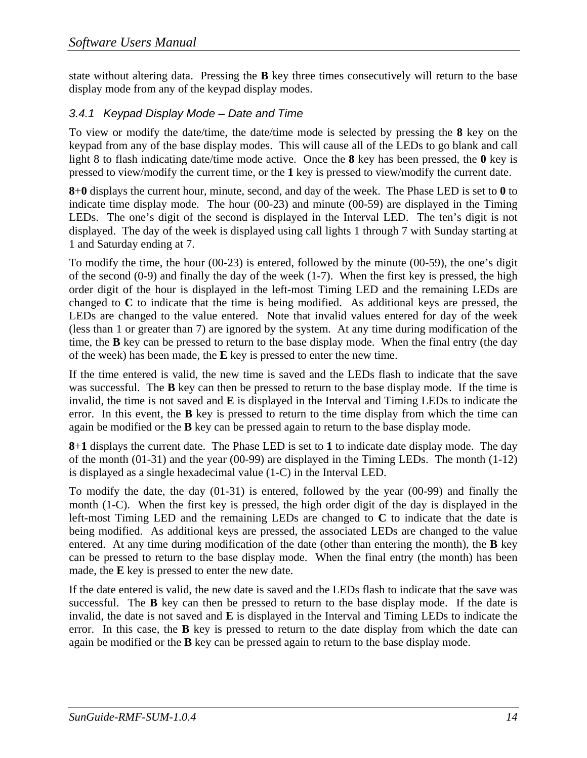state without altering data. Pressing the **B** key three times consecutively will return to the base display mode from any of the keypad display modes.

### *3.4.1 Keypad Display Mode – Date and Time*

To view or modify the date/time, the date/time mode is selected by pressing the **8** key on the keypad from any of the base display modes. This will cause all of the LEDs to go blank and call light 8 to flash indicating date/time mode active. Once the **8** key has been pressed, the **0** key is pressed to view/modify the current time, or the **1** key is pressed to view/modify the current date.

**8**+**0** displays the current hour, minute, second, and day of the week. The Phase LED is set to **0** to indicate time display mode. The hour (00-23) and minute (00-59) are displayed in the Timing LEDs. The one's digit of the second is displayed in the Interval LED. The ten's digit is not displayed. The day of the week is displayed using call lights 1 through 7 with Sunday starting at 1 and Saturday ending at 7.

To modify the time, the hour (00-23) is entered, followed by the minute (00-59), the one's digit of the second (0-9) and finally the day of the week (1-7). When the first key is pressed, the high order digit of the hour is displayed in the left-most Timing LED and the remaining LEDs are changed to **C** to indicate that the time is being modified. As additional keys are pressed, the LEDs are changed to the value entered. Note that invalid values entered for day of the week (less than 1 or greater than 7) are ignored by the system. At any time during modification of the time, the **B** key can be pressed to return to the base display mode. When the final entry (the day of the week) has been made, the **E** key is pressed to enter the new time.

If the time entered is valid, the new time is saved and the LEDs flash to indicate that the save was successful. The **B** key can then be pressed to return to the base display mode. If the time is invalid, the time is not saved and **E** is displayed in the Interval and Timing LEDs to indicate the error. In this event, the **B** key is pressed to return to the time display from which the time can again be modified or the **B** key can be pressed again to return to the base display mode.

**8**+**1** displays the current date. The Phase LED is set to **1** to indicate date display mode. The day of the month (01-31) and the year (00-99) are displayed in the Timing LEDs. The month (1-12) is displayed as a single hexadecimal value (1-C) in the Interval LED.

To modify the date, the day (01-31) is entered, followed by the year (00-99) and finally the month (1-C). When the first key is pressed, the high order digit of the day is displayed in the left-most Timing LED and the remaining LEDs are changed to **C** to indicate that the date is being modified. As additional keys are pressed, the associated LEDs are changed to the value entered. At any time during modification of the date (other than entering the month), the **B** key can be pressed to return to the base display mode. When the final entry (the month) has been made, the **E** key is pressed to enter the new date.

If the date entered is valid, the new date is saved and the LEDs flash to indicate that the save was successful. The **B** key can then be pressed to return to the base display mode. If the date is invalid, the date is not saved and **E** is displayed in the Interval and Timing LEDs to indicate the error. In this case, the **B** key is pressed to return to the date display from which the date can again be modified or the **B** key can be pressed again to return to the base display mode.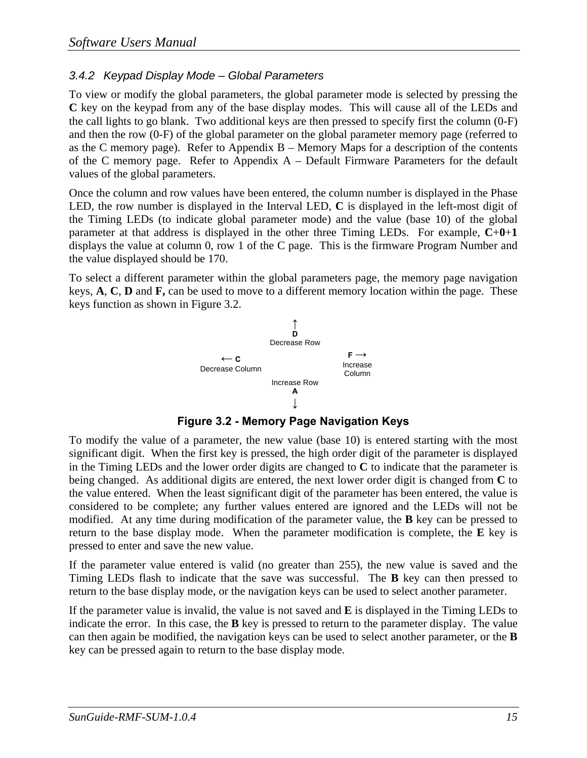### *3.4.2 Keypad Display Mode – Global Parameters*

To view or modify the global parameters, the global parameter mode is selected by pressing the **C** key on the keypad from any of the base display modes. This will cause all of the LEDs and the call lights to go blank. Two additional keys are then pressed to specify first the column (0-F) and then the row (0-F) of the global parameter on the global parameter memory page (referred to as the C memory page). Refer to Appendix  $B -$ Memory Maps for a description of the contents of the C memory page. Refer to Appendix A – Default Firmware Parameters for the default values of the global parameters.

Once the column and row values have been entered, the column number is displayed in the Phase LED, the row number is displayed in the Interval LED, **C** is displayed in the left-most digit of the Timing LEDs (to indicate global parameter mode) and the value (base 10) of the global parameter at that address is displayed in the other three Timing LEDs. For example, **C**+**0**+**1** displays the value at column 0, row 1 of the C page. This is the firmware Program Number and the value displayed should be 170.

To select a different parameter within the global parameters page, the memory page navigation keys, **A**, **C**, **D** and **F,** can be used to move to a different memory location within the page. These keys function as shown in Figure 3.2.



**Figure 3.2 - Memory Page Navigation Keys** 

To modify the value of a parameter, the new value (base 10) is entered starting with the most significant digit. When the first key is pressed, the high order digit of the parameter is displayed in the Timing LEDs and the lower order digits are changed to **C** to indicate that the parameter is being changed. As additional digits are entered, the next lower order digit is changed from **C** to the value entered. When the least significant digit of the parameter has been entered, the value is considered to be complete; any further values entered are ignored and the LEDs will not be modified. At any time during modification of the parameter value, the **B** key can be pressed to return to the base display mode. When the parameter modification is complete, the **E** key is pressed to enter and save the new value.

If the parameter value entered is valid (no greater than 255), the new value is saved and the Timing LEDs flash to indicate that the save was successful. The **B** key can then pressed to return to the base display mode, or the navigation keys can be used to select another parameter.

If the parameter value is invalid, the value is not saved and **E** is displayed in the Timing LEDs to indicate the error. In this case, the **B** key is pressed to return to the parameter display. The value can then again be modified, the navigation keys can be used to select another parameter, or the **B** key can be pressed again to return to the base display mode.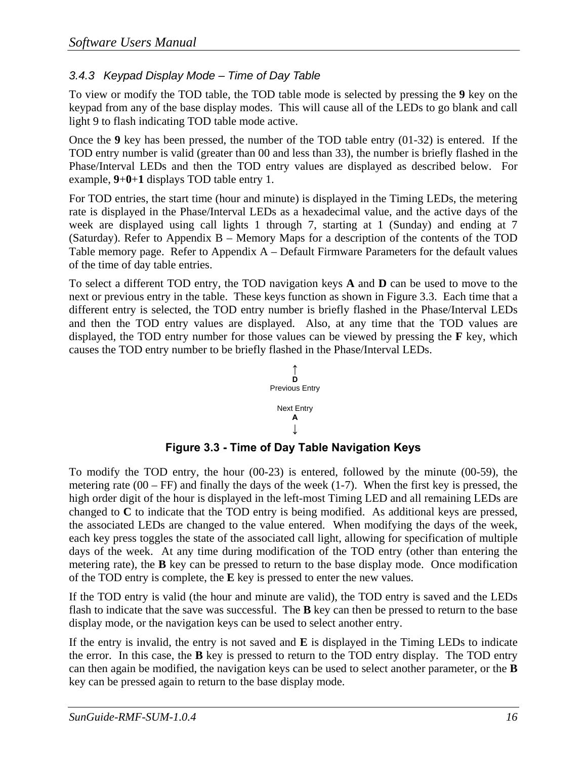### *3.4.3 Keypad Display Mode – Time of Day Table*

To view or modify the TOD table, the TOD table mode is selected by pressing the **9** key on the keypad from any of the base display modes. This will cause all of the LEDs to go blank and call light 9 to flash indicating TOD table mode active.

Once the **9** key has been pressed, the number of the TOD table entry (01-32) is entered. If the TOD entry number is valid (greater than 00 and less than 33), the number is briefly flashed in the Phase/Interval LEDs and then the TOD entry values are displayed as described below. For example, **9**+**0**+**1** displays TOD table entry 1.

For TOD entries, the start time (hour and minute) is displayed in the Timing LEDs, the metering rate is displayed in the Phase/Interval LEDs as a hexadecimal value, and the active days of the week are displayed using call lights 1 through 7, starting at 1 (Sunday) and ending at 7 (Saturday). Refer to Appendix B – Memory Maps for a description of the contents of the TOD Table memory page. Refer to Appendix A – Default Firmware Parameters for the default values of the time of day table entries.

To select a different TOD entry, the TOD navigation keys **A** and **D** can be used to move to the next or previous entry in the table. These keys function as shown in Figure 3.3. Each time that a different entry is selected, the TOD entry number is briefly flashed in the Phase/Interval LEDs and then the TOD entry values are displayed. Also, at any time that the TOD values are displayed, the TOD entry number for those values can be viewed by pressing the **F** key, which causes the TOD entry number to be briefly flashed in the Phase/Interval LEDs.



**Figure 3.3 - Time of Day Table Navigation Keys** 

To modify the TOD entry, the hour (00-23) is entered, followed by the minute (00-59), the metering rate  $(00 - FF)$  and finally the days of the week  $(1-7)$ . When the first key is pressed, the high order digit of the hour is displayed in the left-most Timing LED and all remaining LEDs are changed to **C** to indicate that the TOD entry is being modified. As additional keys are pressed, the associated LEDs are changed to the value entered. When modifying the days of the week, each key press toggles the state of the associated call light, allowing for specification of multiple days of the week. At any time during modification of the TOD entry (other than entering the metering rate), the **B** key can be pressed to return to the base display mode. Once modification of the TOD entry is complete, the **E** key is pressed to enter the new values.

If the TOD entry is valid (the hour and minute are valid), the TOD entry is saved and the LEDs flash to indicate that the save was successful. The **B** key can then be pressed to return to the base display mode, or the navigation keys can be used to select another entry.

If the entry is invalid, the entry is not saved and **E** is displayed in the Timing LEDs to indicate the error. In this case, the **B** key is pressed to return to the TOD entry display. The TOD entry can then again be modified, the navigation keys can be used to select another parameter, or the **B** key can be pressed again to return to the base display mode.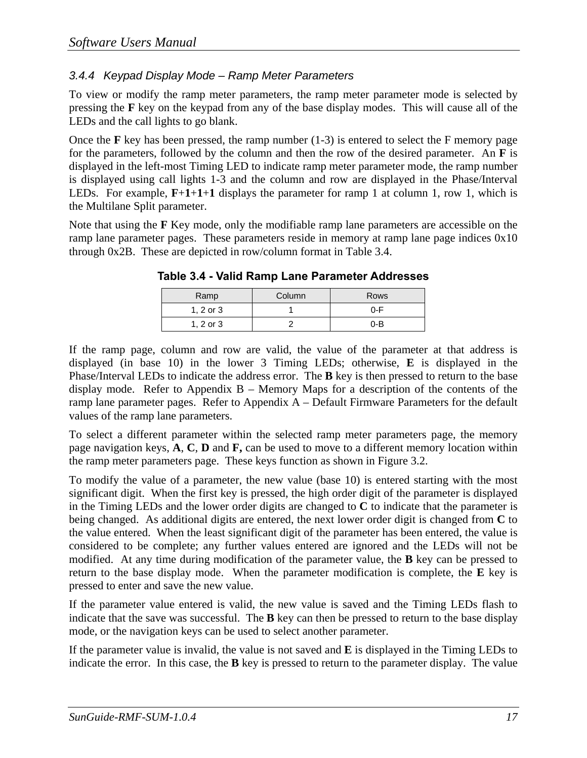### *3.4.4 Keypad Display Mode – Ramp Meter Parameters*

To view or modify the ramp meter parameters, the ramp meter parameter mode is selected by pressing the **F** key on the keypad from any of the base display modes. This will cause all of the LEDs and the call lights to go blank.

Once the **F** key has been pressed, the ramp number (1-3) is entered to select the F memory page for the parameters, followed by the column and then the row of the desired parameter. An **F** is displayed in the left-most Timing LED to indicate ramp meter parameter mode, the ramp number is displayed using call lights 1-3 and the column and row are displayed in the Phase/Interval LEDs. For example, **F**+**1**+**1**+**1** displays the parameter for ramp 1 at column 1, row 1, which is the Multilane Split parameter.

Note that using the **F** Key mode, only the modifiable ramp lane parameters are accessible on the ramp lane parameter pages. These parameters reside in memory at ramp lane page indices 0x10 through 0x2B. These are depicted in row/column format in Table 3.4.

| Ramp          | Column | Rows    |  |  |
|---------------|--------|---------|--|--|
| $1, 2$ or $3$ |        | 0-F     |  |  |
| $1, 2$ or $3$ |        | $0 - B$ |  |  |

**Table 3.4 - Valid Ramp Lane Parameter Addresses** 

If the ramp page, column and row are valid, the value of the parameter at that address is displayed (in base 10) in the lower 3 Timing LEDs; otherwise, **E** is displayed in the Phase/Interval LEDs to indicate the address error. The **B** key is then pressed to return to the base display mode. Refer to Appendix  $B -$  Memory Maps for a description of the contents of the ramp lane parameter pages. Refer to Appendix A – Default Firmware Parameters for the default values of the ramp lane parameters.

To select a different parameter within the selected ramp meter parameters page, the memory page navigation keys, **A**, **C**, **D** and **F,** can be used to move to a different memory location within the ramp meter parameters page. These keys function as shown in Figure 3.2.

To modify the value of a parameter, the new value (base 10) is entered starting with the most significant digit. When the first key is pressed, the high order digit of the parameter is displayed in the Timing LEDs and the lower order digits are changed to **C** to indicate that the parameter is being changed. As additional digits are entered, the next lower order digit is changed from **C** to the value entered. When the least significant digit of the parameter has been entered, the value is considered to be complete; any further values entered are ignored and the LEDs will not be modified. At any time during modification of the parameter value, the **B** key can be pressed to return to the base display mode. When the parameter modification is complete, the **E** key is pressed to enter and save the new value.

If the parameter value entered is valid, the new value is saved and the Timing LEDs flash to indicate that the save was successful. The **B** key can then be pressed to return to the base display mode, or the navigation keys can be used to select another parameter.

If the parameter value is invalid, the value is not saved and **E** is displayed in the Timing LEDs to indicate the error. In this case, the **B** key is pressed to return to the parameter display. The value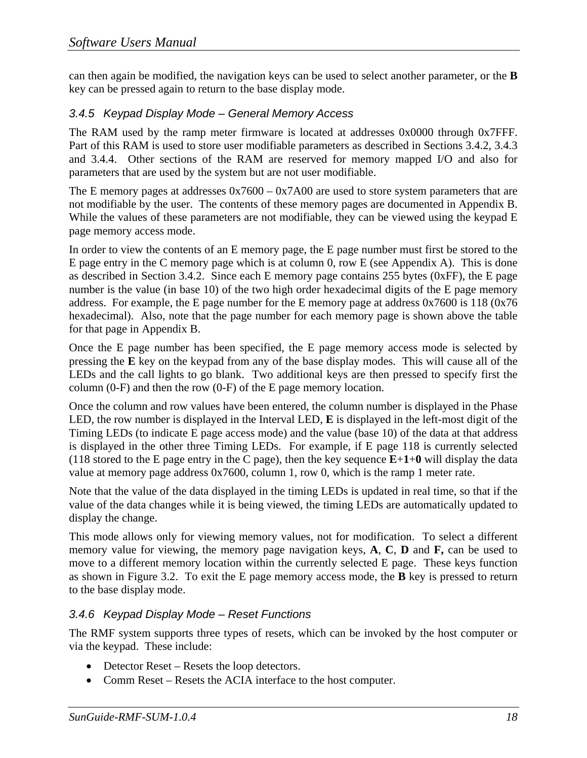can then again be modified, the navigation keys can be used to select another parameter, or the **B** key can be pressed again to return to the base display mode.

### *3.4.5 Keypad Display Mode – General Memory Access*

The RAM used by the ramp meter firmware is located at addresses 0x0000 through 0x7FFF. Part of this RAM is used to store user modifiable parameters as described in Sections 3.4.2, 3.4.3 and 3.4.4. Other sections of the RAM are reserved for memory mapped I/O and also for parameters that are used by the system but are not user modifiable.

The E memory pages at addresses 0x7600 – 0x7A00 are used to store system parameters that are not modifiable by the user. The contents of these memory pages are documented in Appendix B. While the values of these parameters are not modifiable, they can be viewed using the keypad E page memory access mode.

In order to view the contents of an E memory page, the E page number must first be stored to the E page entry in the C memory page which is at column 0, row E (see Appendix A). This is done as described in Section 3.4.2. Since each E memory page contains 255 bytes (0xFF), the E page number is the value (in base 10) of the two high order hexadecimal digits of the E page memory address. For example, the E page number for the E memory page at address 0x7600 is 118 (0x76 hexadecimal). Also, note that the page number for each memory page is shown above the table for that page in Appendix B.

Once the E page number has been specified, the E page memory access mode is selected by pressing the **E** key on the keypad from any of the base display modes. This will cause all of the LEDs and the call lights to go blank. Two additional keys are then pressed to specify first the column (0-F) and then the row (0-F) of the E page memory location.

Once the column and row values have been entered, the column number is displayed in the Phase LED, the row number is displayed in the Interval LED, **E** is displayed in the left-most digit of the Timing LEDs (to indicate E page access mode) and the value (base 10) of the data at that address is displayed in the other three Timing LEDs. For example, if E page 118 is currently selected (118 stored to the E page entry in the C page), then the key sequence **E**+**1**+**0** will display the data value at memory page address 0x7600, column 1, row 0, which is the ramp 1 meter rate.

Note that the value of the data displayed in the timing LEDs is updated in real time, so that if the value of the data changes while it is being viewed, the timing LEDs are automatically updated to display the change.

This mode allows only for viewing memory values, not for modification. To select a different memory value for viewing, the memory page navigation keys, **A**, **C**, **D** and **F,** can be used to move to a different memory location within the currently selected E page. These keys function as shown in Figure 3.2. To exit the E page memory access mode, the **B** key is pressed to return to the base display mode.

### *3.4.6 Keypad Display Mode – Reset Functions*

The RMF system supports three types of resets, which can be invoked by the host computer or via the keypad. These include:

- Detector Reset Resets the loop detectors.
- Comm Reset Resets the ACIA interface to the host computer.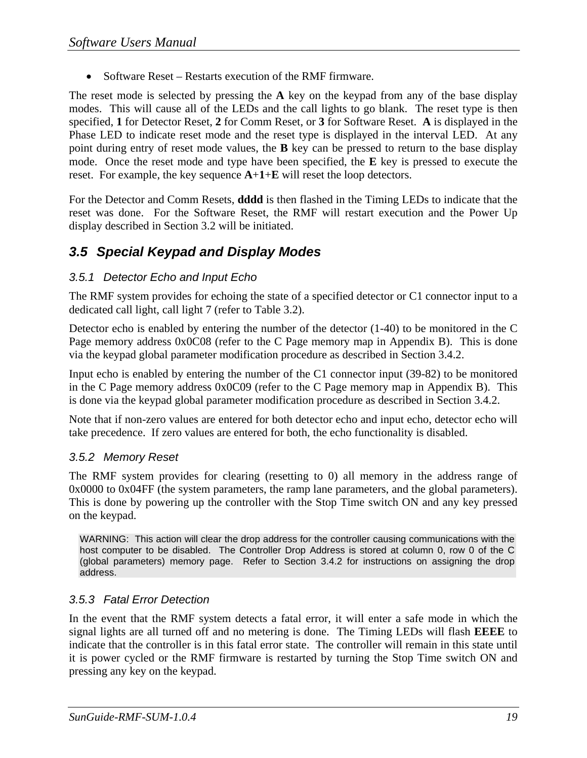• Software Reset – Restarts execution of the RMF firmware.

The reset mode is selected by pressing the **A** key on the keypad from any of the base display modes. This will cause all of the LEDs and the call lights to go blank. The reset type is then specified, **1** for Detector Reset, **2** for Comm Reset, or **3** for Software Reset. **A** is displayed in the Phase LED to indicate reset mode and the reset type is displayed in the interval LED. At any point during entry of reset mode values, the **B** key can be pressed to return to the base display mode. Once the reset mode and type have been specified, the **E** key is pressed to execute the reset. For example, the key sequence **A**+**1**+**E** will reset the loop detectors.

For the Detector and Comm Resets, **dddd** is then flashed in the Timing LEDs to indicate that the reset was done. For the Software Reset, the RMF will restart execution and the Power Up display described in Section 3.2 will be initiated.

### *3.5 Special Keypad and Display Modes*

### *3.5.1 Detector Echo and Input Echo*

The RMF system provides for echoing the state of a specified detector or C1 connector input to a dedicated call light, call light 7 (refer to Table 3.2).

Detector echo is enabled by entering the number of the detector (1-40) to be monitored in the C Page memory address 0x0C08 (refer to the C Page memory map in Appendix B). This is done via the keypad global parameter modification procedure as described in Section 3.4.2.

Input echo is enabled by entering the number of the C1 connector input (39-82) to be monitored in the C Page memory address 0x0C09 (refer to the C Page memory map in Appendix B). This is done via the keypad global parameter modification procedure as described in Section 3.4.2.

Note that if non-zero values are entered for both detector echo and input echo, detector echo will take precedence. If zero values are entered for both, the echo functionality is disabled.

### *3.5.2 Memory Reset*

The RMF system provides for clearing (resetting to 0) all memory in the address range of 0x0000 to 0x04FF (the system parameters, the ramp lane parameters, and the global parameters). This is done by powering up the controller with the Stop Time switch ON and any key pressed on the keypad.

WARNING: This action will clear the drop address for the controller causing communications with the host computer to be disabled. The Controller Drop Address is stored at column 0, row 0 of the C (global parameters) memory page. Refer to Section 3.4.2 for instructions on assigning the drop address.

### *3.5.3 Fatal Error Detection*

In the event that the RMF system detects a fatal error, it will enter a safe mode in which the signal lights are all turned off and no metering is done. The Timing LEDs will flash **EEEE** to indicate that the controller is in this fatal error state. The controller will remain in this state until it is power cycled or the RMF firmware is restarted by turning the Stop Time switch ON and pressing any key on the keypad.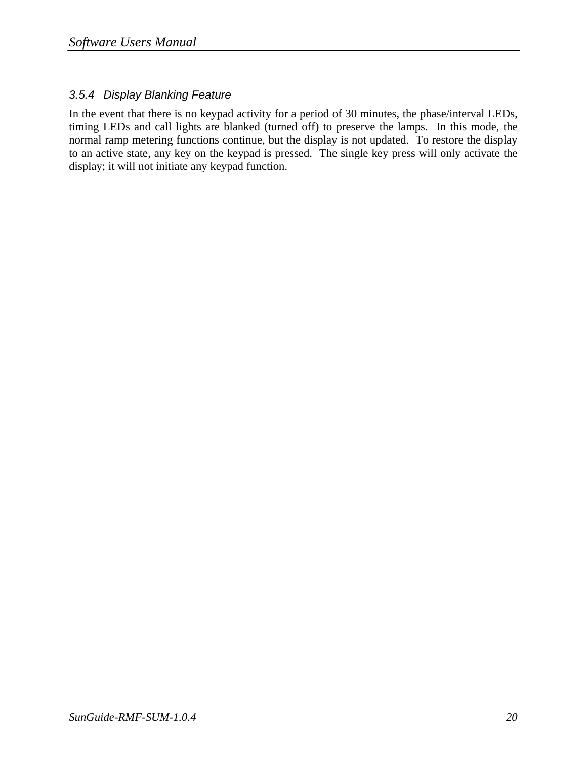### *3.5.4 Display Blanking Feature*

In the event that there is no keypad activity for a period of 30 minutes, the phase/interval LEDs, timing LEDs and call lights are blanked (turned off) to preserve the lamps. In this mode, the normal ramp metering functions continue, but the display is not updated. To restore the display to an active state, any key on the keypad is pressed. The single key press will only activate the display; it will not initiate any keypad function.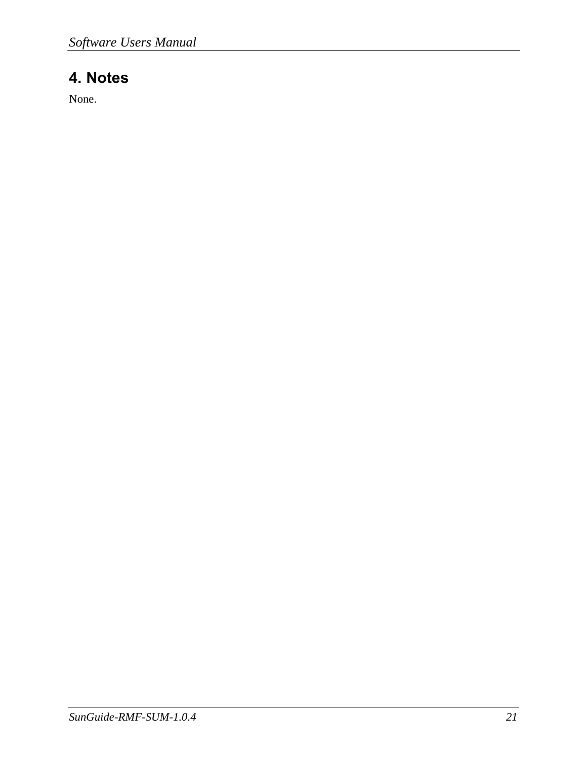# **4. Notes**

None.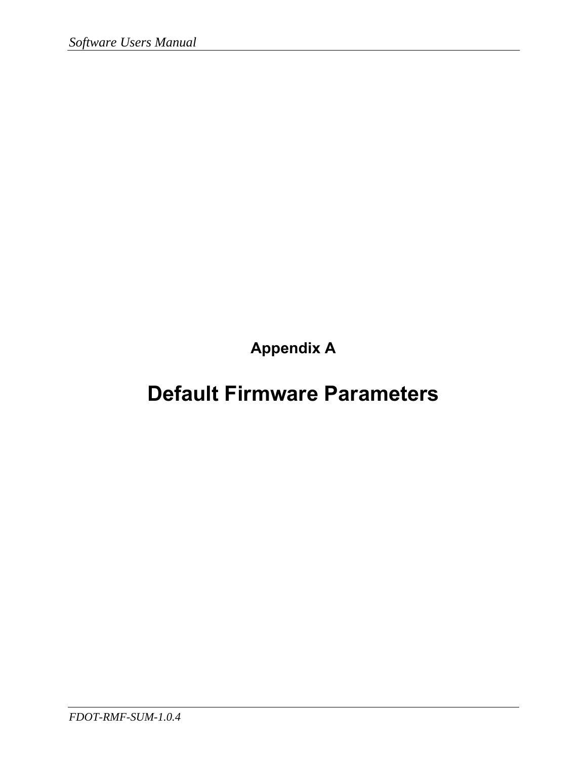**Appendix A** 

# **Default Firmware Parameters**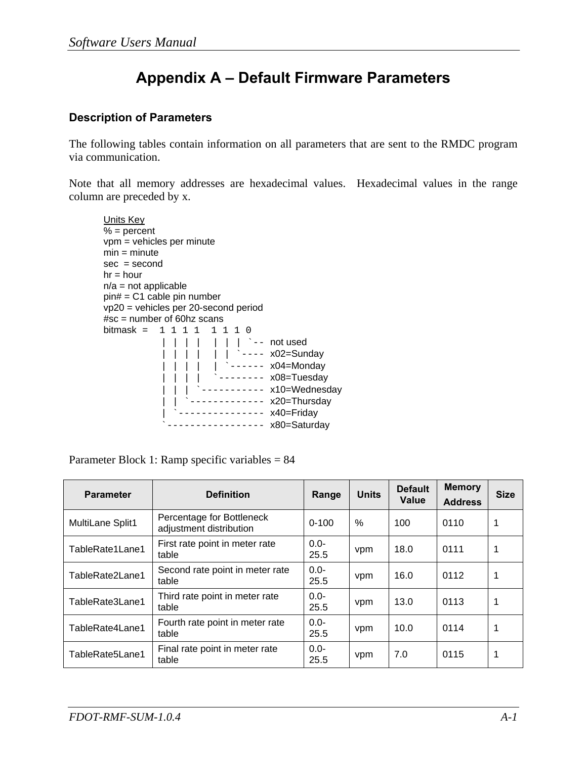# **Appendix A – Default Firmware Parameters**

### **Description of Parameters**

The following tables contain information on all parameters that are sent to the RMDC program via communication.

Note that all memory addresses are hexadecimal values. Hexadecimal values in the range column are preceded by x.

```
Units Key
% = percent
 vpm = vehicles per minute 
min = minutesec = secondhr = hourn/a = not applicable
 pin# = C1 cable pin number 
 vp20 = vehicles per 20-second period 
 #sc = number of 60hz scans 
bitmask = 1 1 1 1 1 1 1 0| | | | | | | <sup>-</sup>-- not used
               | | | | | <sup>----</sup> x02=Sunday
             | | | | | `------ x04=Monday
                       \frac{1}{2} -------- x08=Tuesday
                     |<br>|----------- x10=Wednesday
                 \frac{1}{2} ------------ x20=Thursday
                ------------- x40=Friday
               --------------- x80=Saturday
```
Parameter Block 1: Ramp specific variables = 84

| <b>Parameter</b> | <b>Definition</b>                                    | Range           | <b>Units</b> | <b>Default</b><br>Value | <b>Memory</b><br><b>Address</b> | <b>Size</b> |
|------------------|------------------------------------------------------|-----------------|--------------|-------------------------|---------------------------------|-------------|
| MultiLane Split1 | Percentage for Bottleneck<br>adjustment distribution | $0 - 100$       | $\%$         | 100                     | 0110                            | 1           |
| TableRate1Lane1  | First rate point in meter rate<br>table              | $0.0 -$<br>25.5 | vpm          | 18.0                    | 0111                            | 1           |
| TableRate2Lane1  | Second rate point in meter rate<br>table             | $0.0 -$<br>25.5 | vpm          | 16.0                    | 0112                            | 1           |
| TableRate3Lane1  | Third rate point in meter rate<br>table              | $0.0 -$<br>25.5 | vpm          | 13.0                    | 0113                            | 1           |
| TableRate4Lane1  | Fourth rate point in meter rate<br>table             | $0.0 -$<br>25.5 | vpm          | 10.0                    | 0114                            | 1           |
| TableRate5Lane1  | Final rate point in meter rate<br>table              | $0.0 -$<br>25.5 | vpm          | 7.0                     | 0115                            | 1           |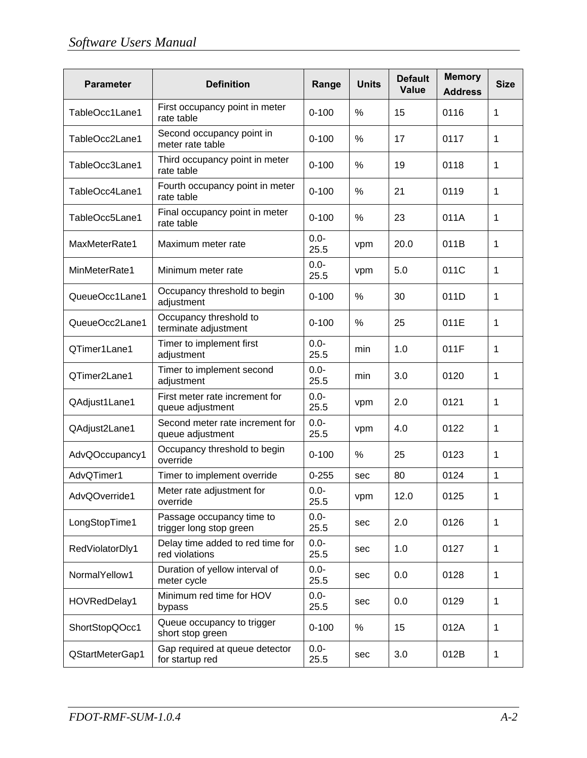| <b>Parameter</b> | <b>Definition</b>                                    | Range           | <b>Units</b> | <b>Default</b><br><b>Value</b> | <b>Memory</b><br><b>Address</b> | <b>Size</b>  |
|------------------|------------------------------------------------------|-----------------|--------------|--------------------------------|---------------------------------|--------------|
| TableOcc1Lane1   | First occupancy point in meter<br>rate table         | $0 - 100$       | %            | 15                             | 0116                            | 1            |
| TableOcc2Lane1   | Second occupancy point in<br>meter rate table        | $0 - 100$       | %            | 17                             | 0117                            | 1            |
| TableOcc3Lane1   | Third occupancy point in meter<br>rate table         | $0 - 100$       | %            | 19                             | 0118                            | $\mathbf 1$  |
| TableOcc4Lane1   | Fourth occupancy point in meter<br>rate table        | $0 - 100$       | %            | 21                             | 0119                            | 1            |
| TableOcc5Lane1   | Final occupancy point in meter<br>rate table         | $0 - 100$       | %            | 23                             | 011A                            | 1            |
| MaxMeterRate1    | Maximum meter rate                                   | $0.0 -$<br>25.5 | vpm          | 20.0                           | 011B                            | 1            |
| MinMeterRate1    | Minimum meter rate                                   | $0.0 -$<br>25.5 | vpm          | 5.0                            | 011C                            | 1            |
| QueueOcc1Lane1   | Occupancy threshold to begin<br>adjustment           | $0 - 100$       | %            | 30                             | 011D                            | 1            |
| QueueOcc2Lane1   | Occupancy threshold to<br>terminate adjustment       | $0 - 100$       | %            | 25                             | 011E                            | 1            |
| QTimer1Lane1     | Timer to implement first<br>adjustment               | $0.0 -$<br>25.5 | min          | 1.0                            | 011F                            | 1            |
| QTimer2Lane1     | Timer to implement second<br>adjustment              | $0.0 -$<br>25.5 | min          | 3.0                            | 0120                            | 1            |
| QAdjust1Lane1    | First meter rate increment for<br>queue adjustment   | $0.0 -$<br>25.5 | vpm          | 2.0                            | 0121                            | 1            |
| QAdjust2Lane1    | Second meter rate increment for<br>queue adjustment  | $0.0 -$<br>25.5 | vpm          | 4.0                            | 0122                            | 1            |
| AdvQOccupancy1   | Occupancy threshold to begin<br>override             | $0 - 100$       | %            | 25                             | 0123                            | 1            |
| AdvQTimer1       | Timer to implement override                          | $0 - 255$       | sec          | 80                             | 0124                            | $\mathbf{1}$ |
| AdvQOverride1    | Meter rate adjustment for<br>override                | $0.0 -$<br>25.5 | vpm          | 12.0                           | 0125                            | 1            |
| LongStopTime1    | Passage occupancy time to<br>trigger long stop green | $0.0 -$<br>25.5 | sec          | 2.0                            | 0126                            | 1            |
| RedViolatorDly1  | Delay time added to red time for<br>red violations   | $0.0 -$<br>25.5 | sec          | 1.0                            | 0127                            | 1            |
| NormalYellow1    | Duration of yellow interval of<br>meter cycle        | $0.0 -$<br>25.5 | sec          | 0.0                            | 0128                            | 1            |
| HOVRedDelay1     | Minimum red time for HOV<br>bypass                   | $0.0 -$<br>25.5 | sec          | 0.0                            | 0129                            | 1            |
| ShortStopQOcc1   | Queue occupancy to trigger<br>short stop green       | $0 - 100$       | %            | 15                             | 012A                            | 1            |
| QStartMeterGap1  | Gap required at queue detector<br>for startup red    | $0.0 -$<br>25.5 | sec          | 3.0                            | 012B                            | 1            |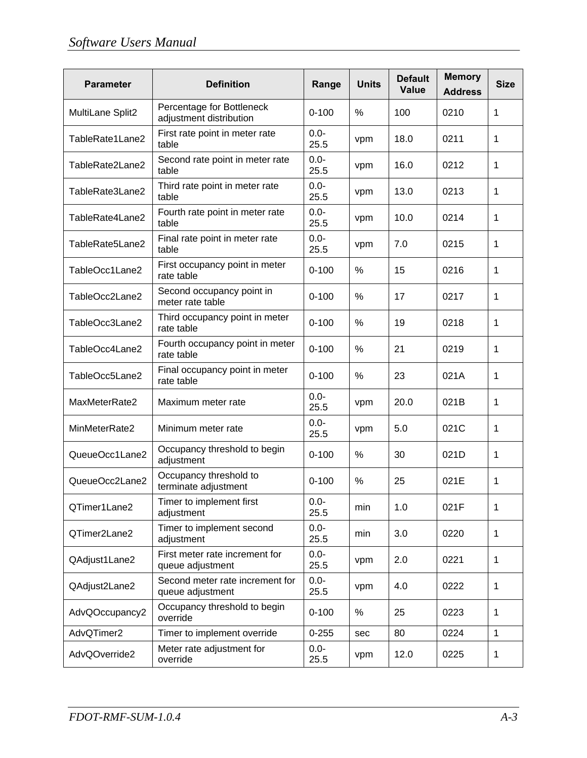| <b>Parameter</b> | <b>Definition</b>                                    | Range           | <b>Units</b> | <b>Default</b><br>Value | <b>Memory</b><br><b>Address</b> | <b>Size</b> |
|------------------|------------------------------------------------------|-----------------|--------------|-------------------------|---------------------------------|-------------|
| MultiLane Split2 | Percentage for Bottleneck<br>adjustment distribution | $0 - 100$       | $\%$         | 100                     | 0210                            | 1           |
| TableRate1Lane2  | First rate point in meter rate<br>table              | $0.0 -$<br>25.5 | vpm          | 18.0                    | 0211                            | 1           |
| TableRate2Lane2  | Second rate point in meter rate<br>table             | $0.0 -$<br>25.5 | vpm          | 16.0                    | 0212                            | 1           |
| TableRate3Lane2  | Third rate point in meter rate<br>table              | $0.0 -$<br>25.5 | vpm          | 13.0                    | 0213                            | 1           |
| TableRate4Lane2  | Fourth rate point in meter rate<br>table             | $0.0 -$<br>25.5 | vpm          | 10.0                    | 0214                            | $\mathbf 1$ |
| TableRate5Lane2  | Final rate point in meter rate<br>table              | $0.0 -$<br>25.5 | vpm          | 7.0                     | 0215                            | 1           |
| TableOcc1Lane2   | First occupancy point in meter<br>rate table         | $0 - 100$       | $\%$         | 15                      | 0216                            | 1           |
| TableOcc2Lane2   | Second occupancy point in<br>meter rate table        | $0 - 100$       | %            | 17                      | 0217                            | 1           |
| TableOcc3Lane2   | Third occupancy point in meter<br>rate table         | $0 - 100$       | %            | 19                      | 0218                            | 1           |
| TableOcc4Lane2   | Fourth occupancy point in meter<br>rate table        | $0 - 100$       | %            | 21                      | 0219                            | 1           |
| TableOcc5Lane2   | Final occupancy point in meter<br>rate table         | $0 - 100$       | %            | 23                      | 021A                            | 1           |
| MaxMeterRate2    | Maximum meter rate                                   | $0.0 -$<br>25.5 | vpm          | 20.0                    | 021B                            | 1           |
| MinMeterRate2    | Minimum meter rate                                   | $0.0 -$<br>25.5 | vpm          | 5.0                     | 021C                            | 1           |
| QueueOcc1Lane2   | Occupancy threshold to begin<br>adjustment           | $0 - 100$       | %            | 30                      | 021D                            | 1           |
| QueueOcc2Lane2   | Occupancy threshold to<br>terminate adjustment       | $0 - 100$       | %            | 25                      | 021E                            | 1           |
| QTimer1Lane2     | Timer to implement first<br>adjustment               | $0.0 -$<br>25.5 | min          | 1.0                     | 021F                            | 1           |
| QTimer2Lane2     | Timer to implement second<br>adjustment              | $0.0 -$<br>25.5 | min          | 3.0                     | 0220                            | 1           |
| QAdjust1Lane2    | First meter rate increment for<br>queue adjustment   | $0.0 -$<br>25.5 | vpm          | 2.0                     | 0221                            | 1           |
| QAdjust2Lane2    | Second meter rate increment for<br>queue adjustment  | $0.0 -$<br>25.5 | vpm          | 4.0                     | 0222                            | $\mathbf 1$ |
| AdvQOccupancy2   | Occupancy threshold to begin<br>override             | $0 - 100$       | %            | 25                      | 0223                            | 1           |
| AdvQTimer2       | Timer to implement override                          | $0 - 255$       | sec          | 80                      | 0224                            | 1           |
| AdvQOverride2    | Meter rate adjustment for<br>override                | $0.0 -$<br>25.5 | vpm          | 12.0                    | 0225                            | 1           |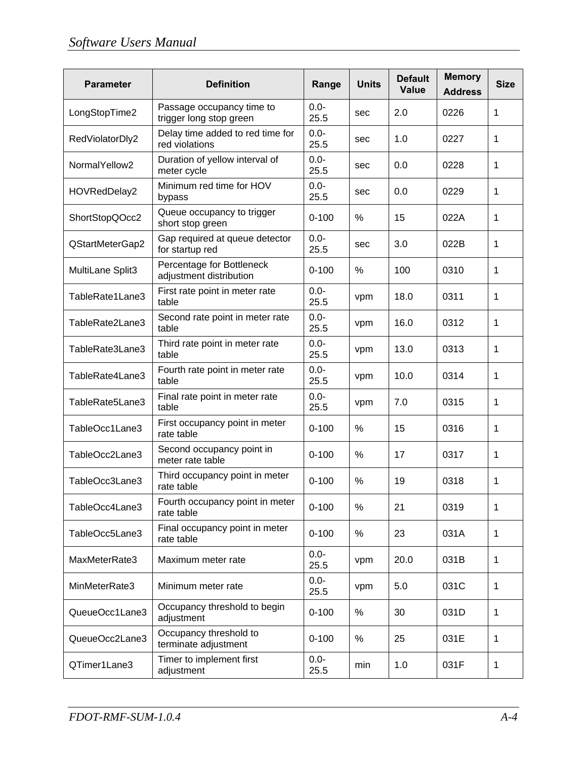| <b>Parameter</b> | <b>Definition</b>                                    | Range           | <b>Units</b> | <b>Default</b><br><b>Value</b> | <b>Memory</b><br><b>Address</b> | <b>Size</b>  |
|------------------|------------------------------------------------------|-----------------|--------------|--------------------------------|---------------------------------|--------------|
| LongStopTime2    | Passage occupancy time to<br>trigger long stop green | $0.0 -$<br>25.5 | sec          | 2.0                            | 0226                            | 1            |
| RedViolatorDly2  | Delay time added to red time for<br>red violations   | $0.0 -$<br>25.5 | sec          | 1.0                            | 0227                            | 1            |
| NormalYellow2    | Duration of yellow interval of<br>meter cycle        | $0.0 -$<br>25.5 | sec          | 0.0                            | 0228                            | 1            |
| HOVRedDelay2     | Minimum red time for HOV<br>bypass                   | $0.0 -$<br>25.5 | sec          | 0.0                            | 0229                            | 1            |
| ShortStopQOcc2   | Queue occupancy to trigger<br>short stop green       | $0 - 100$       | %            | 15                             | 022A                            | 1            |
| QStartMeterGap2  | Gap required at queue detector<br>for startup red    | $0.0 -$<br>25.5 | sec          | 3.0                            | 022B                            | $\mathbf{1}$ |
| MultiLane Split3 | Percentage for Bottleneck<br>adjustment distribution | $0 - 100$       | %            | 100                            | 0310                            | 1            |
| TableRate1Lane3  | First rate point in meter rate<br>table              | $0.0 -$<br>25.5 | vpm          | 18.0                           | 0311                            | 1            |
| TableRate2Lane3  | Second rate point in meter rate<br>table             | $0.0 -$<br>25.5 | vpm          | 16.0                           | 0312                            | 1            |
| TableRate3Lane3  | Third rate point in meter rate<br>table              | $0.0 -$<br>25.5 | vpm          | 13.0                           | 0313                            | 1            |
| TableRate4Lane3  | Fourth rate point in meter rate<br>table             | $0.0 -$<br>25.5 | vpm          | 10.0                           | 0314                            | 1            |
| TableRate5Lane3  | Final rate point in meter rate<br>table              | $0.0 -$<br>25.5 | vpm          | 7.0                            | 0315                            | 1            |
| TableOcc1Lane3   | First occupancy point in meter<br>rate table         | $0 - 100$       | %            | 15                             | 0316                            | 1            |
| TableOcc2Lane3   | Second occupancy point in<br>meter rate table        | $0 - 100$       | %            | 17                             | 0317                            | 1            |
| TableOcc3Lane3   | Third occupancy point in meter<br>rate table         | $0 - 100$       | %            | 19                             | 0318                            | 1            |
| TableOcc4Lane3   | Fourth occupancy point in meter<br>rate table        | $0 - 100$       | %            | 21                             | 0319                            | 1            |
| TableOcc5Lane3   | Final occupancy point in meter<br>rate table         | $0 - 100$       | $\%$         | 23                             | 031A                            | 1            |
| MaxMeterRate3    | Maximum meter rate                                   | $0.0 -$<br>25.5 | vpm          | 20.0                           | 031B                            | 1            |
| MinMeterRate3    | Minimum meter rate                                   | $0.0 -$<br>25.5 | vpm          | 5.0                            | 031C                            | 1            |
| QueueOcc1Lane3   | Occupancy threshold to begin<br>adjustment           | $0 - 100$       | %            | 30                             | 031D                            | 1            |
| QueueOcc2Lane3   | Occupancy threshold to<br>terminate adjustment       | $0 - 100$       | %            | 25                             | 031E                            | 1            |
| QTimer1Lane3     | Timer to implement first<br>adjustment               | $0.0 -$<br>25.5 | min          | 1.0                            | 031F                            | 1            |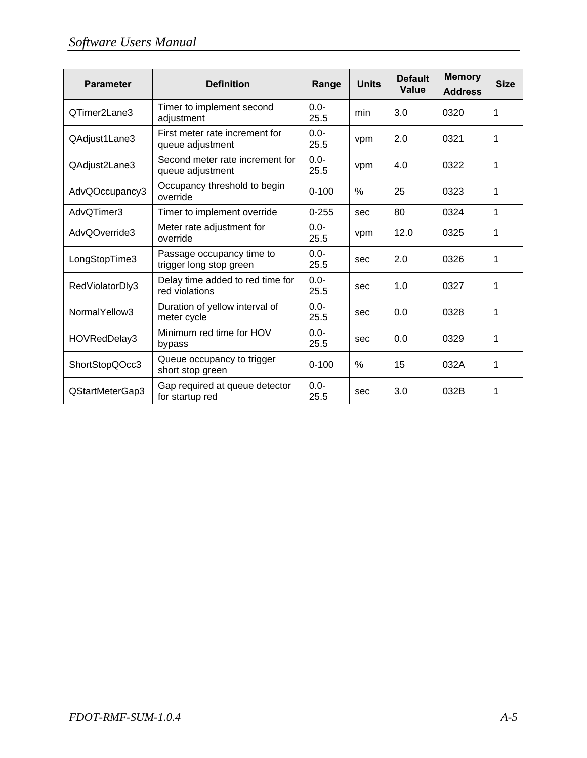| <b>Parameter</b> | <b>Definition</b>                                    | Range           | <b>Units</b> | <b>Default</b><br><b>Value</b> | <b>Memory</b><br><b>Address</b> | <b>Size</b> |
|------------------|------------------------------------------------------|-----------------|--------------|--------------------------------|---------------------------------|-------------|
| QTimer2Lane3     | Timer to implement second<br>adjustment              | $0.0 -$<br>25.5 | min          | 3.0                            | 0320                            | 1           |
| QAdjust1Lane3    | First meter rate increment for<br>queue adjustment   | $0.0 -$<br>25.5 | vpm          | 2.0                            | 0321                            | 1           |
| QAdjust2Lane3    | Second meter rate increment for<br>queue adjustment  | $0.0 -$<br>25.5 | vpm          | 4.0                            | 0322                            | 1           |
| AdvQOccupancy3   | Occupancy threshold to begin<br>override             | $0 - 100$       | $\%$         | 25                             | 0323                            | 1           |
| AdvQTimer3       | Timer to implement override                          | $0 - 255$       | sec          | 80                             | 0324                            | 1           |
| AdvQOverride3    | Meter rate adjustment for<br>override                | $0.0 -$<br>25.5 | vpm          | 12.0                           | 0325                            | 1           |
| LongStopTime3    | Passage occupancy time to<br>trigger long stop green | $0.0 -$<br>25.5 | sec          | 2.0                            | 0326                            | 1           |
| RedViolatorDly3  | Delay time added to red time for<br>red violations   | $0.0 -$<br>25.5 | sec          | 1.0                            | 0327                            | 1           |
| NormalYellow3    | Duration of yellow interval of<br>meter cycle        | $0.0 -$<br>25.5 | sec          | 0.0                            | 0328                            | 1           |
| HOVRedDelay3     | Minimum red time for HOV<br>bypass                   | $0.0 -$<br>25.5 | sec          | 0.0                            | 0329                            | 1           |
| ShortStopQOcc3   | Queue occupancy to trigger<br>short stop green       | $0 - 100$       | $\%$         | 15                             | 032A                            | 1           |
| QStartMeterGap3  | Gap required at queue detector<br>for startup red    | $0.0 -$<br>25.5 | sec          | 3.0                            | 032B                            | 1           |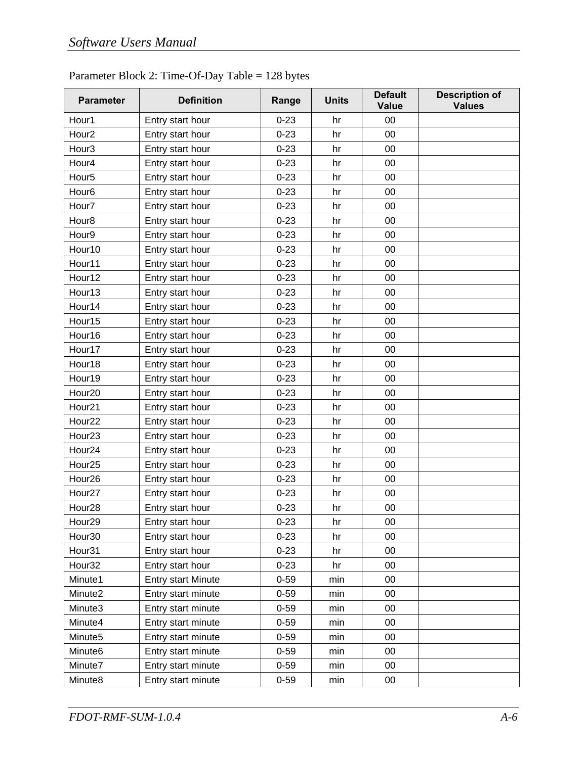| <b>Parameter</b>    | <b>Definition</b>         | Range    | <b>Units</b> | <b>Default</b><br>Value | <b>Description of</b><br><b>Values</b> |
|---------------------|---------------------------|----------|--------------|-------------------------|----------------------------------------|
| Hour1               | Entry start hour          | $0 - 23$ | hr           | 00                      |                                        |
| Hour <sub>2</sub>   | Entry start hour          | $0 - 23$ | hr           | 00                      |                                        |
| Hour <sub>3</sub>   | Entry start hour          | $0 - 23$ | hr           | 00                      |                                        |
| Hour4               | Entry start hour          | $0 - 23$ | hr           | 00                      |                                        |
| Hour <sub>5</sub>   | Entry start hour          | $0 - 23$ | hr           | 00                      |                                        |
| Hour <sub>6</sub>   | Entry start hour          | $0 - 23$ | hr           | 00                      |                                        |
| Hour7               | Entry start hour          | $0 - 23$ | hr           | 00                      |                                        |
| Hour <sub>8</sub>   | Entry start hour          | $0 - 23$ | hr           | 00                      |                                        |
| Hour9               | Entry start hour          | $0 - 23$ | hr           | 00                      |                                        |
| Hour10              | Entry start hour          | $0 - 23$ | hr           | 00                      |                                        |
| Hour11              | Entry start hour          | $0 - 23$ | hr           | 00                      |                                        |
| Hour12              | Entry start hour          | $0 - 23$ | hr           | 00                      |                                        |
| Hour13              | Entry start hour          | $0 - 23$ | hr           | 00                      |                                        |
| Hour14              | Entry start hour          | $0 - 23$ | hr           | 00                      |                                        |
| Hour15              | Entry start hour          | $0 - 23$ | hr           | 00                      |                                        |
| Hour16              | Entry start hour          | $0 - 23$ | hr           | 00                      |                                        |
| Hour17              | Entry start hour          | $0 - 23$ | hr           | 00                      |                                        |
| Hour18              | Entry start hour          | $0 - 23$ | hr           | 00                      |                                        |
| Hour19              | Entry start hour          | $0 - 23$ | hr           | 00                      |                                        |
| Hour20              | Entry start hour          | $0 - 23$ | hr           | 00                      |                                        |
| Hour21              | Entry start hour          | $0 - 23$ | hr           | 00                      |                                        |
| Hour22              | Entry start hour          | $0 - 23$ | hr           | 00                      |                                        |
| Hour <sub>23</sub>  | Entry start hour          | $0 - 23$ | hr           | 00                      |                                        |
| Hour24              | Entry start hour          | $0 - 23$ | hr           | 00                      |                                        |
| Hour25              | Entry start hour          | $0 - 23$ | hr           | 00                      |                                        |
| Hour26              | Entry start hour          | $0 - 23$ | hr           | 00                      |                                        |
| Hour <sub>27</sub>  | Entry start hour          | $0 - 23$ | hr           | 00                      |                                        |
| Hour <sub>28</sub>  | Entry start hour          | $0 - 23$ | hr           | 00                      |                                        |
| Hour <sub>29</sub>  | Entry start hour          | $0 - 23$ | hr           | 00                      |                                        |
| Hour30              | Entry start hour          | $0 - 23$ | hr           | 00                      |                                        |
| Hour31              | Entry start hour          | $0 - 23$ | hr           | 00                      |                                        |
| Hour <sub>32</sub>  | Entry start hour          | $0 - 23$ | hr           | 00                      |                                        |
| Minute1             | <b>Entry start Minute</b> | $0 - 59$ | min          | 00                      |                                        |
| Minute2             | Entry start minute        | $0 - 59$ | min          | 00                      |                                        |
| Minute3             | Entry start minute        | $0 - 59$ | min          | 00                      |                                        |
| Minute4             | Entry start minute        | $0 - 59$ | min          | 00                      |                                        |
| Minute <sub>5</sub> | Entry start minute        | $0 - 59$ | min          | 00                      |                                        |
| Minute6             | Entry start minute        | $0 - 59$ | min          | 00                      |                                        |
| Minute7             | Entry start minute        | $0 - 59$ | min          | 00                      |                                        |
| Minute8             | Entry start minute        | $0 - 59$ | min          | 00                      |                                        |

### Parameter Block 2: Time-Of-Day Table = 128 bytes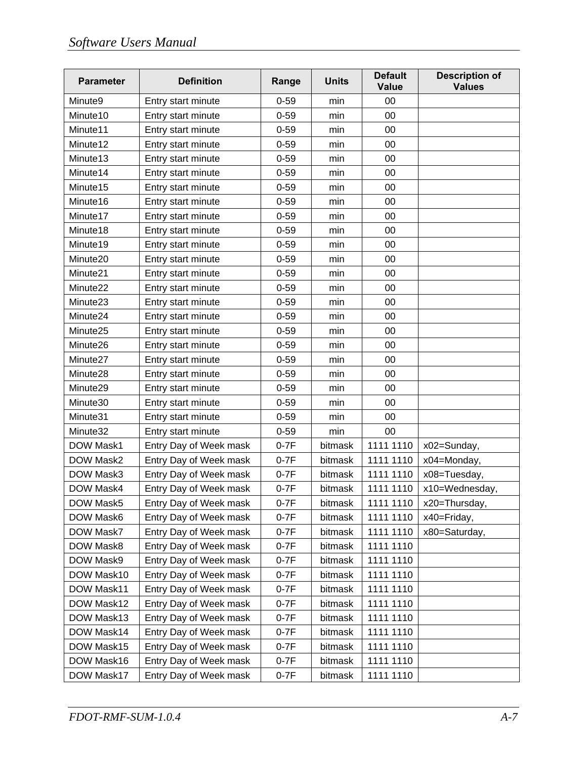| <b>Parameter</b>     | <b>Definition</b>      | Range    | <b>Units</b> | <b>Default</b><br><b>Value</b> | <b>Description of</b><br><b>Values</b> |
|----------------------|------------------------|----------|--------------|--------------------------------|----------------------------------------|
| Minute9              | Entry start minute     | $0 - 59$ | min          | 00                             |                                        |
| Minute <sub>10</sub> | Entry start minute     | $0 - 59$ | min          | 00                             |                                        |
| Minute <sub>11</sub> | Entry start minute     | $0 - 59$ | min          | 00                             |                                        |
| Minute12             | Entry start minute     | $0 - 59$ | min          | 00                             |                                        |
| Minute <sub>13</sub> | Entry start minute     | $0 - 59$ | min          | 00                             |                                        |
| Minute14             | Entry start minute     | $0 - 59$ | min          | 00                             |                                        |
| Minute <sub>15</sub> | Entry start minute     | $0 - 59$ | min          | 00                             |                                        |
| Minute16             | Entry start minute     | $0 - 59$ | min          | 00                             |                                        |
| Minute17             | Entry start minute     | $0 - 59$ | min          | 00                             |                                        |
| Minute <sub>18</sub> | Entry start minute     | $0 - 59$ | min          | 00                             |                                        |
| Minute19             | Entry start minute     | $0 - 59$ | min          | 00                             |                                        |
| Minute20             | Entry start minute     | $0 - 59$ | min          | 00                             |                                        |
| Minute21             | Entry start minute     | $0 - 59$ | min          | 00                             |                                        |
| Minute22             | Entry start minute     | $0 - 59$ | min          | 00                             |                                        |
| Minute23             | Entry start minute     | $0 - 59$ | min          | 00                             |                                        |
| Minute24             | Entry start minute     | $0 - 59$ | min          | 00                             |                                        |
| Minute25             | Entry start minute     | $0 - 59$ | min          | 00                             |                                        |
| Minute26             | Entry start minute     | $0 - 59$ | min          | 00                             |                                        |
| Minute <sub>27</sub> | Entry start minute     | $0 - 59$ | min          | 00                             |                                        |
| Minute28             | Entry start minute     | $0 - 59$ | min          | 00                             |                                        |
| Minute29             | Entry start minute     | $0 - 59$ | min          | 00                             |                                        |
| Minute30             | Entry start minute     | $0 - 59$ | min          | 00                             |                                        |
| Minute31             | Entry start minute     | $0 - 59$ | min          | 00                             |                                        |
| Minute32             | Entry start minute     | $0 - 59$ | min          | 00                             |                                        |
| DOW Mask1            | Entry Day of Week mask | $0-7F$   | bitmask      | 1111 1110                      | x02=Sunday,                            |
| DOW Mask2            | Entry Day of Week mask | $0-7F$   | bitmask      | 1111 1110                      | x04=Monday,                            |
| DOW Mask3            | Entry Day of Week mask | $0-7F$   | bitmask      | 1111 1110                      | x08=Tuesday,                           |
| DOW Mask4            | Entry Day of Week mask | $0-7F$   | bitmask      | 1111 1110                      | x10=Wednesday,                         |
| DOW Mask5            | Entry Day of Week mask | $0-7F$   | bitmask      | 1111 1110                      | x20=Thursday,                          |
| DOW Mask6            | Entry Day of Week mask | $0-7F$   | bitmask      | 1111 1110                      | x40=Friday,                            |
| DOW Mask7            | Entry Day of Week mask | $0-7F$   | bitmask      | 1111 1110                      | x80=Saturday,                          |
| DOW Mask8            | Entry Day of Week mask | $0-7F$   | bitmask      | 1111 1110                      |                                        |
| DOW Mask9            | Entry Day of Week mask | $0-7F$   | bitmask      | 1111 1110                      |                                        |
| DOW Mask10           | Entry Day of Week mask | $0-7F$   | bitmask      | 1111 1110                      |                                        |
| DOW Mask11           | Entry Day of Week mask | $0-7F$   | bitmask      | 1111 1110                      |                                        |
| DOW Mask12           | Entry Day of Week mask | $0-7F$   | bitmask      | 1111 1110                      |                                        |
| DOW Mask13           | Entry Day of Week mask | $0-7F$   | bitmask      | 1111 1110                      |                                        |
| DOW Mask14           | Entry Day of Week mask | $0-7F$   | bitmask      | 1111 1110                      |                                        |
| DOW Mask15           | Entry Day of Week mask | $0-7F$   | bitmask      | 1111 1110                      |                                        |
| DOW Mask16           | Entry Day of Week mask | $0-7F$   | bitmask      | 1111 1110                      |                                        |
| DOW Mask17           | Entry Day of Week mask | $0-7F$   | bitmask      | 1111 1110                      |                                        |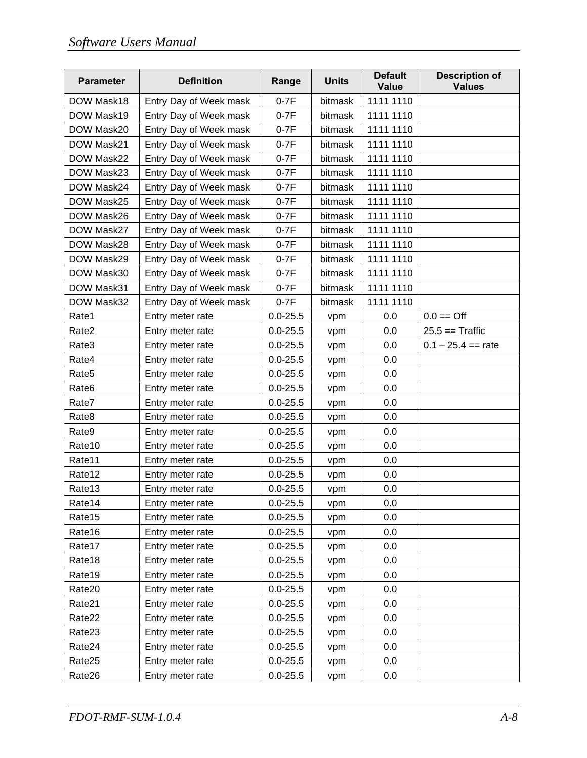| <b>Parameter</b>  | <b>Definition</b>      | Range        | <b>Units</b> | <b>Default</b><br><b>Value</b> | <b>Description of</b><br><b>Values</b> |
|-------------------|------------------------|--------------|--------------|--------------------------------|----------------------------------------|
| DOW Mask18        | Entry Day of Week mask | $0-7F$       | bitmask      | 1111 1110                      |                                        |
| DOW Mask19        | Entry Day of Week mask | $0-7F$       | bitmask      | 1111 1110                      |                                        |
| DOW Mask20        | Entry Day of Week mask | $0-7F$       | bitmask      | 1111 1110                      |                                        |
| DOW Mask21        | Entry Day of Week mask | $0-7F$       | bitmask      | 1111 1110                      |                                        |
| DOW Mask22        | Entry Day of Week mask | $0-7F$       | bitmask      | 1111 1110                      |                                        |
| DOW Mask23        | Entry Day of Week mask | $0-7F$       | bitmask      | 1111 1110                      |                                        |
| DOW Mask24        | Entry Day of Week mask | $0-7F$       | bitmask      | 1111 1110                      |                                        |
| DOW Mask25        | Entry Day of Week mask | $0-7F$       | bitmask      | 1111 1110                      |                                        |
| DOW Mask26        | Entry Day of Week mask | $0-7F$       | bitmask      | 1111 1110                      |                                        |
| DOW Mask27        | Entry Day of Week mask | $0-7F$       | bitmask      | 1111 1110                      |                                        |
| DOW Mask28        | Entry Day of Week mask | $0-7F$       | bitmask      | 1111 1110                      |                                        |
| DOW Mask29        | Entry Day of Week mask | $0-7F$       | bitmask      | 1111 1110                      |                                        |
| DOW Mask30        | Entry Day of Week mask | $0-7F$       | bitmask      | 1111 1110                      |                                        |
| DOW Mask31        | Entry Day of Week mask | $0-7F$       | bitmask      | 1111 1110                      |                                        |
| DOW Mask32        | Entry Day of Week mask | $0-7F$       | bitmask      | 1111 1110                      |                                        |
| Rate1             | Entry meter rate       | $0.0 - 25.5$ | vpm          | 0.0                            | $0.0 ==$ Off                           |
| Rate2             | Entry meter rate       | $0.0 - 25.5$ | vpm          | 0.0                            | $25.5 ==$ Traffic                      |
| Rate3             | Entry meter rate       | $0.0 - 25.5$ | vpm          | 0.0                            | $0.1 - 25.4 ==$ rate                   |
| Rate4             | Entry meter rate       | $0.0 - 25.5$ | vpm          | 0.0                            |                                        |
| Rate <sub>5</sub> | Entry meter rate       | $0.0 - 25.5$ | vpm          | 0.0                            |                                        |
| Rate <sub>6</sub> | Entry meter rate       | $0.0 - 25.5$ | vpm          | 0.0                            |                                        |
| Rate7             | Entry meter rate       | $0.0 - 25.5$ | vpm          | 0.0                            |                                        |
| Rate8             | Entry meter rate       | $0.0 - 25.5$ | vpm          | 0.0                            |                                        |
| Rate9             | Entry meter rate       | $0.0 - 25.5$ | vpm          | 0.0                            |                                        |
| Rate10            | Entry meter rate       | $0.0 - 25.5$ | vpm          | 0.0                            |                                        |
| Rate11            | Entry meter rate       | $0.0 - 25.5$ | vpm          | 0.0                            |                                        |
| Rate12            | Entry meter rate       | $0.0 - 25.5$ | vpm          | 0.0                            |                                        |
| Rate13            | Entry meter rate       | $0.0 - 25.5$ | vpm          | 0.0                            |                                        |
| Rate14            | Entry meter rate       | $0.0 - 25.5$ | vpm          | 0.0                            |                                        |
| Rate15            | Entry meter rate       | $0.0 - 25.5$ | vpm          | 0.0                            |                                        |
| Rate16            | Entry meter rate       | $0.0 - 25.5$ | vpm          | 0.0                            |                                        |
| Rate17            | Entry meter rate       | $0.0 - 25.5$ | vpm          | 0.0                            |                                        |
| Rate18            | Entry meter rate       | $0.0 - 25.5$ | vpm          | 0.0                            |                                        |
| Rate19            | Entry meter rate       | $0.0 - 25.5$ | vpm          | 0.0                            |                                        |
| Rate20            | Entry meter rate       | $0.0 - 25.5$ | vpm          | 0.0                            |                                        |
| Rate21            | Entry meter rate       | $0.0 - 25.5$ | vpm          | 0.0                            |                                        |
| Rate22            | Entry meter rate       | $0.0 - 25.5$ | vpm          | 0.0                            |                                        |
| Rate23            | Entry meter rate       | $0.0 - 25.5$ | vpm          | 0.0                            |                                        |
| Rate24            | Entry meter rate       | $0.0 - 25.5$ | vpm          | 0.0                            |                                        |
| Rate25            | Entry meter rate       | $0.0 - 25.5$ | vpm          | 0.0                            |                                        |
| Rate26            | Entry meter rate       | $0.0 - 25.5$ | vpm          | 0.0                            |                                        |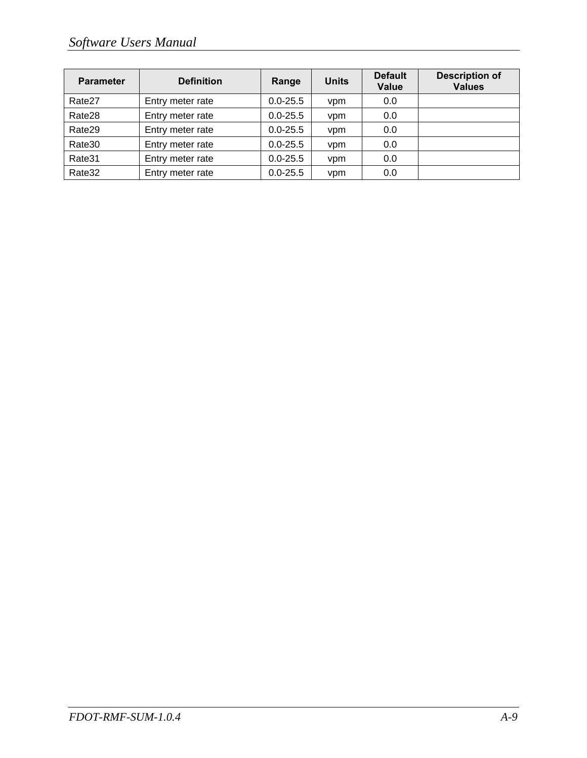| <b>Parameter</b> | <b>Definition</b> | Range        | <b>Units</b> | <b>Default</b><br><b>Value</b> | <b>Description of</b><br><b>Values</b> |
|------------------|-------------------|--------------|--------------|--------------------------------|----------------------------------------|
| Rate27           | Entry meter rate  | $0.0 - 25.5$ | vpm          | 0.0                            |                                        |
| Rate28           | Entry meter rate  | $0.0 - 25.5$ | vpm          | 0.0                            |                                        |
| Rate29           | Entry meter rate  | $0.0 - 25.5$ | vpm          | 0.0                            |                                        |
| Rate30           | Entry meter rate  | $0.0 - 25.5$ | vpm          | 0.0                            |                                        |
| Rate31           | Entry meter rate  | $0.0 - 25.5$ | vpm          | 0.0                            |                                        |
| Rate32           | Entry meter rate  | $0.0 - 25.5$ | vpm          | 0.0                            |                                        |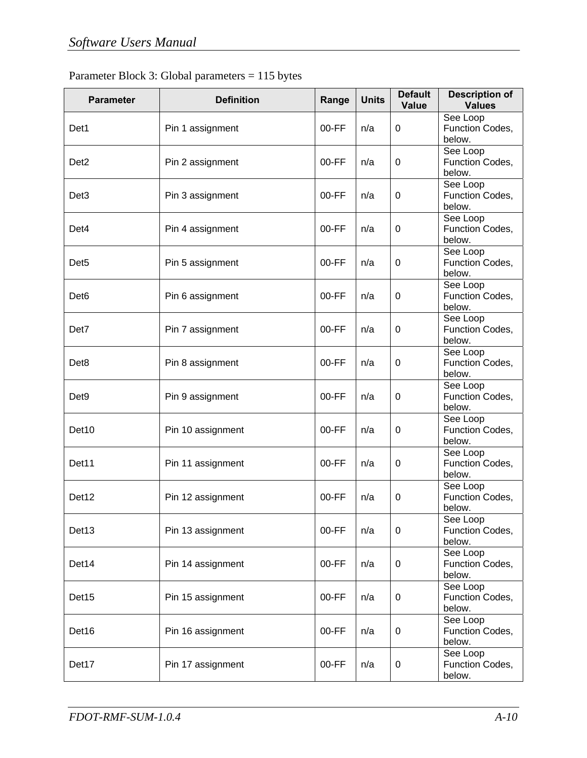| Parameter Block 3: Global parameters $= 115$ bytes |  |
|----------------------------------------------------|--|
|----------------------------------------------------|--|

| <b>Parameter</b>  | <b>Definition</b> | Range   | <b>Units</b> | <b>Default</b><br>Value | <b>Description of</b><br><b>Values</b> |
|-------------------|-------------------|---------|--------------|-------------------------|----------------------------------------|
| Det1              | Pin 1 assignment  | $00-FF$ | n/a          | 0                       | See Loop<br>Function Codes,<br>below.  |
| Det <sub>2</sub>  | Pin 2 assignment  | $00-FF$ | n/a          | 0                       | See Loop<br>Function Codes,<br>below.  |
| Det <sub>3</sub>  | Pin 3 assignment  | $00-FF$ | n/a          | 0                       | See Loop<br>Function Codes,<br>below.  |
| Det <sub>4</sub>  | Pin 4 assignment  | $00-FF$ | n/a          | 0                       | See Loop<br>Function Codes,<br>below.  |
| Det <sub>5</sub>  | Pin 5 assignment  | $00-FF$ | n/a          | 0                       | See Loop<br>Function Codes,<br>below.  |
| Det <sub>6</sub>  | Pin 6 assignment  | $00-FF$ | n/a          | 0                       | See Loop<br>Function Codes,<br>below.  |
| Det7              | Pin 7 assignment  | $00-FF$ | n/a          | 0                       | See Loop<br>Function Codes,<br>below.  |
| Det <sub>8</sub>  | Pin 8 assignment  | 00-FF   | n/a          | 0                       | See Loop<br>Function Codes,<br>below.  |
| Det <sub>9</sub>  | Pin 9 assignment  | $00-FF$ | n/a          | 0                       | See Loop<br>Function Codes,<br>below.  |
| Det <sub>10</sub> | Pin 10 assignment | $00-FF$ | n/a          | 0                       | See Loop<br>Function Codes,<br>below.  |
| Det11             | Pin 11 assignment | 00-FF   | n/a          | 0                       | See Loop<br>Function Codes,<br>below.  |
| Det12             | Pin 12 assignment | $00-FF$ | n/a          | 0                       | See Loop<br>Function Codes,<br>below.  |
| Det <sub>13</sub> | Pin 13 assignment | $00-FF$ | n/a          | 0                       | See Loop<br>Function Codes,<br>below.  |
| Det14             | Pin 14 assignment | $00-FF$ | n/a          | $\mathbf 0$             | See Loop<br>Function Codes,<br>below.  |
| Det15             | Pin 15 assignment | $00-FF$ | n/a          | $\pmb{0}$               | See Loop<br>Function Codes,<br>below.  |
| Det16             | Pin 16 assignment | $00-FF$ | n/a          | 0                       | See Loop<br>Function Codes,<br>below.  |
| Det17             | Pin 17 assignment | $00-FF$ | n/a          | $\mathbf 0$             | See Loop<br>Function Codes,<br>below.  |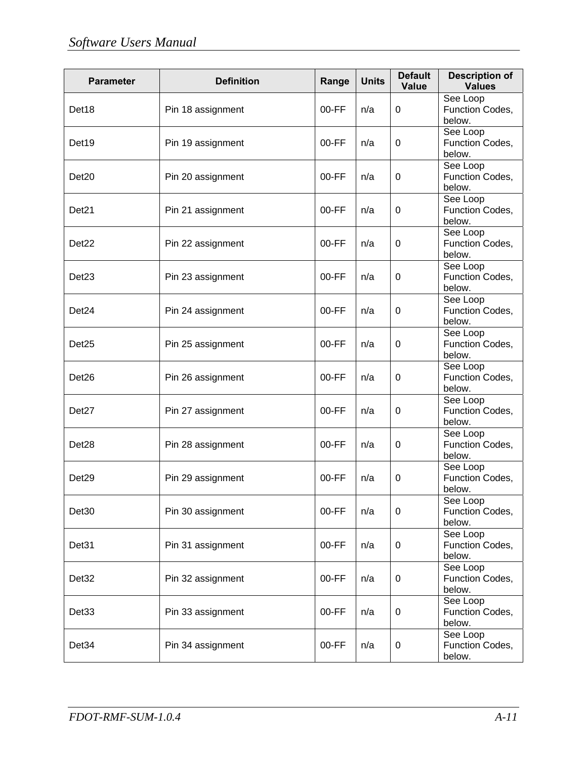| <b>Parameter</b>  | <b>Definition</b> | Range   | <b>Units</b> | <b>Default</b><br>Value | <b>Description of</b><br><b>Values</b> |
|-------------------|-------------------|---------|--------------|-------------------------|----------------------------------------|
| Det <sub>18</sub> | Pin 18 assignment | $00-FF$ | n/a          | 0                       | See Loop<br>Function Codes,<br>below.  |
| Det19             | Pin 19 assignment | $00-FF$ | n/a          | 0                       | See Loop<br>Function Codes,<br>below.  |
| Det <sub>20</sub> | Pin 20 assignment | $00-FF$ | n/a          | 0                       | See Loop<br>Function Codes,<br>below.  |
| Det <sub>21</sub> | Pin 21 assignment | $00-FF$ | n/a          | 0                       | See Loop<br>Function Codes,<br>below.  |
| Det <sub>22</sub> | Pin 22 assignment | $00-FF$ | n/a          | 0                       | See Loop<br>Function Codes,<br>below.  |
| Det <sub>23</sub> | Pin 23 assignment | $00-FF$ | n/a          | 0                       | See Loop<br>Function Codes,<br>below.  |
| Det <sub>24</sub> | Pin 24 assignment | $00-FF$ | n/a          | 0                       | See Loop<br>Function Codes,<br>below.  |
| Det <sub>25</sub> | Pin 25 assignment | $00-FF$ | n/a          | 0                       | See Loop<br>Function Codes,<br>below.  |
| Det <sub>26</sub> | Pin 26 assignment | $00-FF$ | n/a          | 0                       | See Loop<br>Function Codes,<br>below.  |
| Det <sub>27</sub> | Pin 27 assignment | $00-FF$ | n/a          | 0                       | See Loop<br>Function Codes,<br>below.  |
| Det <sub>28</sub> | Pin 28 assignment | $00-FF$ | n/a          | 0                       | See Loop<br>Function Codes,<br>below.  |
| Det <sub>29</sub> | Pin 29 assignment | $00-FF$ | n/a          | 0                       | See Loop<br>Function Codes,<br>below.  |
| Det <sub>30</sub> | Pin 30 assignment | $00-FF$ | n/a          | 0                       | See Loop<br>Function Codes,<br>below.  |
| Det31             | Pin 31 assignment | 00-FF   | n/a          | 0                       | See Loop<br>Function Codes,<br>below.  |
| Det <sub>32</sub> | Pin 32 assignment | $00-FF$ | n/a          | 0                       | See Loop<br>Function Codes,<br>below.  |
| Det <sub>33</sub> | Pin 33 assignment | $00-FF$ | n/a          | 0                       | See Loop<br>Function Codes,<br>below.  |
| Det34             | Pin 34 assignment | $00-FF$ | n/a          | 0                       | See Loop<br>Function Codes,<br>below.  |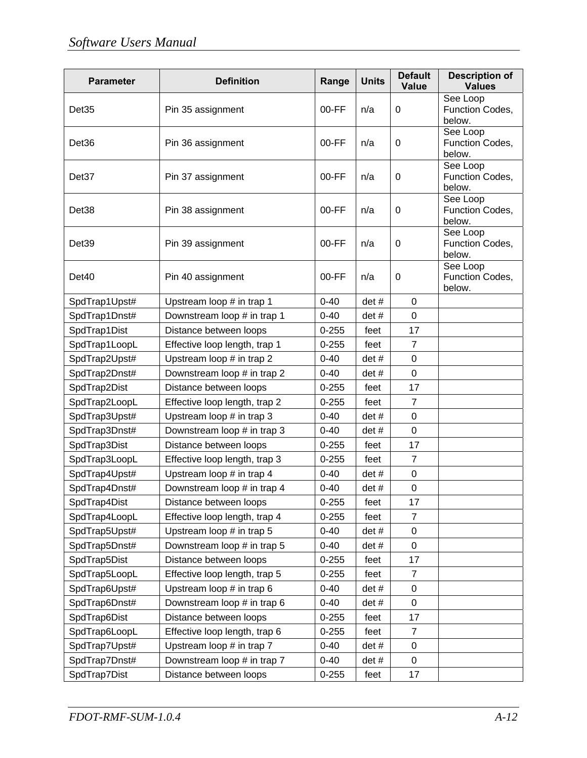| <b>Parameter</b>  | <b>Definition</b>             | Range     | <b>Units</b> | <b>Default</b><br><b>Value</b> | <b>Description of</b><br><b>Values</b> |
|-------------------|-------------------------------|-----------|--------------|--------------------------------|----------------------------------------|
| Det <sub>35</sub> | Pin 35 assignment             | $00-FF$   | n/a          | 0                              | See Loop<br>Function Codes,<br>below.  |
| Det36             | Pin 36 assignment             | $00-FF$   | n/a          | 0                              | See Loop<br>Function Codes,<br>below.  |
| Det37             | Pin 37 assignment             | $00-FF$   | n/a          | 0                              | See Loop<br>Function Codes,<br>below.  |
| Det <sub>38</sub> | Pin 38 assignment             | $00-FF$   | n/a          | 0                              | See Loop<br>Function Codes,<br>below.  |
| Det <sub>39</sub> | Pin 39 assignment             | $00-FF$   | n/a          | $\mathbf 0$                    | See Loop<br>Function Codes,<br>below.  |
| Det <sub>40</sub> | Pin 40 assignment             | $00-FF$   | n/a          | 0                              | See Loop<br>Function Codes,<br>below.  |
| SpdTrap1Upst#     | Upstream loop # in trap 1     | $0 - 40$  | det #        | 0                              |                                        |
| SpdTrap1Dnst#     | Downstream loop # in trap 1   | $0 - 40$  | det#         | 0                              |                                        |
| SpdTrap1Dist      | Distance between loops        | $0 - 255$ | feet         | 17                             |                                        |
| SpdTrap1LoopL     | Effective loop length, trap 1 | $0 - 255$ | feet         | $\overline{7}$                 |                                        |
| SpdTrap2Upst#     | Upstream loop # in trap 2     | $0 - 40$  | det #        | 0                              |                                        |
| SpdTrap2Dnst#     | Downstream loop # in trap 2   | $0 - 40$  | det #        | 0                              |                                        |
| SpdTrap2Dist      | Distance between loops        | $0 - 255$ | feet         | 17                             |                                        |
| SpdTrap2LoopL     | Effective loop length, trap 2 | $0 - 255$ | feet         | $\overline{7}$                 |                                        |
| SpdTrap3Upst#     | Upstream loop # in trap 3     | $0 - 40$  | det #        | 0                              |                                        |
| SpdTrap3Dnst#     | Downstream loop # in trap 3   | $0 - 40$  | det #        | 0                              |                                        |
| SpdTrap3Dist      | Distance between loops        | $0 - 255$ | feet         | 17                             |                                        |
| SpdTrap3LoopL     | Effective loop length, trap 3 | $0 - 255$ | feet         | $\overline{7}$                 |                                        |
| SpdTrap4Upst#     | Upstream loop # in trap 4     | $0 - 40$  | det #        | 0                              |                                        |
| SpdTrap4Dnst#     | Downstream loop # in trap 4   | $0 - 40$  | det #        | 0                              |                                        |
| SpdTrap4Dist      | Distance between loops        | $0 - 255$ | feet         | 17                             |                                        |
| SpdTrap4LoopL     | Effective loop length, trap 4 | $0 - 255$ | feet         | 7                              |                                        |
| SpdTrap5Upst#     | Upstream loop # in trap 5     | $0 - 40$  | det #        | 0                              |                                        |
| SpdTrap5Dnst#     | Downstream loop # in trap 5   | $0 - 40$  | det #        | 0                              |                                        |
| SpdTrap5Dist      | Distance between loops        | $0 - 255$ | feet         | 17                             |                                        |
| SpdTrap5LoopL     | Effective loop length, trap 5 | $0 - 255$ | feet         | 7                              |                                        |
| SpdTrap6Upst#     | Upstream loop # in trap 6     | $0 - 40$  | det #        | 0                              |                                        |
| SpdTrap6Dnst#     | Downstream loop # in trap 6   | $0 - 40$  | det #        | 0                              |                                        |
| SpdTrap6Dist      | Distance between loops        | $0 - 255$ | feet         | 17                             |                                        |
| SpdTrap6LoopL     | Effective loop length, trap 6 | $0 - 255$ | feet         | 7                              |                                        |
| SpdTrap7Upst#     | Upstream loop # in trap 7     | $0 - 40$  | det#         | 0                              |                                        |
| SpdTrap7Dnst#     | Downstream loop # in trap 7   | $0 - 40$  | det #        | 0                              |                                        |
| SpdTrap7Dist      | Distance between loops        | $0 - 255$ | feet         | 17                             |                                        |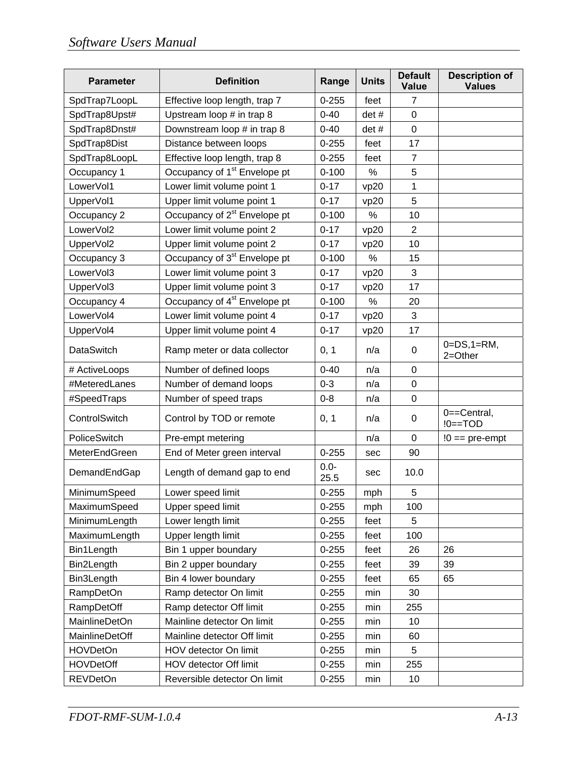| <b>Parameter</b>      | <b>Definition</b>                        | Range           | <b>Units</b> | <b>Default</b><br><b>Value</b> | <b>Description of</b><br><b>Values</b> |
|-----------------------|------------------------------------------|-----------------|--------------|--------------------------------|----------------------------------------|
| SpdTrap7LoopL         | Effective loop length, trap 7            | $0 - 255$       | feet         | $\overline{7}$                 |                                        |
| SpdTrap8Upst#         | Upstream loop # in trap 8                | $0 - 40$        | det #        | 0                              |                                        |
| SpdTrap8Dnst#         | Downstream loop # in trap 8              | $0 - 40$        | det #        | $\mathbf 0$                    |                                        |
| SpdTrap8Dist          | Distance between loops                   | $0 - 255$       | feet         | 17                             |                                        |
| SpdTrap8LoopL         | Effective loop length, trap 8            | $0 - 255$       | feet         | $\overline{7}$                 |                                        |
| Occupancy 1           | Occupancy of 1 <sup>st</sup> Envelope pt | $0 - 100$       | %            | 5                              |                                        |
| LowerVol1             | Lower limit volume point 1               | $0 - 17$        | vp20         | 1                              |                                        |
| UpperVol1             | Upper limit volume point 1               | $0 - 17$        | vp20         | 5                              |                                        |
| Occupancy 2           | Occupancy of 2 <sup>st</sup> Envelope pt | $0 - 100$       | %            | 10                             |                                        |
| LowerVol2             | Lower limit volume point 2               | $0 - 17$        | vp20         | $\overline{2}$                 |                                        |
| UpperVol2             | Upper limit volume point 2               | $0 - 17$        | vp20         | 10                             |                                        |
| Occupancy 3           | Occupancy of 3 <sup>st</sup> Envelope pt | $0 - 100$       | %            | 15                             |                                        |
| LowerVol3             | Lower limit volume point 3               | $0 - 17$        | vp20         | 3                              |                                        |
| UpperVol3             | Upper limit volume point 3               | $0 - 17$        | vp20         | 17                             |                                        |
| Occupancy 4           | Occupancy of 4 <sup>st</sup> Envelope pt | $0 - 100$       | %            | 20                             |                                        |
| LowerVol4             | Lower limit volume point 4               | $0 - 17$        | vp20         | 3                              |                                        |
| UpperVol4             | Upper limit volume point 4               | $0 - 17$        | vp20         | 17                             |                                        |
| <b>DataSwitch</b>     | Ramp meter or data collector             | 0, 1            | n/a          | 0                              | $0 = DS, 1 = RM,$<br>$2 = Other$       |
| # ActiveLoops         | Number of defined loops                  | $0 - 40$        | n/a          | 0                              |                                        |
| #MeteredLanes         | Number of demand loops                   | $0 - 3$         | n/a          | 0                              |                                        |
| #SpeedTraps           | Number of speed traps                    | $0 - 8$         | n/a          | 0                              |                                        |
| ControlSwitch         | Control by TOD or remote                 | 0, 1            | n/a          | 0                              | 0==Central,<br>$!0 == TOD$             |
| PoliceSwitch          | Pre-empt metering                        |                 | n/a          | $\mathbf 0$                    | $!0 ==$ pre-empt                       |
| MeterEndGreen         | End of Meter green interval              | $0 - 255$       | sec          | 90                             |                                        |
| DemandEndGap          | Length of demand gap to end              | $0.0 -$<br>25.5 | sec          | 10.0                           |                                        |
| MinimumSpeed          | Lower speed limit                        | $0 - 255$       | mph          | 5                              |                                        |
| MaximumSpeed          | Upper speed limit                        | $0 - 255$       | mph          | 100                            |                                        |
| MinimumLength         | Lower length limit                       | $0 - 255$       | feet         | 5                              |                                        |
| MaximumLength         | Upper length limit                       | $0 - 255$       | feet         | 100                            |                                        |
| Bin1Length            | Bin 1 upper boundary                     | $0 - 255$       | feet         | 26                             | 26                                     |
| Bin2Length            | Bin 2 upper boundary                     | $0 - 255$       | feet         | 39                             | 39                                     |
| Bin3Length            | Bin 4 lower boundary                     | $0 - 255$       | feet         | 65                             | 65                                     |
| <b>RampDetOn</b>      | Ramp detector On limit                   | $0 - 255$       | min          | 30                             |                                        |
| RampDetOff            | Ramp detector Off limit                  | $0 - 255$       | min          | 255                            |                                        |
| <b>MainlineDetOn</b>  | Mainline detector On limit               | $0 - 255$       | min          | 10                             |                                        |
| <b>MainlineDetOff</b> | Mainline detector Off limit              | $0 - 255$       | min          | 60                             |                                        |
| <b>HOVDetOn</b>       | HOV detector On limit                    | $0 - 255$       | min          | 5                              |                                        |
| <b>HOVDetOff</b>      | HOV detector Off limit                   | $0 - 255$       | min          | 255                            |                                        |
| <b>REVDetOn</b>       | Reversible detector On limit             | $0 - 255$       | min          | 10                             |                                        |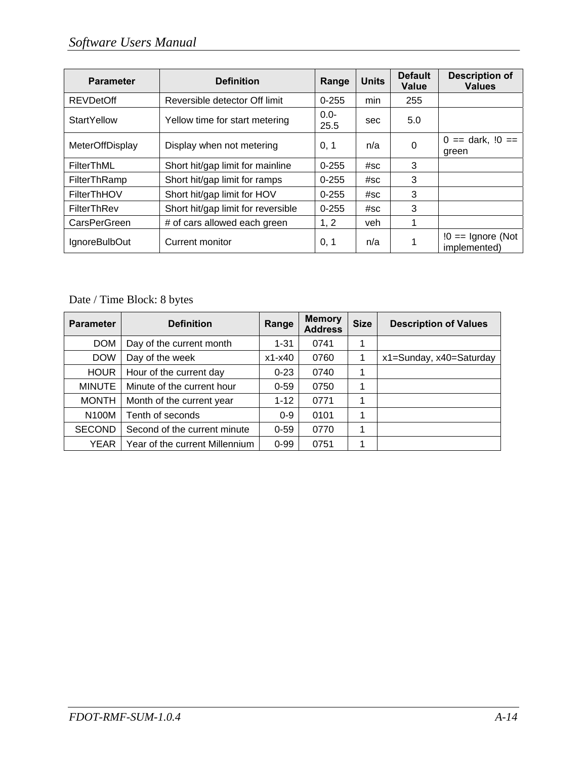| <b>Parameter</b>       | <b>Definition</b>                  | Range           | <b>Units</b> | <b>Default</b><br>Value | <b>Description of</b><br><b>Values</b> |
|------------------------|------------------------------------|-----------------|--------------|-------------------------|----------------------------------------|
| <b>REVDetOff</b>       | Reversible detector Off limit      | $0 - 255$       | min          | 255                     |                                        |
| <b>StartYellow</b>     | Yellow time for start metering     | $0.0 -$<br>25.5 | sec          | 5.0                     |                                        |
| <b>MeterOffDisplay</b> | Display when not metering          | 0, 1            | n/a          | 0                       | $0 ==$ dark, $10 ==$<br>green          |
| FilterThML             | Short hit/gap limit for mainline   | $0 - 255$       | #SC          | 3                       |                                        |
| FilterThRamp           | Short hit/gap limit for ramps      | $0 - 255$       | #SC          | 3                       |                                        |
| FilterThHOV            | Short hit/gap limit for HOV        | $0 - 255$       | #SC          | 3                       |                                        |
| FilterThRev            | Short hit/gap limit for reversible | $0 - 255$       | #SC          | 3                       |                                        |
| CarsPerGreen           | # of cars allowed each green       | 1, 2            | veh          |                         |                                        |
| IgnoreBulbOut          | Current monitor                    | 0, 1            | n/a          |                         | $!0 ==$ Ignore (Not<br>implemented)    |

### Date / Time Block: 8 bytes

| <b>Parameter</b>   | <b>Definition</b>              | Range      | <b>Memory</b><br><b>Address</b> | <b>Size</b> | <b>Description of Values</b> |
|--------------------|--------------------------------|------------|---------------------------------|-------------|------------------------------|
| <b>DOM</b>         | Day of the current month       | $1 - 31$   | 0741                            |             |                              |
| <b>DOW</b>         | Day of the week                | $x1 - x40$ | 0760                            | 1           | x1=Sunday, x40=Saturday      |
| <b>HOUR</b>        | Hour of the current day        | $0 - 23$   | 0740                            | 1           |                              |
| <b>MINUTE</b>      | Minute of the current hour     | $0 - 59$   | 0750                            | 1           |                              |
| <b>MONTH</b>       | Month of the current year      | $1 - 12$   | 0771                            | 1           |                              |
| N <sub>100</sub> M | Tenth of seconds               | $0 - 9$    | 0101                            | 1           |                              |
| <b>SECOND</b>      | Second of the current minute   | $0 - 59$   | 0770                            | 1           |                              |
| YEAR               | Year of the current Millennium | $0 - 99$   | 0751                            | 1           |                              |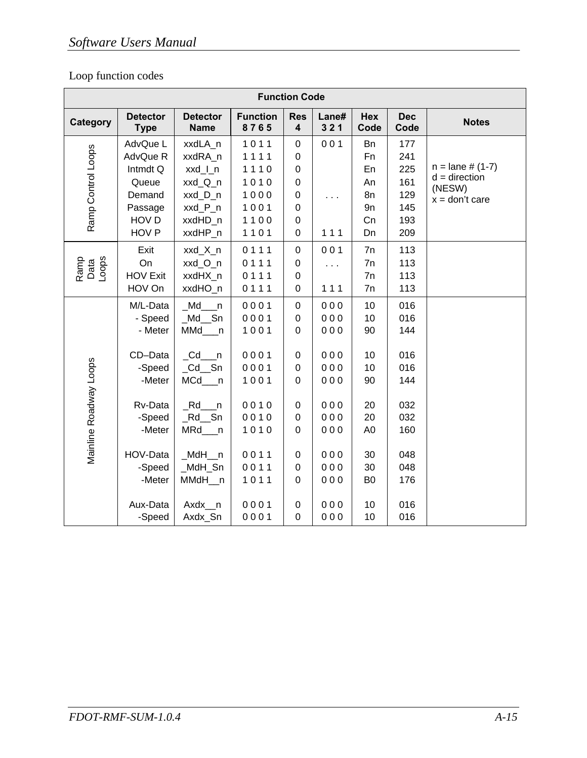### Loop function codes

|                        | <b>Function Code</b><br><b>Function</b><br><b>Res</b><br>Hex<br><b>Detector</b><br><b>Detector</b><br>Lane#<br><b>Dec</b><br><b>Notes</b> |                                                                                                  |                                                              |                                                                                                                    |                                               |                                                                |                                                      |                                                                     |  |  |  |  |  |  |  |
|------------------------|-------------------------------------------------------------------------------------------------------------------------------------------|--------------------------------------------------------------------------------------------------|--------------------------------------------------------------|--------------------------------------------------------------------------------------------------------------------|-----------------------------------------------|----------------------------------------------------------------|------------------------------------------------------|---------------------------------------------------------------------|--|--|--|--|--|--|--|
| Category               | <b>Type</b>                                                                                                                               | <b>Name</b>                                                                                      | 8765                                                         | $\overline{\mathbf{4}}$                                                                                            | 321                                           | Code                                                           | Code                                                 |                                                                     |  |  |  |  |  |  |  |
| Ramp Control Loops     | AdvQue L<br>AdvQue R<br>Intmdt Q<br>Queue<br>Demand<br>Passage<br>HOV D<br>HOV <sub>P</sub>                                               | xxdLA_n<br>xxdRA_n<br>xxd_l_n<br>xxd_Q_n<br>xxd_D_n<br>xxd_P_n<br>xxdHD_n<br>xxdHP_n             | 1011<br>1111<br>1110<br>1010<br>1000<br>1001<br>1100<br>1101 | $\pmb{0}$<br>$\mathbf 0$<br>$\pmb{0}$<br>$\pmb{0}$<br>$\boldsymbol{0}$<br>$\boldsymbol{0}$<br>$\,0\,$<br>$\pmb{0}$ | 001<br>111                                    | Bn<br>Fn<br>En<br>An<br>8n<br>9n<br>Cn<br>Dn                   | 177<br>241<br>225<br>161<br>129<br>145<br>193<br>209 | $n =$ lane # (1-7)<br>$d =$ direction<br>(NESW)<br>$x = don't care$ |  |  |  |  |  |  |  |
| Ramp<br>Data<br>Loops  | Exit<br>On<br><b>HOV Exit</b><br>HOV On                                                                                                   | xxd_X_n<br>xxd_O_n<br>xxdHX_n<br>xxdHO_n                                                         | 0111<br>0111<br>0111<br>0111                                 | $\pmb{0}$<br>$\boldsymbol{0}$<br>$\,0\,$<br>$\pmb{0}$                                                              | 001<br>$\sim$<br>$111$                        | 7n<br>7n<br>7n<br>7n                                           | 113<br>113<br>113<br>113                             |                                                                     |  |  |  |  |  |  |  |
|                        | M/L-Data<br>- Speed<br>- Meter<br>CD-Data<br>-Speed<br>-Meter                                                                             | $_Md$<br>$Md$ Sn<br>MMd___n<br>$\_Cd$ <sup>n</sup><br>$_Cd$ <sub>_Sn</sub><br>$MCd$ <sub>n</sub> | 0001<br>0001<br>1001<br>0001<br>0001<br>1001                 | $\pmb{0}$<br>$\pmb{0}$<br>$\mathbf 0$<br>$\pmb{0}$<br>$\boldsymbol{0}$<br>$\pmb{0}$                                | 000<br>000<br>000<br>000<br>000<br>000        | 10<br>10<br>90<br>10<br>10<br>90                               | 016<br>016<br>144<br>016<br>016<br>144               |                                                                     |  |  |  |  |  |  |  |
| Mainline Roadway Loops | Rv-Data<br>-Speed<br>-Meter<br>HOV-Data<br>-Speed<br>-Meter<br>Aux-Data                                                                   | $_Rd$ n<br>$Rd$ Sn<br>MRd_n<br>MdH n<br>_MdH_Sn<br>MMdH__n<br>Axdx_n                             | 0010<br>0010<br>1010<br>0011<br>0011<br>1011<br>0001         | $\pmb{0}$<br>$\boldsymbol{0}$<br>$\mathbf 0$<br>0<br>$\pmb{0}$<br>0<br>$\pmb{0}$                                   | 000<br>000<br>000<br>000<br>000<br>000<br>000 | 20<br>20<br>A <sub>0</sub><br>30<br>30<br>B <sub>0</sub><br>10 | 032<br>032<br>160<br>048<br>048<br>176<br>016        |                                                                     |  |  |  |  |  |  |  |
|                        | -Speed                                                                                                                                    | Axdx_Sn                                                                                          | 0001                                                         | $\pmb{0}$                                                                                                          | 000                                           | 10                                                             | 016                                                  |                                                                     |  |  |  |  |  |  |  |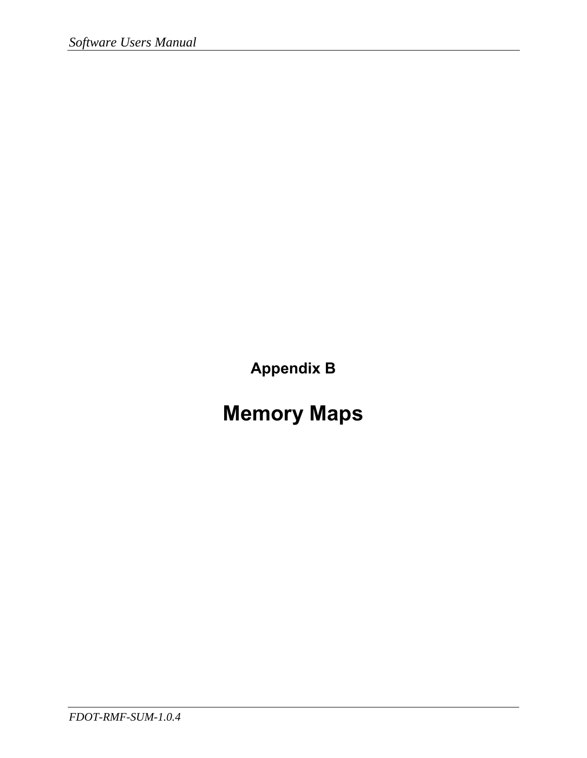**Appendix B** 

# **Memory Maps**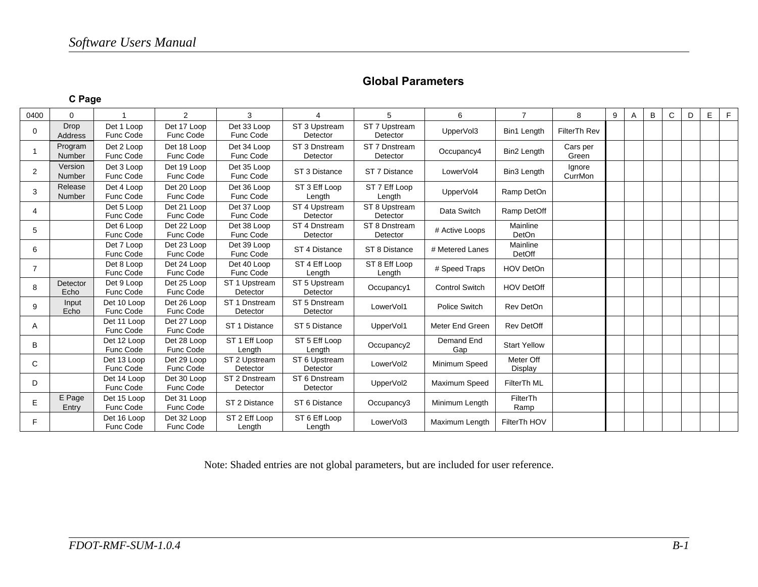### **Global Parameters**

#### **C Page**

| 0400           | $\Omega$               |                          | $\overline{2}$           | 3                         | 4                         | 5                         | 6                        | $\overline{7}$       | 8                 | 9 | A | B | $\mathbf{C}$ | D | E | F |
|----------------|------------------------|--------------------------|--------------------------|---------------------------|---------------------------|---------------------------|--------------------------|----------------------|-------------------|---|---|---|--------------|---|---|---|
| $\Omega$       | <b>Drop</b><br>Address | Det 1 Loop<br>Func Code  | Det 17 Loop<br>Func Code | Det 33 Loop<br>Func Code  | ST 3 Upstream<br>Detector | ST 7 Upstream<br>Detector | UpperVol3                | Bin1 Length          | FilterTh Rev      |   |   |   |              |   |   |   |
| $\mathbf 1$    | Program<br>Number      | Det 2 Loop<br>Func Code  | Det 18 Loop<br>Func Code | Det 34 Loop<br>Func Code  | ST 3 Dnstream<br>Detector | ST 7 Dnstream<br>Detector | Occupancy4               | Bin2 Length          | Cars per<br>Green |   |   |   |              |   |   |   |
| 2              | Version<br>Number      | Det 3 Loop<br>Func Code  | Det 19 Loop<br>Func Code | Det 35 Loop<br>Func Code  | ST 3 Distance             | ST 7 Distance             | LowerVol4                | Bin3 Length          | Ignore<br>CurrMon |   |   |   |              |   |   |   |
| 3              | Release<br>Number      | Det 4 Loop<br>Func Code  | Det 20 Loop<br>Func Code | Det 36 Loop<br>Func Code  | ST 3 Eff Loop<br>Length   | ST 7 Eff Loop<br>Length   | UpperVol4                | Ramp DetOn           |                   |   |   |   |              |   |   |   |
| 4              |                        | Det 5 Loop<br>Func Code  | Det 21 Loop<br>Func Code | Det 37 Loop<br>Func Code  | ST 4 Upstream<br>Detector | ST 8 Upstream<br>Detector | Data Switch              | Ramp DetOff          |                   |   |   |   |              |   |   |   |
| 5              |                        | Det 6 Loop<br>Func Code  | Det 22 Loop<br>Func Code | Det 38 Loop<br>Func Code  | ST 4 Dnstream<br>Detector | ST 8 Dnstream<br>Detector | # Active Loops           | Mainline<br>DetOn    |                   |   |   |   |              |   |   |   |
| 6              |                        | Det 7 Loop<br>Func Code  | Det 23 Loop<br>Func Code | Det 39 Loop<br>Func Code  | ST 4 Distance             | ST 8 Distance             | # Metered Lanes          | Mainline<br>DetOff   |                   |   |   |   |              |   |   |   |
| $\overline{7}$ |                        | Det 8 Loop<br>Func Code  | Det 24 Loop<br>Func Code | Det 40 Loop<br>Func Code  | ST 4 Eff Loop<br>Length   | ST 8 Eff Loop<br>Length   | # Speed Traps            | <b>HOV DetOn</b>     |                   |   |   |   |              |   |   |   |
| 8              | Detector<br>Echo       | Det 9 Loop<br>Func Code  | Det 25 Loop<br>Func Code | ST 1 Upstream<br>Detector | ST 5 Upstream<br>Detector | Occupancy1                | <b>Control Switch</b>    | <b>HOV DetOff</b>    |                   |   |   |   |              |   |   |   |
| 9              | Input<br>Echo          | Det 10 Loop<br>Func Code | Det 26 Loop<br>Func Code | ST 1 Dnstream<br>Detector | ST 5 Dnstream<br>Detector | LowerVol1                 | Police Switch            | Rev DetOn            |                   |   |   |   |              |   |   |   |
| Α              |                        | Det 11 Loop<br>Func Code | Det 27 Loop<br>Func Code | ST 1 Distance             | ST 5 Distance             | UpperVol1                 | Meter End Green          | <b>Rev DetOff</b>    |                   |   |   |   |              |   |   |   |
| B              |                        | Det 12 Loop<br>Func Code | Det 28 Loop<br>Func Code | ST 1 Eff Loop<br>Length   | ST 5 Eff Loop<br>Length   | Occupancy2                | <b>Demand End</b><br>Gap | <b>Start Yellow</b>  |                   |   |   |   |              |   |   |   |
| C              |                        | Det 13 Loop<br>Func Code | Det 29 Loop<br>Func Code | ST 2 Upstream<br>Detector | ST 6 Upstream<br>Detector | LowerVol2                 | Minimum Speed            | Meter Off<br>Display |                   |   |   |   |              |   |   |   |
| D              |                        | Det 14 Loop<br>Func Code | Det 30 Loop<br>Func Code | ST 2 Dnstream<br>Detector | ST 6 Dnstream<br>Detector | UpperVol2                 | Maximum Speed            | FilterTh ML          |                   |   |   |   |              |   |   |   |
| E              | E Page<br>Entry        | Det 15 Loop<br>Func Code | Det 31 Loop<br>Func Code | ST 2 Distance             | ST 6 Distance             | Occupancy3                | Minimum Length           | FilterTh<br>Ramp     |                   |   |   |   |              |   |   |   |
| F              |                        | Det 16 Loop<br>Func Code | Det 32 Loop<br>Func Code | ST 2 Eff Loop<br>Length   | ST 6 Eff Loop<br>Length   | LowerVol3                 | Maximum Length           | FilterTh HOV         |                   |   |   |   |              |   |   |   |

Note: Shaded entries are not global parameters, but are included for user reference.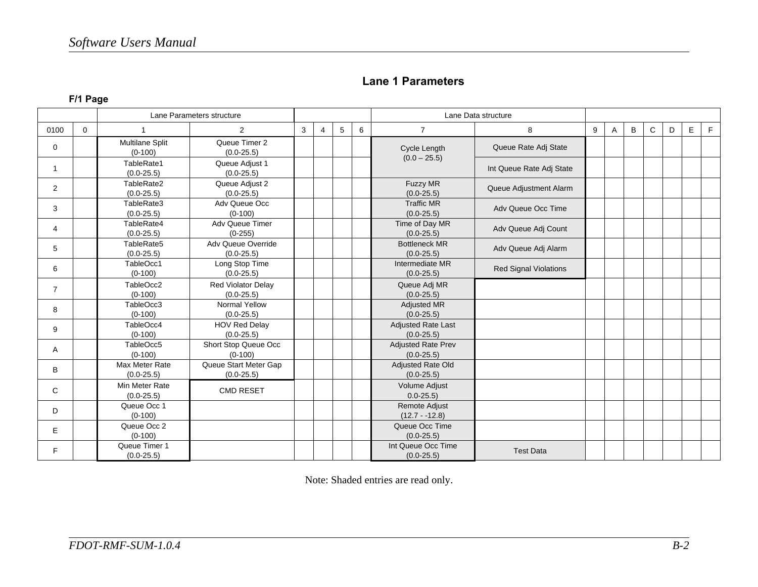#### **Lane 1 Parameters**

### **F/1 Page**

|                |          |                                  | Lane Parameters structure                   |   |                |   |   |                                             | Lane Data structure          |   |              |   |   |   |   |   |
|----------------|----------|----------------------------------|---------------------------------------------|---|----------------|---|---|---------------------------------------------|------------------------------|---|--------------|---|---|---|---|---|
| 0100           | $\Omega$ |                                  | 2                                           | 3 | $\overline{4}$ | 5 | 6 | $\overline{7}$                              | 8                            | 9 | $\mathsf{A}$ | B | C | D | E | F |
| 0              |          | Multilane Split<br>$(0-100)$     | Queue Timer 2<br>$(0.0 - 25.5)$             |   |                |   |   | Cycle Length<br>$(0.0 - 25.5)$              | Queue Rate Adj State         |   |              |   |   |   |   |   |
| $\mathbf{1}$   |          | TableRate1<br>$(0.0-25.5)$       | Queue Adjust 1<br>$(0.0 - 25.5)$            |   |                |   |   |                                             | Int Queue Rate Adj State     |   |              |   |   |   |   |   |
| $\overline{2}$ |          | TableRate2<br>$(0.0 - 25.5)$     | Queue Adjust 2<br>$(0.0 - 25.5)$            |   |                |   |   | Fuzzy MR<br>$(0.0 - 25.5)$                  | Queue Adjustment Alarm       |   |              |   |   |   |   |   |
| 3              |          | TableRate3<br>$(0.0-25.5)$       | Adv Queue Occ<br>$(0-100)$                  |   |                |   |   | <b>Traffic MR</b><br>$(0.0 - 25.5)$         | Adv Queue Occ Time           |   |              |   |   |   |   |   |
| $\overline{4}$ |          | TableRate4<br>$(0.0 - 25.5)$     | <b>Adv Queue Timer</b><br>$(0-255)$         |   |                |   |   | Time of Day MR<br>$(0.0 - 25.5)$            | Adv Queue Adj Count          |   |              |   |   |   |   |   |
| 5              |          | TableRate5<br>$(0.0 - 25.5)$     | Adv Queue Override<br>$(0.0-25.5)$          |   |                |   |   | <b>Bottleneck MR</b><br>$(0.0 - 25.5)$      | Adv Queue Adj Alarm          |   |              |   |   |   |   |   |
| 6              |          | TableOcc1<br>$(0-100)$           | Long Stop Time<br>$(0.0 - 25.5)$            |   |                |   |   | Intermediate MR<br>$(0.0 - 25.5)$           | <b>Red Signal Violations</b> |   |              |   |   |   |   |   |
| $\overline{7}$ |          | TableOcc2<br>$(0-100)$           | <b>Red Violator Delay</b><br>$(0.0 - 25.5)$ |   |                |   |   | Queue Adj MR<br>$(0.0 - 25.5)$              |                              |   |              |   |   |   |   |   |
| 8              |          | TableOcc3<br>$(0-100)$           | Normal Yellow<br>$(0.0 - 25.5)$             |   |                |   |   | <b>Adjusted MR</b><br>$(0.0 - 25.5)$        |                              |   |              |   |   |   |   |   |
| 9              |          | TableOcc4<br>$(0-100)$           | <b>HOV Red Delay</b><br>$(0.0 - 25.5)$      |   |                |   |   | <b>Adjusted Rate Last</b><br>$(0.0 - 25.5)$ |                              |   |              |   |   |   |   |   |
| A              |          | TableOcc5<br>$(0-100)$           | Short Stop Queue Occ<br>$(0-100)$           |   |                |   |   | <b>Adjusted Rate Prev</b><br>$(0.0 - 25.5)$ |                              |   |              |   |   |   |   |   |
| B              |          | Max Meter Rate<br>$(0.0-25.5)$   | Queue Start Meter Gap<br>$(0.0 - 25.5)$     |   |                |   |   | <b>Adjusted Rate Old</b><br>$(0.0 - 25.5)$  |                              |   |              |   |   |   |   |   |
| C              |          | Min Meter Rate<br>$(0.0 - 25.5)$ | <b>CMD RESET</b>                            |   |                |   |   | <b>Volume Adjust</b><br>$0.0 - 25.5$        |                              |   |              |   |   |   |   |   |
| D              |          | Queue Occ 1<br>$(0-100)$         |                                             |   |                |   |   | <b>Remote Adjust</b><br>$(12.7 - 12.8)$     |                              |   |              |   |   |   |   |   |
| E.             |          | Queue Occ 2<br>$(0-100)$         |                                             |   |                |   |   | Queue Occ Time<br>$(0.0 - 25.5)$            |                              |   |              |   |   |   |   |   |
| F.             |          | Queue Timer 1<br>$(0.0 - 25.5)$  |                                             |   |                |   |   | Int Queue Occ Time<br>$(0.0 - 25.5)$        | <b>Test Data</b>             |   |              |   |   |   |   |   |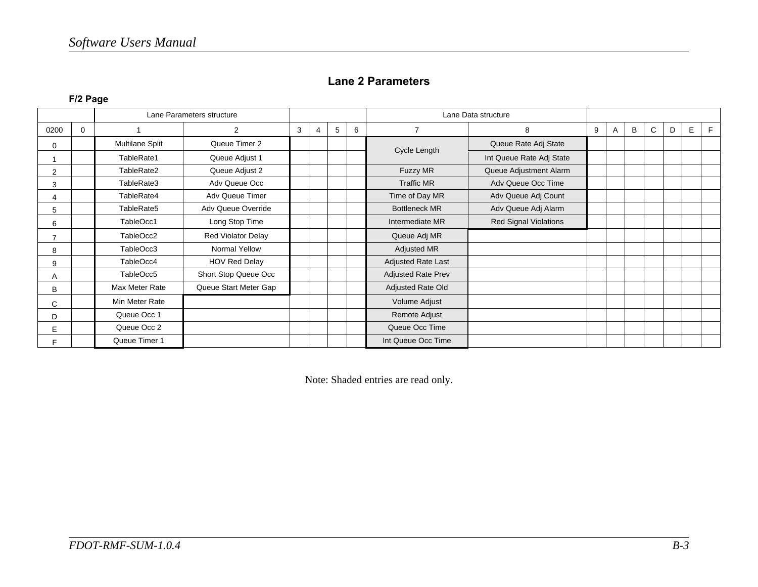#### **Lane 2 Parameters**

**F/2 Page** 

|                |             |                 | Lane Parameters structure |   |   |   |   |                           | Lane Data structure      |   |   |   |   |   |   |   |
|----------------|-------------|-----------------|---------------------------|---|---|---|---|---------------------------|--------------------------|---|---|---|---|---|---|---|
| 0200           | $\mathbf 0$ |                 | $\overline{2}$            | 3 | 4 | 5 | 6 | $\overline{7}$            | 8                        | 9 | A | B | C | D | Е | E |
| 0              |             | Multilane Split | Queue Timer 2             |   |   |   |   |                           | Queue Rate Adj State     |   |   |   |   |   |   |   |
|                |             | TableRate1      | Queue Adjust 1            |   |   |   |   | Cycle Length              | Int Queue Rate Adj State |   |   |   |   |   |   |   |
| $\overline{2}$ |             | TableRate2      | Queue Adjust 2            |   |   |   |   | Fuzzy MR                  | Queue Adjustment Alarm   |   |   |   |   |   |   |   |
| 3              |             | TableRate3      | Adv Queue Occ             |   |   |   |   | <b>Traffic MR</b>         | Adv Queue Occ Time       |   |   |   |   |   |   |   |
| 4              |             | TableRate4      | Adv Queue Timer           |   |   |   |   | Time of Day MR            | Adv Queue Adj Count      |   |   |   |   |   |   |   |
| 5              |             | TableRate5      | Adv Queue Override        |   |   |   |   | <b>Bottleneck MR</b>      | Adv Queue Adj Alarm      |   |   |   |   |   |   |   |
| 6              |             | TableOcc1       | Long Stop Time            |   |   |   |   | Intermediate MR           | Red Signal Violations    |   |   |   |   |   |   |   |
| 7              |             | TableOcc2       | <b>Red Violator Delay</b> |   |   |   |   | Queue Adj MR              |                          |   |   |   |   |   |   |   |
| 8              |             | TableOcc3       | Normal Yellow             |   |   |   |   | Adjusted MR               |                          |   |   |   |   |   |   |   |
| 9              |             | TableOcc4       | <b>HOV Red Delay</b>      |   |   |   |   | Adjusted Rate Last        |                          |   |   |   |   |   |   |   |
| Α              |             | TableOcc5       | Short Stop Queue Occ      |   |   |   |   | <b>Adjusted Rate Prev</b> |                          |   |   |   |   |   |   |   |
| B              |             | Max Meter Rate  | Queue Start Meter Gap     |   |   |   |   | Adjusted Rate Old         |                          |   |   |   |   |   |   |   |
| C              |             | Min Meter Rate  |                           |   |   |   |   | Volume Adjust             |                          |   |   |   |   |   |   |   |
| D              |             | Queue Occ 1     |                           |   |   |   |   | Remote Adjust             |                          |   |   |   |   |   |   |   |
| E              |             | Queue Occ 2     |                           |   |   |   |   | Queue Occ Time            |                          |   |   |   |   |   |   |   |
|                |             | Queue Timer 1   |                           |   |   |   |   | Int Queue Occ Time        |                          |   |   |   |   |   |   |   |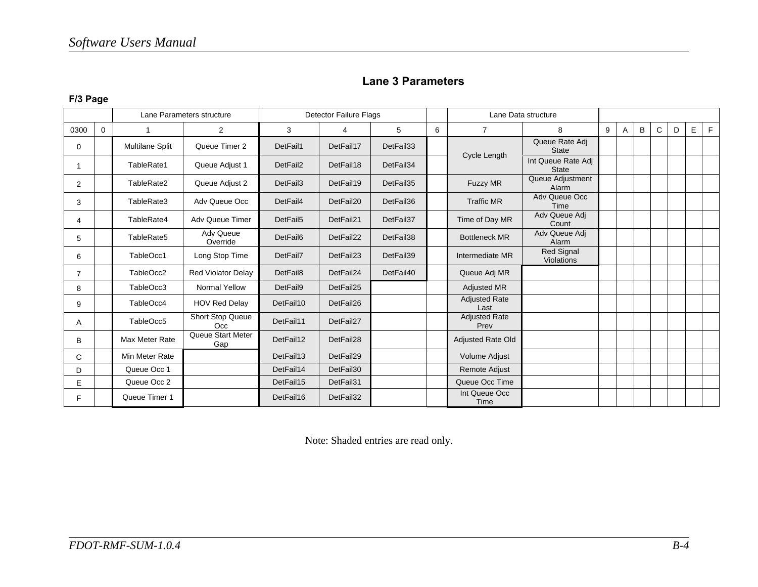### **Lane 3 Parameters**

#### **F/3 Page**

|                |              |                 | Lane Parameters structure    |                                                         | <b>Detector Failure Flags</b> |                              |               |                              | Lane Data structure                |   |   |   |              |   |   |   |
|----------------|--------------|-----------------|------------------------------|---------------------------------------------------------|-------------------------------|------------------------------|---------------|------------------------------|------------------------------------|---|---|---|--------------|---|---|---|
| 0300           | $\mathbf{0}$ |                 | $\overline{2}$               | 3                                                       | 4                             | 5                            | 6             | $\overline{7}$               | 8                                  | 9 | A | B | $\mathsf{C}$ | D | E | F |
| 0              |              | Multilane Split | Queue Timer 2                | DetFail1                                                | DetFail17                     | DetFail33                    |               |                              | Queue Rate Adj<br><b>State</b>     |   |   |   |              |   |   |   |
| 1              |              | TableRate1      | Queue Adjust 1               | DetFail2                                                | DetFail18                     | DetFail34                    |               | Cycle Length                 | Int Queue Rate Adj<br><b>State</b> |   |   |   |              |   |   |   |
| 2              |              | TableRate2      | Queue Adjust 2               | DetFail3                                                | DetFail19                     | DetFail35<br><b>Fuzzy MR</b> |               | Queue Adjustment<br>Alarm    |                                    |   |   |   |              |   |   |   |
| 3              |              | TableRate3      | Adv Queue Occ                | <b>Traffic MR</b><br>DetFail4<br>DetFail20<br>DetFail36 |                               | Adv Queue Occ<br>Time        |               |                              |                                    |   |   |   |              |   |   |   |
| 4              |              | TableRate4      | <b>Adv Queue Timer</b>       | DetFail5                                                | DetFail21                     | DetFail37                    |               | Time of Day MR               | Adv Queue Adj<br>Count             |   |   |   |              |   |   |   |
| 5              |              | TableRate5      | <b>Adv Queue</b><br>Override | DetFail6                                                | DetFail22                     | DetFail38                    |               | <b>Bottleneck MR</b>         | Adv Queue Adj<br>Alarm             |   |   |   |              |   |   |   |
| 6              |              | TableOcc1       | Long Stop Time               | DetFail7                                                | DetFail23                     | DetFail39                    |               | Intermediate MR              | Red Signal<br>Violations           |   |   |   |              |   |   |   |
| $\overline{7}$ |              | TableOcc2       | Red Violator Delay           | DetFail8                                                | DetFail24                     | DetFail40                    |               | Queue Adj MR                 |                                    |   |   |   |              |   |   |   |
| 8              |              | TableOcc3       | Normal Yellow                | DetFail9                                                | DetFail25                     |                              |               | <b>Adjusted MR</b>           |                                    |   |   |   |              |   |   |   |
| 9              |              | TableOcc4       | <b>HOV Red Delay</b>         | DetFail10                                               | DetFail26                     |                              |               | <b>Adjusted Rate</b><br>Last |                                    |   |   |   |              |   |   |   |
| A              |              | TableOcc5       | Short Stop Queue<br>Occ      | DetFail11                                               | DetFail27                     |                              |               | <b>Adjusted Rate</b><br>Prev |                                    |   |   |   |              |   |   |   |
| B              |              | Max Meter Rate  | Queue Start Meter<br>Gap     | DetFail12<br>DetFail28                                  |                               |                              |               | Adjusted Rate Old            |                                    |   |   |   |              |   |   |   |
| C              |              | Min Meter Rate  |                              | DetFail13<br>DetFail29                                  |                               |                              | Volume Adjust |                              |                                    |   |   |   |              |   |   |   |
| D              |              | Queue Occ 1     |                              | DetFail14                                               | DetFail30                     |                              |               | Remote Adjust                |                                    |   |   |   |              |   |   |   |
| E              |              | Queue Occ 2     |                              | DetFail15                                               | DetFail31                     |                              |               | Queue Occ Time               |                                    |   |   |   |              |   |   |   |
| F              |              | Queue Timer 1   |                              | DetFail16                                               | DetFail32                     |                              |               | Int Queue Occ<br>Time        |                                    |   |   |   |              |   |   |   |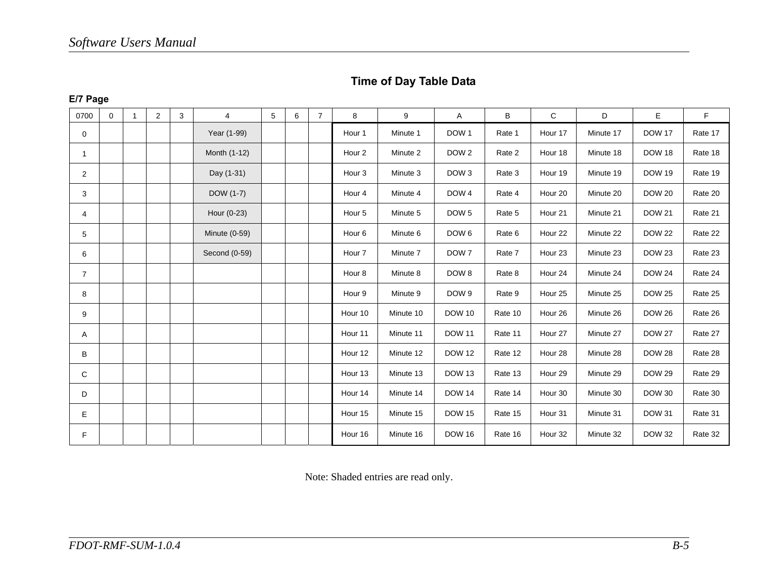### **Time of Day Table Data**

#### **E/7 Page**

| 0700           | $\mathbf 0$ | 1 | $\overline{2}$ | 3 | 4             | 5 | 6 | $\overline{7}$ | 8                 | 9         | Α                | B       | C                  | D         | E             | F       |
|----------------|-------------|---|----------------|---|---------------|---|---|----------------|-------------------|-----------|------------------|---------|--------------------|-----------|---------------|---------|
| 0              |             |   |                |   | Year (1-99)   |   |   |                | Hour 1            | Minute 1  | DOW <sub>1</sub> | Rate 1  | Hour 17            | Minute 17 | <b>DOW 17</b> | Rate 17 |
| $\mathbf{1}$   |             |   |                |   | Month (1-12)  |   |   |                | Hour <sub>2</sub> | Minute 2  | DOW <sub>2</sub> | Rate 2  | Hour 18            | Minute 18 | <b>DOW 18</b> | Rate 18 |
| $\overline{2}$ |             |   |                |   | Day (1-31)    |   |   |                | Hour 3            | Minute 3  | DOW <sub>3</sub> | Rate 3  | Hour 19            | Minute 19 | <b>DOW 19</b> | Rate 19 |
| 3              |             |   |                |   | DOW (1-7)     |   |   |                | Hour 4            | Minute 4  | DOW 4            | Rate 4  | Hour 20            | Minute 20 | <b>DOW 20</b> | Rate 20 |
| 4              |             |   |                |   | Hour (0-23)   |   |   |                | Hour 5            | Minute 5  | DOW <sub>5</sub> | Rate 5  | Hour 21            | Minute 21 | <b>DOW 21</b> | Rate 21 |
| 5              |             |   |                |   | Minute (0-59) |   |   |                | Hour 6            | Minute 6  | DOW <sub>6</sub> | Rate 6  | Hour 22            | Minute 22 | <b>DOW 22</b> | Rate 22 |
| 6              |             |   |                |   | Second (0-59) |   |   |                | Hour <sub>7</sub> | Minute 7  | DOW <sub>7</sub> | Rate 7  | Hour <sub>23</sub> | Minute 23 | <b>DOW 23</b> | Rate 23 |
| $\overline{7}$ |             |   |                |   |               |   |   |                | Hour 8            | Minute 8  | DOW <sub>8</sub> | Rate 8  | Hour <sub>24</sub> | Minute 24 | <b>DOW 24</b> | Rate 24 |
| 8              |             |   |                |   |               |   |   |                | Hour 9            | Minute 9  | DOW <sub>9</sub> | Rate 9  | Hour 25            | Minute 25 | <b>DOW 25</b> | Rate 25 |
| 9              |             |   |                |   |               |   |   |                | Hour 10           | Minute 10 | <b>DOW 10</b>    | Rate 10 | Hour 26            | Minute 26 | <b>DOW 26</b> | Rate 26 |
| A              |             |   |                |   |               |   |   |                | Hour 11           | Minute 11 | <b>DOW 11</b>    | Rate 11 | Hour 27            | Minute 27 | <b>DOW 27</b> | Rate 27 |
| B              |             |   |                |   |               |   |   |                | Hour 12           | Minute 12 | <b>DOW 12</b>    | Rate 12 | Hour 28            | Minute 28 | <b>DOW 28</b> | Rate 28 |
| C              |             |   |                |   |               |   |   |                | Hour 13           | Minute 13 | <b>DOW 13</b>    | Rate 13 | Hour 29            | Minute 29 | <b>DOW 29</b> | Rate 29 |
| D              |             |   |                |   |               |   |   |                | Hour 14           | Minute 14 | <b>DOW 14</b>    | Rate 14 | Hour 30            | Minute 30 | <b>DOW 30</b> | Rate 30 |
| Е              |             |   |                |   |               |   |   |                | Hour 15           | Minute 15 | <b>DOW 15</b>    | Rate 15 | Hour 31            | Minute 31 | <b>DOW 31</b> | Rate 31 |
| F              |             |   |                |   |               |   |   |                | Hour 16           | Minute 16 | <b>DOW 16</b>    | Rate 16 | Hour 32            | Minute 32 | <b>DOW 32</b> | Rate 32 |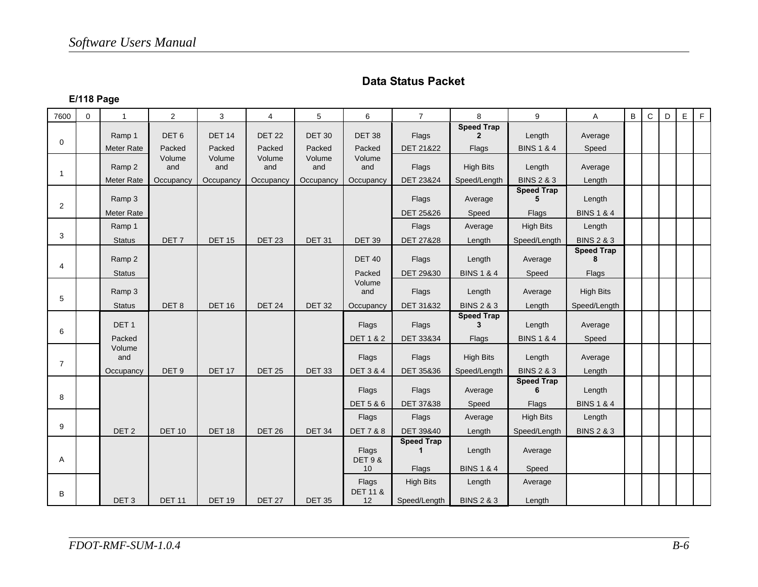### **Data Status Packet**

### **E/118 Page**

| 7600           | $\mathbf 0$ | 1                 | $\overline{2}$   | 3             | $\overline{4}$ | 5             | 6                            | $\overline{7}$       | 8                                 | 9                                          | A                      | $\, {\bf B}$ | $\mathbf C$ | D | E | F |
|----------------|-------------|-------------------|------------------|---------------|----------------|---------------|------------------------------|----------------------|-----------------------------------|--------------------------------------------|------------------------|--------------|-------------|---|---|---|
| $\mathbf 0$    |             | Ramp 1            | DET <sub>6</sub> | <b>DET 14</b> | <b>DET 22</b>  | <b>DET 30</b> | <b>DET 38</b>                | Flags                | <b>Speed Trap</b><br>$\mathbf{2}$ | Length                                     | Average                |              |             |   |   |   |
|                |             | <b>Meter Rate</b> | Packed           | Packed        | Packed         | Packed        | Packed                       | DET 21&22            | Flags                             | <b>BINS 1 &amp; 4</b>                      | Speed                  |              |             |   |   |   |
| $\overline{1}$ |             | Ramp 2            | Volume<br>and    | Volume<br>and | Volume<br>and  | Volume<br>and | Volume<br>and                | Flags                | <b>High Bits</b>                  | Length                                     | Average                |              |             |   |   |   |
|                |             | <b>Meter Rate</b> | Occupancy        | Occupancy     | Occupancy      | Occupancy     | Occupancy                    | <b>DET 23&amp;24</b> | Speed/Length                      | <b>BINS 2 &amp; 3</b><br><b>Speed Trap</b> | Length                 |              |             |   |   |   |
| 2              |             | Ramp 3            |                  |               |                |               |                              | Flags                | Average                           | 5                                          | Length                 |              |             |   |   |   |
|                |             | Meter Rate        |                  |               |                |               |                              | DET 25&26            | Speed                             | Flags                                      | <b>BINS 1 &amp; 4</b>  |              |             |   |   |   |
| 3              |             | Ramp 1            |                  |               |                |               |                              | Flags                | Average                           | <b>High Bits</b>                           | Length                 |              |             |   |   |   |
|                |             | <b>Status</b>     | DET <sub>7</sub> | <b>DET 15</b> | <b>DET 23</b>  | <b>DET 31</b> | <b>DET 39</b>                | <b>DET 27&amp;28</b> | Length                            | Speed/Length                               | <b>BINS 2 &amp; 3</b>  |              |             |   |   |   |
| 4              |             | Ramp 2            |                  |               |                |               | <b>DET 40</b>                | Flags                | Length                            | Average                                    | <b>Speed Trap</b><br>8 |              |             |   |   |   |
|                |             | <b>Status</b>     |                  |               |                |               | Packed                       | DET 29&30            | <b>BINS 1 &amp; 4</b>             | Speed                                      | Flags                  |              |             |   |   |   |
| 5              |             | Ramp 3            |                  |               |                |               | Volume<br>and                | Flags                | Length                            | Average                                    | <b>High Bits</b>       |              |             |   |   |   |
|                |             | <b>Status</b>     | DET8             | <b>DET 16</b> | <b>DET 24</b>  | <b>DET 32</b> | Occupancy                    | DET 31&32            | <b>BINS 2 &amp; 3</b>             | Length                                     | Speed/Length           |              |             |   |   |   |
| 6              |             | DET <sub>1</sub>  |                  |               |                |               | Flags                        | Flags                | <b>Speed Trap</b><br>3            | Length                                     | Average                |              |             |   |   |   |
|                |             | Packed            |                  |               |                |               | <b>DET 1 &amp; 2</b>         | DET 33&34            | Flags                             | <b>BINS 1 &amp; 4</b>                      | Speed                  |              |             |   |   |   |
| $\overline{7}$ |             | Volume<br>and     |                  |               |                |               | Flags                        | Flags                | <b>High Bits</b>                  | Length                                     | Average                |              |             |   |   |   |
|                |             | Occupancy         | DET <sub>9</sub> | <b>DET 17</b> | <b>DET 25</b>  | <b>DET 33</b> | <b>DET 3 &amp; 4</b>         | DET 35&36            | Speed/Length                      | <b>BINS 2 &amp; 3</b>                      | Length                 |              |             |   |   |   |
| 8              |             |                   |                  |               |                |               | Flags                        | Flags                | Average                           | <b>Speed Trap</b><br>6                     | Length                 |              |             |   |   |   |
|                |             |                   |                  |               |                |               | <b>DET 5 &amp; 6</b>         | DET 37&38            | Speed                             | Flags                                      | <b>BINS 1 &amp; 4</b>  |              |             |   |   |   |
| 9              |             |                   |                  |               |                |               | Flags                        | Flags                | Average                           | <b>High Bits</b>                           | Length                 |              |             |   |   |   |
|                |             | DET <sub>2</sub>  | <b>DET 10</b>    | <b>DET 18</b> | <b>DET 26</b>  | <b>DET 34</b> | <b>DET 7 &amp; 8</b>         | DET 39&40            | Length                            | Speed/Length                               | <b>BINS 2 &amp; 3</b>  |              |             |   |   |   |
| Α              |             |                   |                  |               |                |               | Flags<br><b>DET 9 &amp;</b>  | <b>Speed Trap</b>    | Length                            | Average                                    |                        |              |             |   |   |   |
|                |             |                   |                  |               |                |               | 10                           | Flags                | <b>BINS 1 &amp; 4</b>             | Speed                                      |                        |              |             |   |   |   |
| В              |             |                   |                  |               |                |               | Flags<br><b>DET 11 &amp;</b> | <b>High Bits</b>     | Length                            | Average                                    |                        |              |             |   |   |   |
|                |             | DET <sub>3</sub>  | <b>DET 11</b>    | <b>DET 19</b> | <b>DET 27</b>  | <b>DET 35</b> | 12                           | Speed/Length         | <b>BINS 2 &amp; 3</b>             | Length                                     |                        |              |             |   |   |   |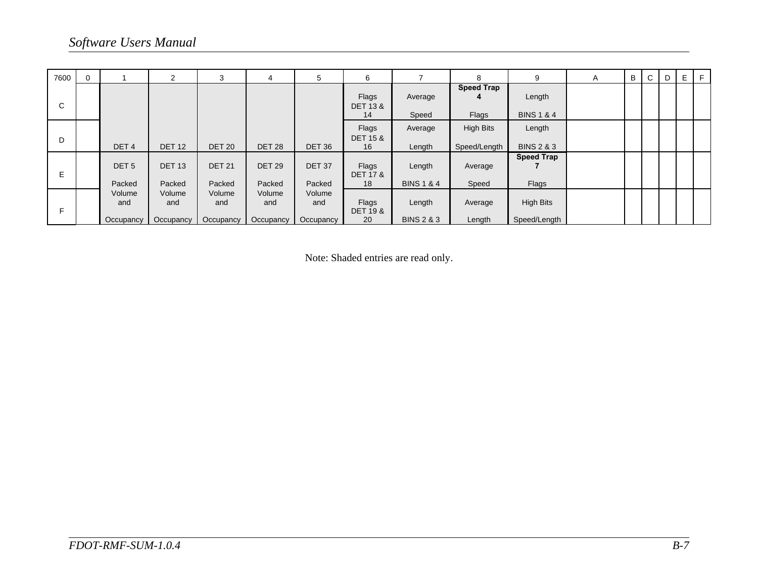| 7600 |                            | 2                          | 3                          | 4                          | 5                           | 6                                  |                                 | 8                                | 9                                | A | B | C | D | E |  |
|------|----------------------------|----------------------------|----------------------------|----------------------------|-----------------------------|------------------------------------|---------------------------------|----------------------------------|----------------------------------|---|---|---|---|---|--|
| C    |                            |                            |                            |                            |                             | Flags<br><b>DET 13 &amp;</b><br>14 | Average<br>Speed                | <b>Speed Trap</b><br>4<br>Flags  | Length<br><b>BINS 1 &amp; 4</b>  |   |   |   |   |   |  |
| D    | DET <sub>4</sub>           | <b>DET 12</b>              | <b>DET 20</b>              | <b>DET 28</b>              | DET <sub>36</sub>           | Flags<br><b>DET 15 &amp;</b><br>16 | Average<br>Length               | <b>High Bits</b><br>Speed/Length | Length<br><b>BINS 2 &amp; 3</b>  |   |   |   |   |   |  |
| Е    | DET <sub>5</sub><br>Packed | <b>DET 13</b><br>Packed    | <b>DET 21</b><br>Packed    | <b>DET 29</b><br>Packed    | DET <sub>37</sub><br>Packed | Flags<br><b>DET 17 &amp;</b><br>18 | Length<br><b>BINS 1 &amp; 4</b> | Average<br>Speed                 | <b>Speed Trap</b><br>Flags       |   |   |   |   |   |  |
| Е    | Volume<br>and<br>Occupancy | Volume<br>and<br>Occupancy | Volume<br>and<br>Occupancy | Volume<br>and<br>Occupancy | Volume<br>and<br>Occupancy  | Flags<br><b>DET 19 &amp;</b><br>20 | Length<br><b>BINS 2 &amp; 3</b> | Average<br>Length                | <b>High Bits</b><br>Speed/Length |   |   |   |   |   |  |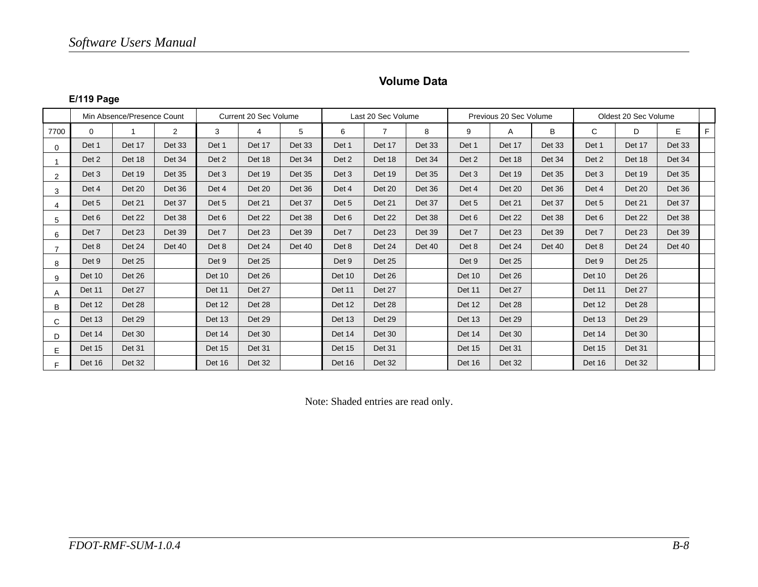#### **Volume Data**

#### **E/119 Page**

|                         | Min Absence/Presence Count |               |                | Current 20 Sec Volume |               |               | Last 20 Sec Volume |                |               |               | Previous 20 Sec Volume |        | Oldest 20 Sec Volume |               |               |    |
|-------------------------|----------------------------|---------------|----------------|-----------------------|---------------|---------------|--------------------|----------------|---------------|---------------|------------------------|--------|----------------------|---------------|---------------|----|
| 7700                    | 0                          |               | $\overline{2}$ | 3                     | 4             | 5             | 6                  | $\overline{7}$ | 8             | 9             | A                      | B      | C                    | D             | E             | F. |
| $\Omega$                | Det 1                      | Det 17        | Det 33         | Det 1                 | Det 17        | Det 33        | Det 1              | Det 17         | Det 33        | Det 1         | Det 17                 | Det 33 | Det 1                | Det 17        | Det 33        |    |
|                         | Det 2                      | Det 18        | Det 34         | Det 2                 | Det 18        | Det 34        | Det 2              | Det 18         | Det 34        | Det 2         | Det 18                 | Det 34 | Det 2                | Det 18        | Det 34        |    |
| 2                       | Det 3                      | Det 19        | Det 35         | Det 3                 | Det 19        | <b>Det 35</b> | Det 3              | Det 19         | <b>Det 35</b> | Det 3         | Det 19                 | Det 35 | Det 3                | <b>Det 19</b> | Det 35        |    |
| 3                       | Det 4                      | Det 20        | Det 36         | Det 4                 | <b>Det 20</b> | Det 36        | Det 4              | Det 20         | Det 36        | Det 4         | Det 20                 | Det 36 | Det 4                | Det 20        | Det 36        |    |
| $\overline{\mathbf{4}}$ | Det 5                      | Det 21        | Det 37         | Det 5                 | Det 21        | Det 37        | Det 5              | Det 21         | Det 37        | Det 5         | Det 21                 | Det 37 | Det 5                | Det 21        | Det 37        |    |
| 5                       | Det 6                      | Det 22        | Det 38         | Det 6                 | <b>Det 22</b> | Det 38        | Det 6              | Det 22         | Det 38        | Det 6         | Det 22                 | Det 38 | Det 6                | Det 22        | Det 38        |    |
| 6                       | Det 7                      | Det 23        | Det 39         | Det 7                 | Det 23        | Det 39        | Det 7              | Det 23         | <b>Det 39</b> | Det 7         | Det 23                 | Det 39 | Det 7                | Det 23        | <b>Det 39</b> |    |
|                         | Det 8                      | Det 24        | Det 40         | Det 8                 | Det 24        | Det 40        | Det 8              | Det 24         | Det 40        | Det 8         | Det 24                 | Det 40 | Det 8                | Det 24        | Det 40        |    |
| 8                       | Det 9                      | <b>Det 25</b> |                | Det 9                 | <b>Det 25</b> |               | Det 9              | Det 25         |               | Det 9         | Det 25                 |        | Det 9                | Det 25        |               |    |
| 9                       | Det 10                     | Det 26        |                | Det 10                | Det 26        |               | <b>Det 10</b>      | Det 26         |               | Det 10        | Det 26                 |        | Det 10               | Det 26        |               |    |
| A                       | Det 11                     | Det 27        |                | Det 11                | Det 27        |               | Det 11             | Det 27         |               | Det 11        | Det 27                 |        | Det 11               | Det 27        |               |    |
| B                       | Det 12                     | Det 28        |                | Det 12                | Det 28        |               | Det 12             | Det 28         |               | Det 12        | Det 28                 |        | Det 12               | Det 28        |               |    |
| C                       | Det 13                     | Det 29        |                | Det 13                | Det 29        |               | Det 13             | Det 29         |               | Det 13        | Det 29                 |        | Det 13               | Det 29        |               |    |
| D                       | Det 14                     | Det 30        |                | Det 14                | <b>Det 30</b> |               | Det 14             | Det 30         |               | Det 14        | Det 30                 |        | Det 14               | Det 30        |               |    |
| E                       | Det 15                     | Det 31        |                | <b>Det 15</b>         | Det 31        |               | <b>Det 15</b>      | Det 31         |               | <b>Det 15</b> | <b>Det 31</b>          |        | Det 15               | Det 31        |               |    |
| F.                      | Det 16                     | Det 32        |                | Det 16                | Det 32        |               | Det 16             | Det 32         |               | Det 16        | Det 32                 |        | Det 16               | Det 32        |               |    |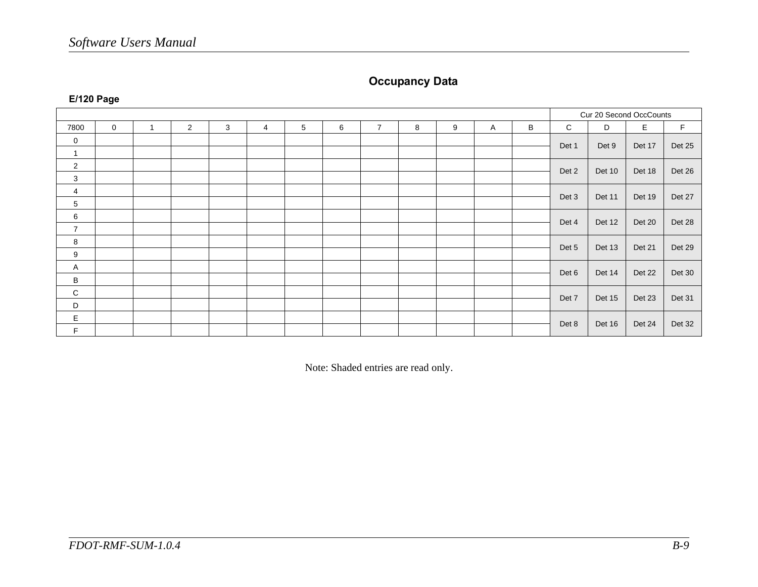### **Occupancy Data**

|                |             |                |                |   |                |   |   |                |   |   |   |   | Cur 20 Second OccCounts |        |        |             |
|----------------|-------------|----------------|----------------|---|----------------|---|---|----------------|---|---|---|---|-------------------------|--------|--------|-------------|
| 7800           | $\mathbf 0$ | $\overline{1}$ | $\overline{2}$ | 3 | $\overline{4}$ | 5 | 6 | $\overline{7}$ | 8 | 9 | A | B | C                       | D      | E      | $\mathsf F$ |
| 0              |             |                |                |   |                |   |   |                |   |   |   |   | Det 1                   | Det 9  | Det 17 | Det 25      |
|                |             |                |                |   |                |   |   |                |   |   |   |   |                         |        |        |             |
| $\overline{2}$ |             |                |                |   |                |   |   |                |   |   |   |   | Det 2                   | Det 10 | Det 18 | Det 26      |
| 3              |             |                |                |   |                |   |   |                |   |   |   |   |                         |        |        |             |
| 4              |             |                |                |   |                |   |   |                |   |   |   |   | Det 3                   | Det 11 | Det 19 | Det 27      |
| 5              |             |                |                |   |                |   |   |                |   |   |   |   |                         |        |        |             |
| 6              |             |                |                |   |                |   |   |                |   |   |   |   | Det 4                   | Det 12 | Det 20 | Det 28      |
| $\overline{7}$ |             |                |                |   |                |   |   |                |   |   |   |   |                         |        |        |             |
| 8              |             |                |                |   |                |   |   |                |   |   |   |   | Det 5                   | Det 13 | Det 21 |             |
| 9              |             |                |                |   |                |   |   |                |   |   |   |   |                         |        |        | Det 29      |
| Α              |             |                |                |   |                |   |   |                |   |   |   |   | Det 6                   | Det 14 | Det 22 | Det 30      |
| В              |             |                |                |   |                |   |   |                |   |   |   |   |                         |        |        |             |
| C              |             |                |                |   |                |   |   |                |   |   |   |   |                         |        |        |             |
| D              |             |                |                |   |                |   |   |                |   |   |   |   | Det 7                   | Det 15 | Det 23 | Det 31      |
| E              |             |                |                |   |                |   |   |                |   |   |   |   |                         |        |        |             |
| F.             |             |                |                |   |                |   |   |                |   |   |   |   | Det 8                   | Det 16 | Det 24 | Det 32      |

**E/120 Page**